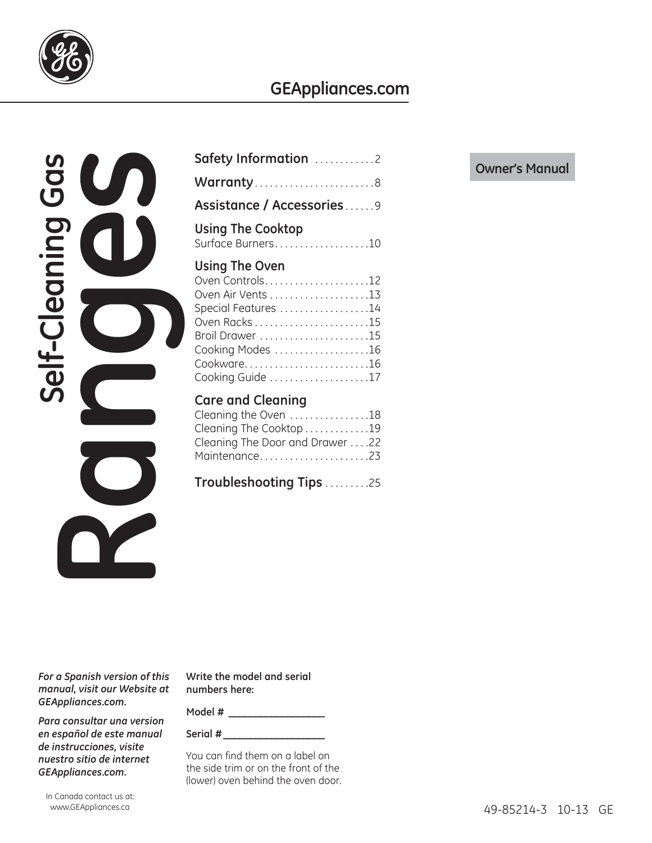

## **GEAppliances.com**



| Safety Information 2                                                                                                                                       |
|------------------------------------------------------------------------------------------------------------------------------------------------------------|
|                                                                                                                                                            |
| Assistance / Accessories9                                                                                                                                  |
| <b>Using The Cooktop</b><br>Surface Burners10                                                                                                              |
| Using The Oven<br>Oven Controls12<br>Special Features 14<br>Cooking Modes 16<br>Cooking Guide 17                                                           |
| <b>Care and Cleaning</b><br>Cleaning the Oven 18<br>Cleaning The Cooktop 19<br>Cleaning The Door and Drawer 22<br>Maintenance23<br>Troubleshooting Tips 25 |

*For a Spanish version of this manual, visit our Website at GEAppliances.com.*

*Para consultar una version en español de este manual de instrucciones, visite nuestro sitio de internet GEAppliances.com.*

**Write the model and serial numbers here:**

**Model # \_\_\_\_\_\_\_\_\_\_\_\_\_\_\_\_\_\_**

**Serial # \_\_\_\_\_\_\_\_\_\_\_\_\_\_\_\_\_\_\_**

You can find them on a label on the side trim or on the front of the (lower) oven behind the oven door.

### **Owner's Manual**

In Canada contact us at: www.GEAppliances.ca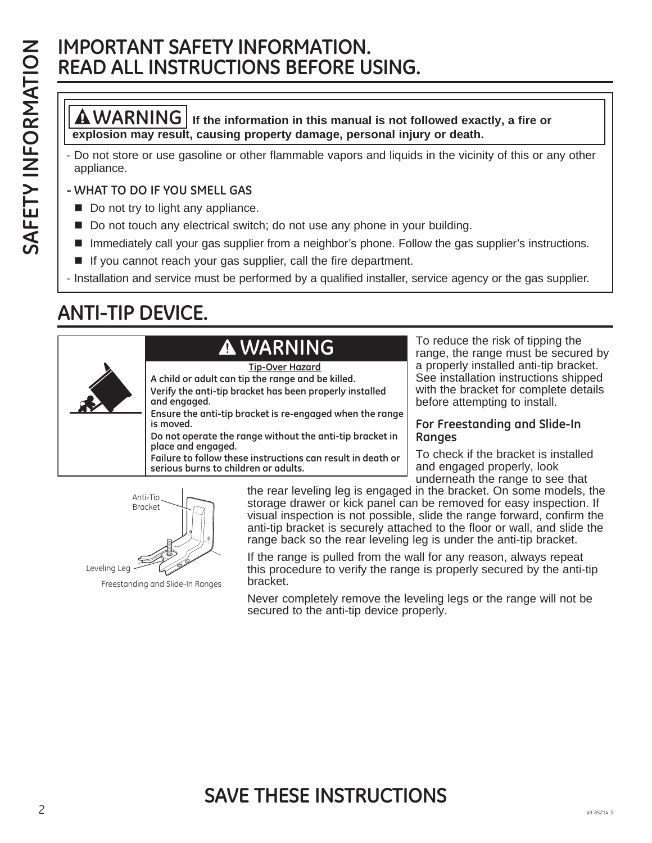## **IMPORTANT SAFETY INFORMATION. READ ALL INSTRUCTIONS BEFORE USING.**

**WARNING If the information in this manual is not followed exactly, a fire or explosion may result, causing property damage, personal injury or death.**

- Do not store or use gasoline or other flammable vapors and liquids in the vicinity of this or any other appliance.

### **- WHAT TO DO IF YOU SMELL GAS**

- Do not try to light any appliance.
- Do not touch any electrical switch; do not use any phone in your building.
- Immediately call your gas supplier from a neighbor's phone. Follow the gas supplier's instructions.
- If you cannot reach your gas supplier, call the fire department.

- Installation and service must be performed by a qualified installer, service agency or the gas supplier.

## **ANTI-TIP DEVICE.**

## **WARNING**

**A child or adult can tip the range and be killed. Verify the anti-tip bracket has been properly installed and engaged. Ensure the anti-tip bracket is re-engaged when the range is moved. Do not operate the range without the anti-tip bracket in place and engaged. Failure to follow these instructions can result in death or serious burns to children or adults. Tip-Over Hazard**

To reduce the risk of tipping the range, the range must be secured by a properly installed anti-tip bracket. See installation instructions shipped with the bracket for complete details before attempting to install.

#### **For Freestanding and Slide-In Ranges**

To check if the bracket is installed and engaged properly, look underneath the range to see that

Freestanding and Slide-In Ranges Anti-Tip Bracket Leveling Leg

the rear leveling leg is engaged in the bracket. On some models, the storage drawer or kick panel can be removed for easy inspection. If visual inspection is not possible, slide the range forward, confirm the anti-tip bracket is securely attached to the floor or wall, and slide the range back so the rear leveling leg is under the anti-tip bracket.

If the range is pulled from the wall for any reason, always repeat this procedure to verify the range is properly secured by the anti-tip bracket.

Never completely remove the leveling legs or the range will not be secured to the anti-tip device properly.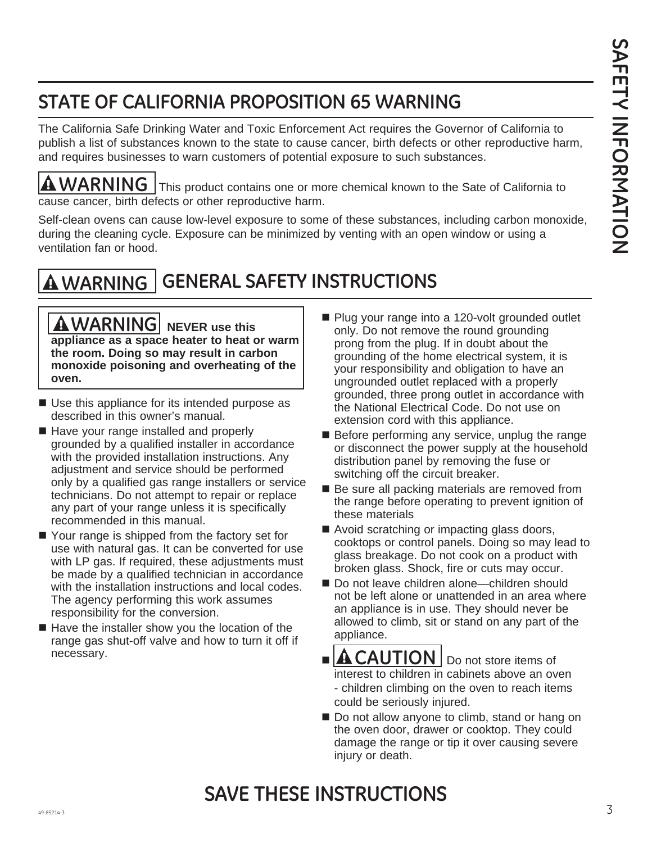## **STATE OF CALIFORNIA PROPOSITION 65 WARNING**

The California Safe Drinking Water and Toxic Enforcement Act requires the Governor of California to publish a list of substances known to the state to cause cancer, birth defects or other reproductive harm, and requires businesses to warn customers of potential exposure to such substances.

**A WARNING** This product contains one or more chemical known to the Sate of California to cause cancer, birth defects or other reproductive harm.

Self-clean ovens can cause low-level exposure to some of these substances, including carbon monoxide, during the cleaning cycle. Exposure can be minimized by venting with an open window or using a ventilation fan or hood.

## **WARNING GENERAL SAFETY INSTRUCTIONS**

**A** WARNING **NEVER** use this **appliance as a space heater to heat or warm the room. Doing so may result in carbon monoxide poisoning and overheating of the oven.**

- Use this appliance for its intended purpose as described in this owner's manual.
- Have your range installed and properly grounded by a qualified installer in accordance with the provided installation instructions. Any adjustment and service should be performed only by a qualified gas range installers or service technicians. Do not attempt to repair or replace any part of your range unless it is specifically recommended in this manual.
- Your range is shipped from the factory set for use with natural gas. It can be converted for use with LP gas. If required, these adjustments must be made by a qualified technician in accordance with the installation instructions and local codes. The agency performing this work assumes responsibility for the conversion.
- $\blacksquare$  Have the installer show you the location of the range gas shut-off valve and how to turn it off if necessary.
- Plug your range into a 120-volt grounded outlet only. Do not remove the round grounding prong from the plug. If in doubt about the grounding of the home electrical system, it is your responsibility and obligation to have an ungrounded outlet replaced with a properly grounded, three prong outlet in accordance with the National Electrical Code. Do not use on extension cord with this appliance.
- Before performing any service, unplug the range or disconnect the power supply at the household distribution panel by removing the fuse or switching off the circuit breaker.
- Be sure all packing materials are removed from the range before operating to prevent ignition of these materials
- Avoid scratching or impacting glass doors, cooktops or control panels. Doing so may lead to glass breakage. Do not cook on a product with broken glass. Shock, fire or cuts may occur.
- Do not leave children alone—children should not be left alone or unattended in an area where an appliance is in use. They should never be allowed to climb, sit or stand on any part of the appliance.
- **AUTION** | Do not store items of interest to children in cabinets above an oven - children climbing on the oven to reach items could be seriously injured.
- Do not allow anyone to climb, stand or hang on the oven door, drawer or cooktop. They could damage the range or tip it over causing severe injury or death.

### $\frac{3}{3}$ **SAVE THESE INSTRUCTIONS**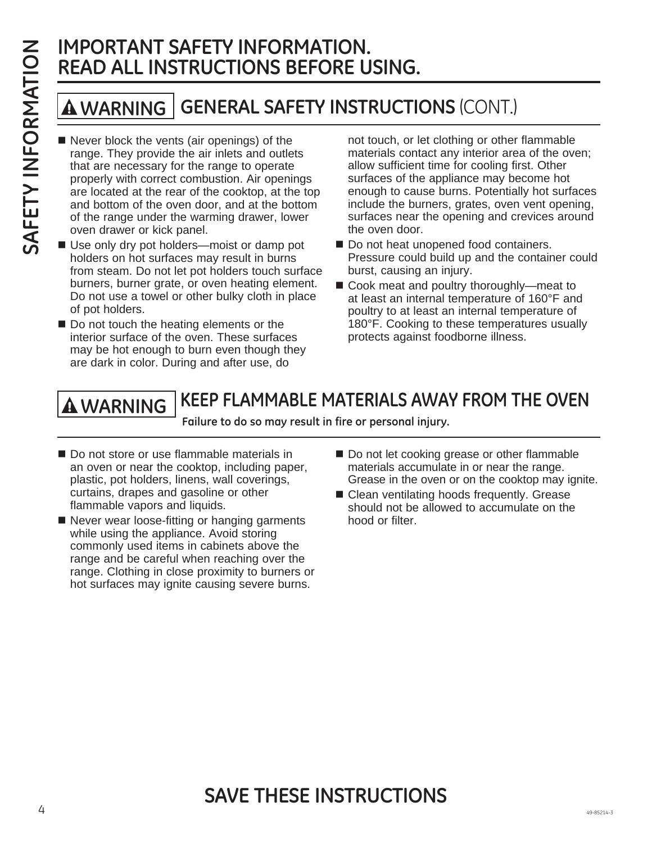## **IMPORTANT SAFETY INFORMATION. READ ALL INSTRUCTIONS BEFORE USING.**

## **WARNING GENERAL SAFETY INSTRUCTIONS** (CONT.)

- Never block the vents (air openings) of the range. They provide the air inlets and outlets that are necessary for the range to operate properly with correct combustion. Air openings are located at the rear of the cooktop, at the top and bottom of the oven door, and at the bottom of the range under the warming drawer, lower oven drawer or kick panel.
- Use only dry pot holders—moist or damp pot holders on hot surfaces may result in burns from steam. Do not let pot holders touch surface burners, burner grate, or oven heating element. Do not use a towel or other bulky cloth in place of pot holders.
- Do not touch the heating elements or the interior surface of the oven. These surfaces may be hot enough to burn even though they are dark in color. During and after use, do

not touch, or let clothing or other flammable materials contact any interior area of the oven; allow sufficient time for cooling first. Other surfaces of the appliance may become hot enough to cause burns. Potentially hot surfaces include the burners, grates, oven vent opening, surfaces near the opening and crevices around the oven door.

- Do not heat unopened food containers. Pressure could build up and the container could burst, causing an injury.
- Cook meat and poultry thoroughly—meat to at least an internal temperature of 160°F and poultry to at least an internal temperature of 180°F. Cooking to these temperatures usually protects against foodborne illness.

### **KEEP FLAMMABLE MATERIALS AWAY FROM THE OVEN WARNING**

**Failure to do so may result in fire or personal injury.**

- Do not store or use flammable materials in an oven or near the cooktop, including paper, plastic, pot holders, linens, wall coverings, curtains, drapes and gasoline or other flammable vapors and liquids.
- Never wear loose-fitting or hanging garments while using the appliance. Avoid storing commonly used items in cabinets above the range and be careful when reaching over the range. Clothing in close proximity to burners or hot surfaces may ignite causing severe burns.
- Do not let cooking grease or other flammable materials accumulate in or near the range. Grease in the oven or on the cooktop may ignite.
- Clean ventilating hoods frequently. Grease should not be allowed to accumulate on the hood or filter.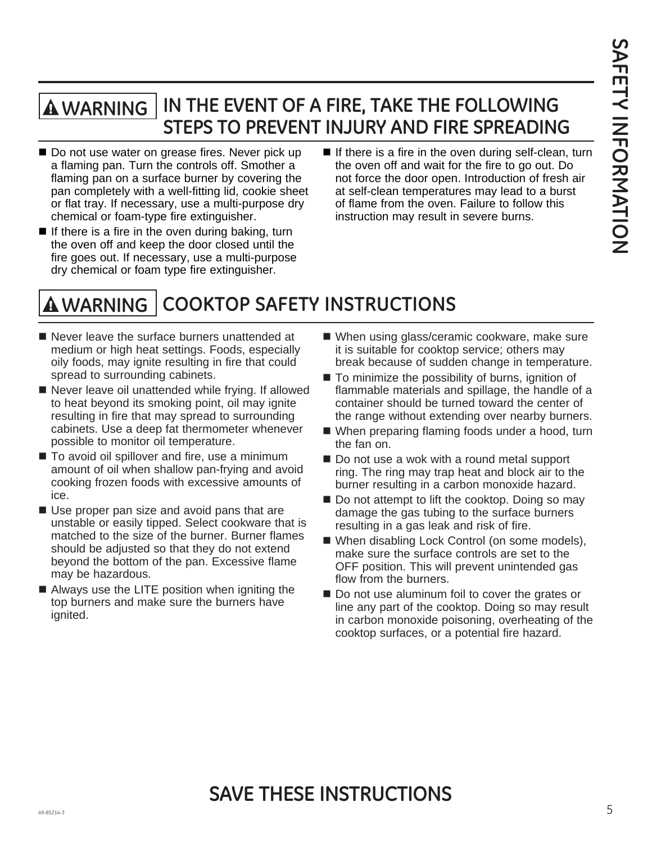### **IN THE EVENT OF A FIRE, TAKE THE FOLLOWING STEPS TO PREVENT INJURY AND FIRE SPREADING WARNING**

- Do not use water on grease fires. Never pick up a flaming pan. Turn the controls off. Smother a flaming pan on a surface burner by covering the pan completely with a well-fitting lid, cookie sheet or flat tray. If necessary, use a multi-purpose dry chemical or foam-type fire extinguisher.
- If there is a fire in the oven during baking, turn the oven off and keep the door closed until the fire goes out. If necessary, use a multi-purpose dry chemical or foam type fire extinguisher.
- If there is a fire in the oven during self-clean, turn the oven off and wait for the fire to go out. Do not force the door open. Introduction of fresh air at self-clean temperatures may lead to a burst of flame from the oven. Failure to follow this instruction may result in severe burns.

#### **COOKTOP SAFETY INSTRUCTIONS WARNING**

- Never leave the surface burners unattended at medium or high heat settings. Foods, especially oily foods, may ignite resulting in fire that could spread to surrounding cabinets.
- Never leave oil unattended while frying. If allowed to heat beyond its smoking point, oil may ignite resulting in fire that may spread to surrounding cabinets. Use a deep fat thermometer whenever possible to monitor oil temperature.
- To avoid oil spillover and fire, use a minimum amount of oil when shallow pan-frying and avoid cooking frozen foods with excessive amounts of ice.
- Use proper pan size and avoid pans that are unstable or easily tipped. Select cookware that is matched to the size of the burner. Burner flames should be adjusted so that they do not extend beyond the bottom of the pan. Excessive flame may be hazardous.
- Always use the LITE position when igniting the top burners and make sure the burners have ignited.
- When using glass/ceramic cookware, make sure it is suitable for cooktop service; others may break because of sudden change in temperature.
- $\blacksquare$  To minimize the possibility of burns, ignition of flammable materials and spillage, the handle of a container should be turned toward the center of the range without extending over nearby burners.
- When preparing flaming foods under a hood, turn the fan on.
- Do not use a wok with a round metal support ring. The ring may trap heat and block air to the burner resulting in a carbon monoxide hazard.
- Do not attempt to lift the cooktop. Doing so may damage the gas tubing to the surface burners resulting in a gas leak and risk of fire.
- When disabling Lock Control (on some models), make sure the surface controls are set to the OFF position. This will prevent unintended gas flow from the burners.
- Do not use aluminum foil to cover the grates or line any part of the cooktop. Doing so may result in carbon monoxide poisoning, overheating of the cooktop surfaces, or a potential fire hazard.

### $\frac{5}{5}$ **SAVE THESE INSTRUCTIONS**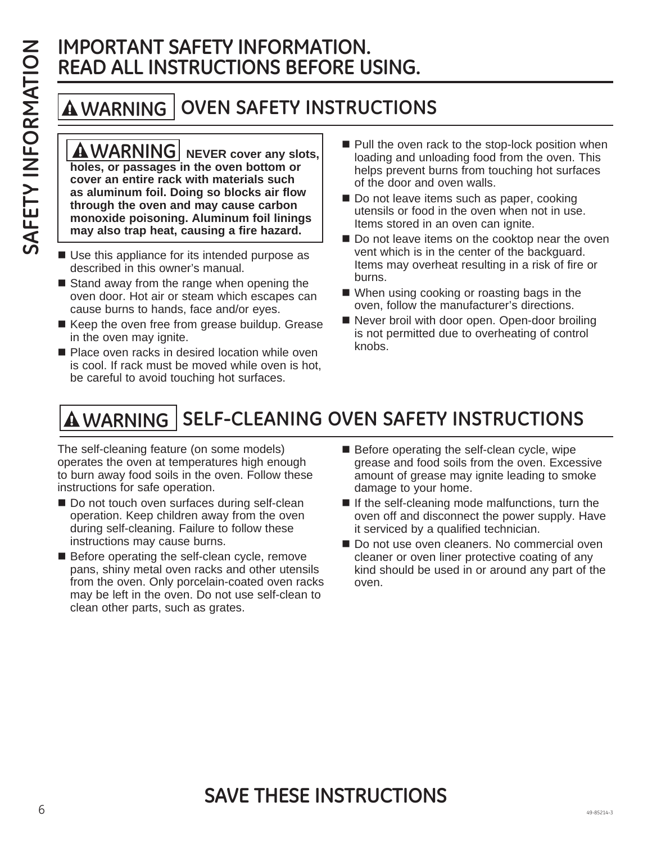## **IMPORTANT SAFETY INFORMATION. READ ALL INSTRUCTIONS BEFORE USING.**

#### **OVEN SAFETY INSTRUCTIONS WARNING**

**A**WARNING | NEVER cover any slots, **holes, or passages in the oven bottom or cover an entire rack with materials such as aluminum foil. Doing so blocks air flow through the oven and may cause carbon monoxide poisoning. Aluminum foil linings may also trap heat, causing a fire hazard.**

- Use this appliance for its intended purpose as described in this owner's manual.
- $\blacksquare$  Stand away from the range when opening the oven door. Hot air or steam which escapes can cause burns to hands, face and/or eyes.
- Keep the oven free from grease buildup. Grease in the oven may ignite.
- Place oven racks in desired location while oven is cool. If rack must be moved while oven is hot, be careful to avoid touching hot surfaces.
- $\blacksquare$  Pull the oven rack to the stop-lock position when loading and unloading food from the oven. This helps prevent burns from touching hot surfaces of the door and oven walls.
- Do not leave items such as paper, cooking utensils or food in the oven when not in use. Items stored in an oven can ignite.
- Do not leave items on the cooktop near the oven vent which is in the center of the backguard. Items may overheat resulting in a risk of fire or burns.
- When using cooking or roasting bags in the oven, follow the manufacturer's directions.
- Never broil with door open. Open-door broiling is not permitted due to overheating of control knobs.

# **<code>SELF-CLEANING</code> OVEN SAFETY INSTRUCTIONS**

The self-cleaning feature (on some models) operates the oven at temperatures high enough to burn away food soils in the oven. Follow these instructions for safe operation.

- Do not touch oven surfaces during self-clean operation. Keep children away from the oven during self-cleaning. Failure to follow these instructions may cause burns.
- Before operating the self-clean cycle, remove pans, shiny metal oven racks and other utensils from the oven. Only porcelain-coated oven racks may be left in the oven. Do not use self-clean to clean other parts, such as grates.
- Before operating the self-clean cycle, wipe grease and food soils from the oven. Excessive amount of grease may ignite leading to smoke damage to your home.
- $\blacksquare$  If the self-cleaning mode malfunctions, turn the oven off and disconnect the power supply. Have it serviced by a qualified technician.
- Do not use oven cleaners. No commercial oven cleaner or oven liner protective coating of any kind should be used in or around any part of the oven.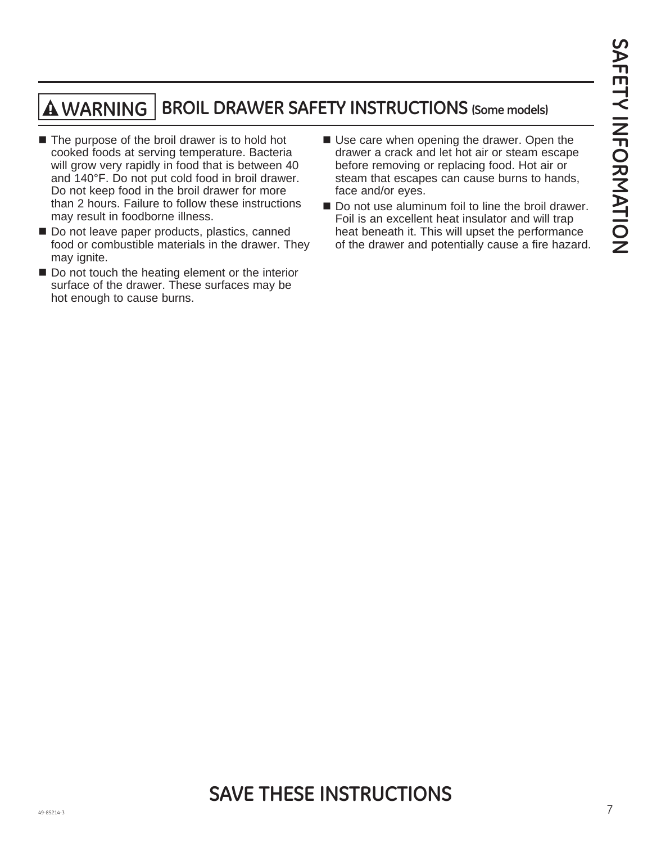## **WARNING BROIL DRAWER SAFETY INSTRUCTIONS (Some models)**

- The purpose of the broil drawer is to hold hot cooked foods at serving temperature. Bacteria will grow very rapidly in food that is between 40 and 140°F. Do not put cold food in broil drawer. Do not keep food in the broil drawer for more than 2 hours. Failure to follow these instructions may result in foodborne illness.
- Do not leave paper products, plastics, canned food or combustible materials in the drawer. They may ignite.
- Do not touch the heating element or the interior surface of the drawer. These surfaces may be hot enough to cause burns.
- Use care when opening the drawer. Open the drawer a crack and let hot air or steam escape before removing or replacing food. Hot air or steam that escapes can cause burns to hands, face and/or eyes.
- Do not use aluminum foil to line the broil drawer. Foil is an excellent heat insulator and will trap heat beneath it. This will upset the performance of the drawer and potentially cause a fire hazard.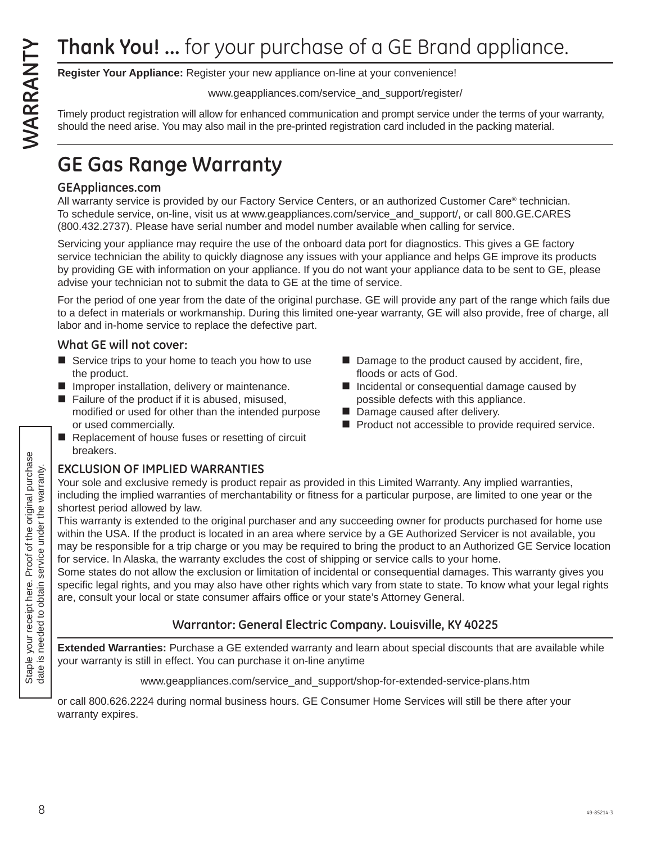**Register Your Appliance:** Register your new appliance on-line at your convenience!

www.geappliances.com/service\_and\_support/register/

Timely product registration will allow for enhanced communication and prompt service under the terms of your warranty, should the need arise. You may also mail in the pre-printed registration card included in the packing material.

## **GE Gas Range Warranty**

### **GEAppliances.com**

All warranty service is provided by our Factory Service Centers, or an authorized Customer Care® technician. To schedule service, on-line, visit us at www.geappliances.com/service\_and\_support/, or call 800.GE.CARES (800.432.2737). Please have serial number and model number available when calling for service.

Servicing your appliance may require the use of the onboard data port for diagnostics. This gives a GE factory service technician the ability to quickly diagnose any issues with your appliance and helps GE improve its products by providing GE with information on your appliance. If you do not want your appliance data to be sent to GE, please advise your technician not to submit the data to GE at the time of service.

For the period of one year from the date of the original purchase. GE will provide any part of the range which fails due to a defect in materials or workmanship. During this limited one-year warranty, GE will also provide, free of charge, all labor and in-home service to replace the defective part.

### **What GE will not cover:**

- Service trips to your home to teach you how to use the product.
- **I** Improper installation, delivery or maintenance.
- $\blacksquare$  Failure of the product if it is abused, misused, modified or used for other than the intended purpose or used commercially.
- Replacement of house fuses or resetting of circuit breakers.

### **EXCLUSION OF IMPLIED WARRANTIES**

- Damage to the product caused by accident, fire, floods or acts of God.
- Incidental or consequential damage caused by possible defects with this appliance.
- Damage caused after delivery.
- **Product not accessible to provide required service.**

Your sole and exclusive remedy is product repair as provided in this Limited Warranty. Any implied warranties, including the implied warranties of merchantability or fitness for a particular purpose, are limited to one year or the shortest period allowed by law.

This warranty is extended to the original purchaser and any succeeding owner for products purchased for home use within the USA. If the product is located in an area where service by a GE Authorized Servicer is not available, you may be responsible for a trip charge or you may be required to bring the product to an Authorized GE Service location for service. In Alaska, the warranty excludes the cost of shipping or service calls to your home.

Some states do not allow the exclusion or limitation of incidental or consequential damages. This warranty gives you specific legal rights, and you may also have other rights which vary from state to state. To know what your legal rights are, consult your local or state consumer affairs office or your state's Attorney General.

### **Warrantor: General Electric Company. Louisville, KY 40225**

**Extended Warranties:** Purchase a GE extended warranty and learn about special discounts that are available while your warranty is still in effect. You can purchase it on-line anytime

www.geappliances.com/service\_and\_support/shop-for-extended-service-plans.htm

or call 800.626.2224 during normal business hours. GE Consumer Home Services will still be there after your warranty expires.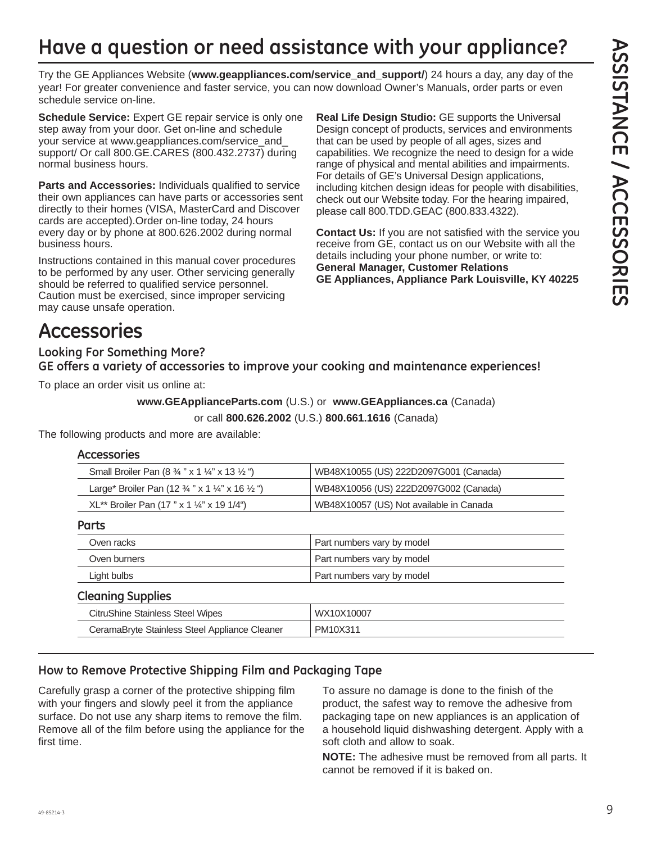## **Have a question or need assistance with your appliance?**

Try the GE Appliances Website (**www.geappliances.com/service\_and\_support/**) 24 hours a day, any day of the year! For greater convenience and faster service, you can now download Owner's Manuals, order parts or even schedule service on-line.

**Schedule Service:** Expert GE repair service is only one step away from your door. Get on-line and schedule your service at www.geappliances.com/service\_and\_ support/ Or call 800.GE.CARES (800.432.2737) during normal business hours.

**Parts and Accessories:** Individuals qualified to service their own appliances can have parts or accessories sent directly to their homes (VISA, MasterCard and Discover cards are accepted).Order on-line today, 24 hours every day or by phone at 800.626.2002 during normal business hours.

Instructions contained in this manual cover procedures to be performed by any user. Other servicing generally should be referred to qualified service personnel. Caution must be exercised, since improper servicing may cause unsafe operation.

**Real Life Design Studio:** GE supports the Universal Design concept of products, services and environments that can be used by people of all ages, sizes and capabilities. We recognize the need to design for a wide range of physical and mental abilities and impairments. For details of GE's Universal Design applications, including kitchen design ideas for people with disabilities, check out our Website today. For the hearing impaired, please call 800.TDD.GEAC (800.833.4322).

**Contact Us:** If you are not satisfied with the service you receive from GE, contact us on our Website with all the details including your phone number, or write to: **General Manager, Customer Relations GE Appliances, Appliance Park Louisville, KY 40225**

## **Accessories**

**Looking For Something More? GE offers a variety of accessories to improve your cooking and maintenance experiences!**

To place an order visit us online at:

**www.GEApplianceParts.com** (U.S.) or **www.GEAppliances.ca** (Canada)

or call **800.626.2002** (U.S.) **800.661.1616** (Canada)

The following products and more are available:

#### **Accessories**

| WB48X10056 (US) 222D2097G002 (Canada)<br>Large* Broiler Pan (12 $\frac{3}{4}$ " x 1 $\frac{1}{4}$ " x 16 $\frac{1}{2}$ ") | WB48X10055 (US) 222D2097G001 (Canada)<br>Small Broiler Pan $(8\frac{3}{4}$ " x 1 $\frac{1}{4}$ " x 13 $\frac{1}{2}$ ") |  |
|---------------------------------------------------------------------------------------------------------------------------|------------------------------------------------------------------------------------------------------------------------|--|
|                                                                                                                           |                                                                                                                        |  |
| $XL^{**}$ Broiler Pan (17 " x 1 ¼" x 19 1/4")                                                                             | WB48X10057 (US) Not available in Canada                                                                                |  |

**Parts**

| Oven racks                              | Part numbers vary by model |  |  |
|-----------------------------------------|----------------------------|--|--|
| Oven burners                            | Part numbers vary by model |  |  |
| Light bulbs                             | Part numbers vary by model |  |  |
| <b>Cleaning Supplies</b>                |                            |  |  |
| <b>CitruShine Stainless Steel Wipes</b> | WX10X10007                 |  |  |

| CeramaBryte Stainless Steel Appliance Cleaner | PM10X311 |
|-----------------------------------------------|----------|
|                                               |          |

### **How to Remove Protective Shipping Film and Packaging Tape**

Carefully grasp a corner of the protective shipping film with your fingers and slowly peel it from the appliance surface. Do not use any sharp items to remove the film. Remove all of the film before using the appliance for the first time.

To assure no damage is done to the finish of the product, the safest way to remove the adhesive from packaging tape on new appliances is an application of a household liquid dishwashing detergent. Apply with a soft cloth and allow to soak.

**NOTE:** The adhesive must be removed from all parts. It cannot be removed if it is baked on.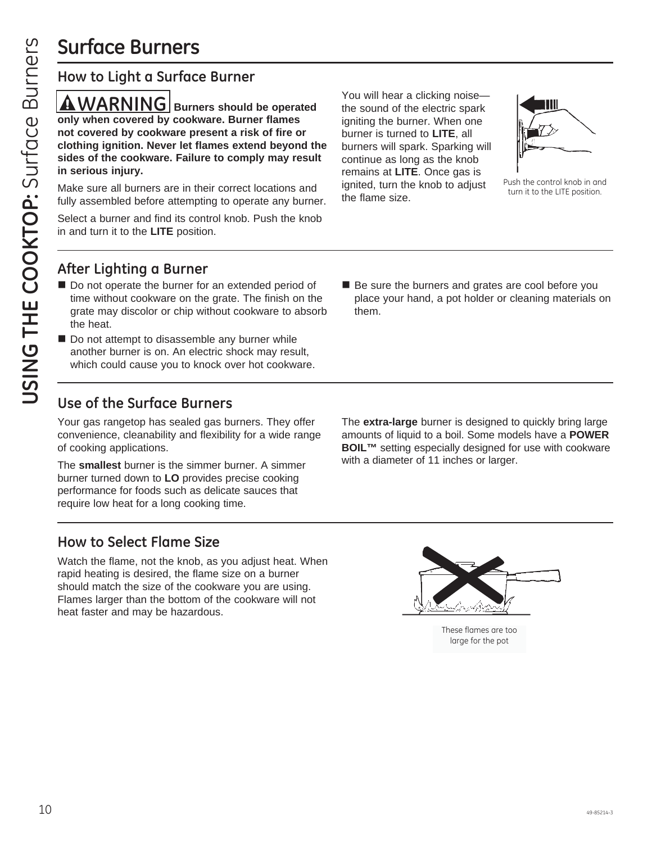## **Surface Burners**

### **How to Light a Surface Burner**

 $\triangle$  WARNING Burners should be operated **only when covered by cookware. Burner flames not covered by cookware present a risk of fire or clothing ignition. Never let flames extend beyond the sides of the cookware. Failure to comply may result in serious injury.**

Make sure all burners are in their correct locations and fully assembled before attempting to operate any burner.

Select a burner and find its control knob. Push the knob in and turn it to the **LITE** position.

You will hear a clicking noise the sound of the electric spark igniting the burner. When one burner is turned to **LITE**, all burners will spark. Sparking will continue as long as the knob remains at **LITE**. Once gas is ignited, turn the knob to adjust the flame size.



Push the control knob in and turn it to the LITE position.

### **After Lighting a Burner**

- Do not operate the burner for an extended period of time without cookware on the grate. The finish on the grate may discolor or chip without cookware to absorb the heat.
- Do not attempt to disassemble any burner while another burner is on. An electric shock may result, which could cause you to knock over hot cookware.
- **Use of the Surface Burners**

Your gas rangetop has sealed gas burners. They offer convenience, cleanability and flexibility for a wide range of cooking applications.

The **smallest** burner is the simmer burner. A simmer burner turned down to **LO** provides precise cooking performance for foods such as delicate sauces that require low heat for a long cooking time.

Be sure the burners and grates are cool before you place your hand, a pot holder or cleaning materials on them.

The **extra-large** burner is designed to quickly bring large amounts of liquid to a boil. Some models have a **POWER BOIL™** setting especially designed for use with cookware with a diameter of 11 inches or larger.

### **How to Select Flame Size**

Watch the flame, not the knob, as you adjust heat. When rapid heating is desired, the flame size on a burner should match the size of the cookware you are using. Flames larger than the bottom of the cookware will not heat faster and may be hazardous.



These flames are too large for the pot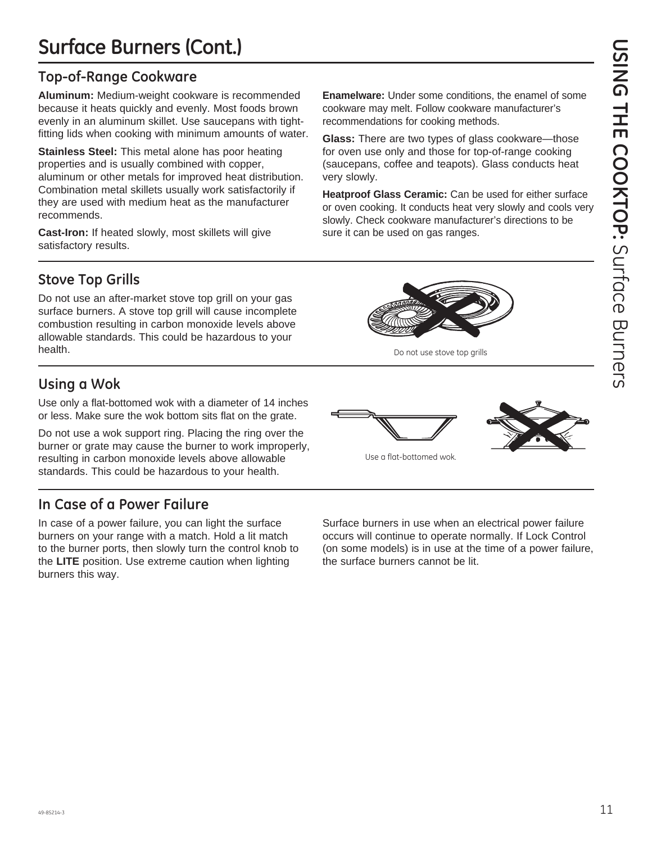## **Surface Burners (Cont.)**

### **Top-of-Range Cookware**

**Aluminum:** Medium-weight cookware is recommended because it heats quickly and evenly. Most foods brown evenly in an aluminum skillet. Use saucepans with tightfitting lids when cooking with minimum amounts of water.

**Stainless Steel:** This metal alone has poor heating properties and is usually combined with copper, aluminum or other metals for improved heat distribution. Combination metal skillets usually work satisfactorily if they are used with medium heat as the manufacturer recommends.

**Cast-Iron:** If heated slowly, most skillets will give satisfactory results.

**Stove Top Grills**

Do not use an after-market stove top grill on your gas surface burners. A stove top grill will cause incomplete combustion resulting in carbon monoxide levels above allowable standards. This could be hazardous to your health.

### **Using a Wok**

Use only a flat-bottomed wok with a diameter of 14 inches or less. Make sure the wok bottom sits flat on the grate.

Do not use a wok support ring. Placing the ring over the burner or grate may cause the burner to work improperly, resulting in carbon monoxide levels above allowable standards. This could be hazardous to your health.

## **In Case of a Power Failure**

In case of a power failure, you can light the surface burners on your range with a match. Hold a lit match to the burner ports, then slowly turn the control knob to the **LITE** position. Use extreme caution when lighting burners this way.

**Enamelware:** Under some conditions, the enamel of some cookware may melt. Follow cookware manufacturer's recommendations for cooking methods.

**Glass:** There are two types of glass cookware—those for oven use only and those for top-of-range cooking (saucepans, coffee and teapots). Glass conducts heat very slowly.

**Heatproof Glass Ceramic:** Can be used for either surface or oven cooking. It conducts heat very slowly and cools very slowly. Check cookware manufacturer's directions to be sure it can be used on gas ranges.





Do not use stove top grills

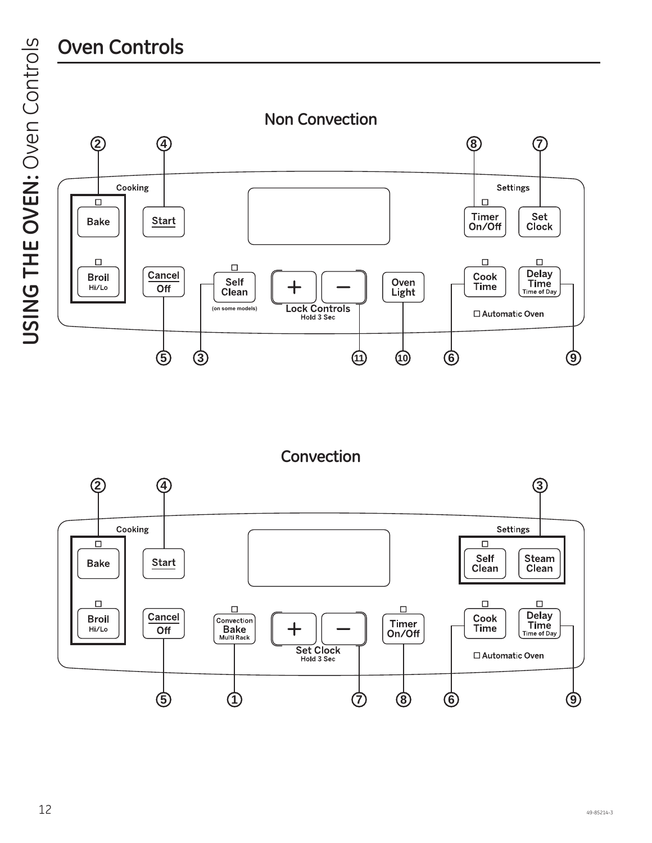## **Oven Controls**

USING THE OVEN: Oven Controls **USING THE OVEN:** Oven Controls



**Convection**

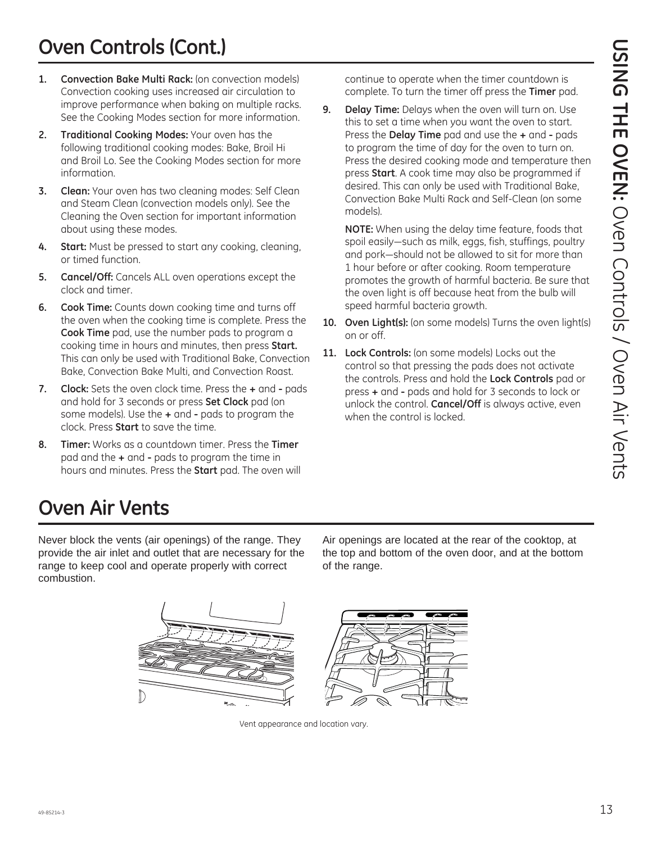## **Oven Controls (Cont.)**

- **1. Convection Bake Multi Rack:** (on convection models) Convection cooking uses increased air circulation to improve performance when baking on multiple racks. See the Cooking Modes section for more information.
- **2. Traditional Cooking Modes:** Your oven has the following traditional cooking modes: Bake, Broil Hi and Broil Lo. See the Cooking Modes section for more information.
- **3. Clean:** Your oven has two cleaning modes: Self Clean and Steam Clean (convection models only). See the Cleaning the Oven section for important information about using these modes.
- **4. Start:** Must be pressed to start any cooking, cleaning, or timed function.
- **5. Cancel/Off:** Cancels ALL oven operations except the clock and timer.
- **6. Cook Time:** Counts down cooking time and turns off the oven when the cooking time is complete. Press the **Cook Time** pad, use the number pads to program a cooking time in hours and minutes, then press **Start.** This can only be used with Traditional Bake, Convection Bake, Convection Bake Multi, and Convection Roast.
- **7. Clock:** Sets the oven clock time. Press the **+** and **-** pads and hold for 3 seconds or press **Set Clock** pad (on some models). Use the **+** and **-** pads to program the clock. Press **Start** to save the time.
- **8. Timer:** Works as a countdown timer. Press the **Timer** pad and the **+** and **-** pads to program the time in hours and minutes. Press the **Start** pad. The oven will

continue to operate when the timer countdown is complete. To turn the timer off press the **Timer** pad.

**9. Delay Time:** Delays when the oven will turn on. Use this to set a time when you want the oven to start. Press the **Delay Time** pad and use the **+** and **-** pads to program the time of day for the oven to turn on. Press the desired cooking mode and temperature then press **Start**. A cook time may also be programmed if desired. This can only be used with Traditional Bake, Convection Bake Multi Rack and Self-Clean (on some models).

 **NOTE:** When using the delay time feature, foods that spoil easily-such as milk, eggs, fish, stuffings, poultry and pork—should not be allowed to sit for more than 1 hour before or after cooking. Room temperature promotes the growth of harmful bacteria. Be sure that the oven light is off because heat from the bulb will speed harmful bacteria growth.

- 10. Oven Light(s): (on some models) Turns the oven light(s) on or off.
- 11. Lock Controls: (on some models) Locks out the control so that pressing the pads does not activate the controls. Press and hold the **Lock Controls** pad or press **+** and **-** pads and hold for 3 seconds to lock or unlock the control. **Cancel/Off** is always active, even when the control is locked.

## **Oven Air Vents**

Never block the vents (air openings) of the range. They provide the air inlet and outlet that are necessary for the range to keep cool and operate properly with correct combustion.

Air openings are located at the rear of the cooktop, at the top and bottom of the oven door, and at the bottom of the range.



Vent appearance and location vary.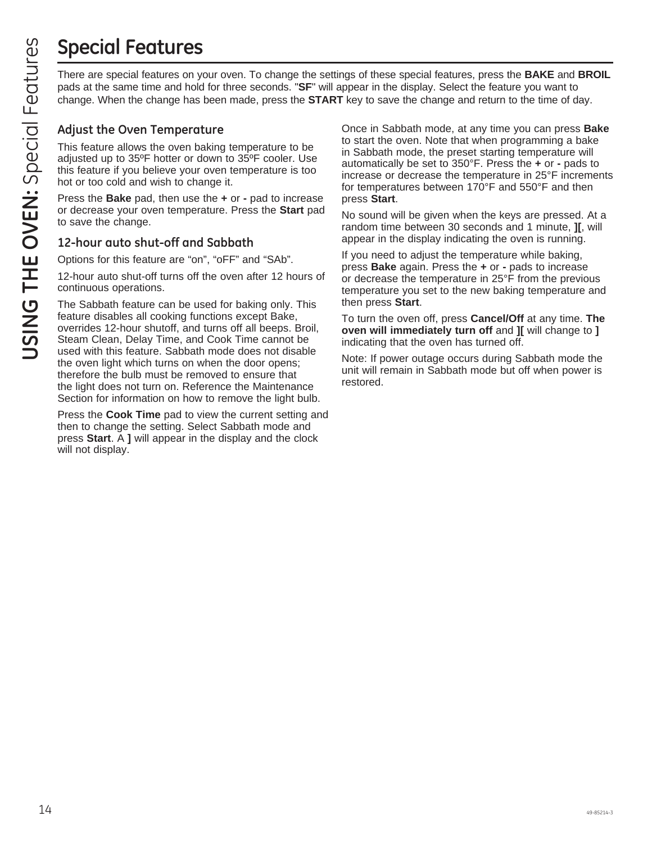# **Special Features**

pads at the same time and hold for three seconds. "**SF**" will appear in the display. Select the feature you want to change. When the change has been made, press the **START** key to save the change and return to the time of day.

### **Adjust the Oven Temperature**

This feature allows the oven baking temperature to be adjusted up to 35ºF hotter or down to 35ºF cooler. Use this feature if you believe your oven temperature is too hot or too cold and wish to change it.

Press the **Bake** pad, then use the **+** or **-** pad to increase or decrease your oven temperature. Press the **Start** pad to save the change.

### **12-hour auto shut-off and Sabbath**

Options for this feature are "on", "oFF" and "SAb".

12-hour auto shut-off turns off the oven after 12 hours of continuous operations.

The Sabbath feature can be used for baking only. This feature disables all cooking functions except Bake, overrides 12-hour shutoff, and turns off all beeps. Broil, Steam Clean, Delay Time, and Cook Time cannot be used with this feature. Sabbath mode does not disable the oven light which turns on when the door opens; therefore the bulb must be removed to ensure that the light does not turn on. Reference the Maintenance Section for information on how to remove the light bulb.

Press the **Cook Time** pad to view the current setting and then to change the setting. Select Sabbath mode and press **Start**. A **]** will appear in the display and the clock will not display.

**USING THE CONSERVATE THE OVER THE OVER THE CONSERVENT THE USING THE CONSERVENT CONSERVENT IN THE CONSERVENT INTO THE CONSERVENT INTO THE CONSERVENT CONSERVENT CONSERVENT TO THE CONSERVENT CONSERVENT ON THE CONSERVENT ON T** Once in Sabbath mode, at any time you can press **Bake** to start the oven. Note that when programming a bake in Sabbath mode, the preset starting temperature will automatically be set to 350°F. Press the **+** or **-** pads to increase or decrease the temperature in 25°F increments for temperatures between 170°F and 550°F and then press **Start**.

No sound will be given when the keys are pressed. At a random time between 30 seconds and 1 minute, **][**, will appear in the display indicating the oven is running.

If you need to adjust the temperature while baking, press **Bake** again. Press the **+** or **-** pads to increase or decrease the temperature in 25°F from the previous temperature you set to the new baking temperature and then press **Start**.

To turn the oven off, press **Cancel/Off** at any time. **The oven will immediately turn off** and **][** will change to **]** indicating that the oven has turned off.

Note: If power outage occurs during Sabbath mode the unit will remain in Sabbath mode but off when power is restored.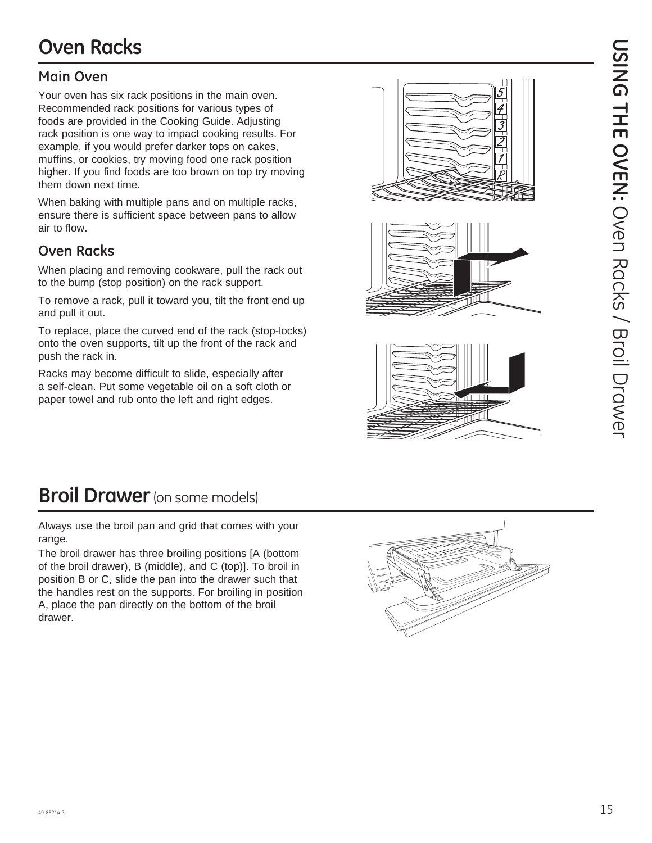### **Main Oven**

Your oven has six rack positions in the main oven. Recommended rack positions for various types of foods are provided in the Cooking Guide. Adjusting rack position is one way to impact cooking results. For example, if you would prefer darker tops on cakes, muffins, or cookies, try moving food one rack position higher. If you find foods are too brown on top try moving them down next time.

When baking with multiple pans and on multiple racks, ensure there is sufficient space between pans to allow air to flow.

### **Oven Racks**

When placing and removing cookware, pull the rack out to the bump (stop position) on the rack support.

To remove a rack, pull it toward you, tilt the front end up and pull it out.

To replace, place the curved end of the rack (stop-locks) onto the oven supports, tilt up the front of the rack and push the rack in.

Racks may become difficult to slide, especially after a self-clean. Put some vegetable oil on a soft cloth or paper towel and rub onto the left and right edges.







## **Broil Drawer** (on some models)

Always use the broil pan and grid that comes with your range.

The broil drawer has three broiling positions [A (bottom of the broil drawer), B (middle), and C (top)]. To broil in position B or C, slide the pan into the drawer such that the handles rest on the supports. For broiling in position A, place the pan directly on the bottom of the broil drawer.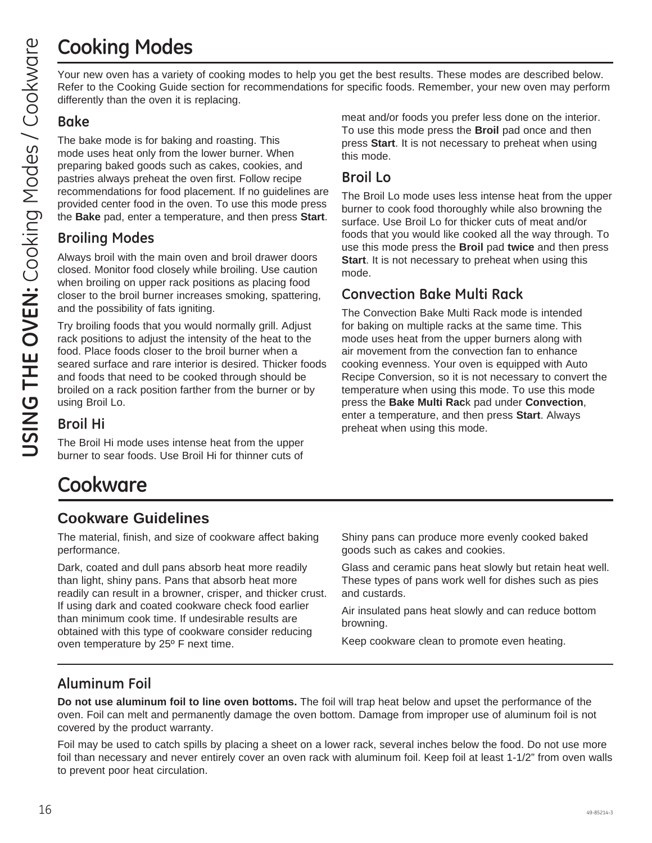## **Cooking Modes**

Your new oven has a variety of cooking modes to help you get the best results. These modes are described below. Refer to the Cooking Guide section for recommendations for specific foods. Remember, your new oven may perform differently than the oven it is replacing.

### **Bake**

The bake mode is for baking and roasting. This mode uses heat only from the lower burner. When preparing baked goods such as cakes, cookies, and pastries always preheat the oven first. Follow recipe recommendations for food placement. If no guidelines are provided center food in the oven. To use this mode press the **Bake** pad, enter a temperature, and then press **Start**.

### **Broiling Modes**

Always broil with the main oven and broil drawer doors closed. Monitor food closely while broiling. Use caution when broiling on upper rack positions as placing food closer to the broil burner increases smoking, spattering, and the possibility of fats igniting.

Try broiling foods that you would normally grill. Adjust rack positions to adjust the intensity of the heat to the food. Place foods closer to the broil burner when a seared surface and rare interior is desired. Thicker foods and foods that need to be cooked through should be broiled on a rack position farther from the burner or by using Broil Lo.

**Broil Hi**

The Broil Hi mode uses intense heat from the upper burner to sear foods. Use Broil Hi for thinner cuts of meat and/or foods you prefer less done on the interior. To use this mode press the **Broil** pad once and then press **Start**. It is not necessary to preheat when using this mode.

### **Broil Lo**

The Broil Lo mode uses less intense heat from the upper burner to cook food thoroughly while also browning the surface. Use Broil Lo for thicker cuts of meat and/or foods that you would like cooked all the way through. To use this mode press the **Broil** pad **twice** and then press **Start**. It is not necessary to preheat when using this mode.

### **Convection Bake Multi Rack**

The Convection Bake Multi Rack mode is intended for baking on multiple racks at the same time. This mode uses heat from the upper burners along with air movement from the convection fan to enhance cooking evenness. Your oven is equipped with Auto Recipe Conversion, so it is not necessary to convert the temperature when using this mode. To use this mode press the **Bake Multi Rac**k pad under **Convection**, enter a temperature, and then press **Start**. Always preheat when using this mode.

## **Cookware**

### **Cookware Guidelines**

The material, finish, and size of cookware affect baking performance.

Dark, coated and dull pans absorb heat more readily than light, shiny pans. Pans that absorb heat more readily can result in a browner, crisper, and thicker crust. If using dark and coated cookware check food earlier than minimum cook time. If undesirable results are obtained with this type of cookware consider reducing oven temperature by 25º F next time.

Shiny pans can produce more evenly cooked baked goods such as cakes and cookies.

Glass and ceramic pans heat slowly but retain heat well. These types of pans work well for dishes such as pies and custards.

Air insulated pans heat slowly and can reduce bottom browning.

Keep cookware clean to promote even heating.

## **Aluminum Foil**

**Do not use aluminum foil to line oven bottoms.** The foil will trap heat below and upset the performance of the oven. Foil can melt and permanently damage the oven bottom. Damage from improper use of aluminum foil is not covered by the product warranty.

Foil may be used to catch spills by placing a sheet on a lower rack, several inches below the food. Do not use more foil than necessary and never entirely cover an oven rack with aluminum foil. Keep foil at least 1-1/2" from oven walls to prevent poor heat circulation.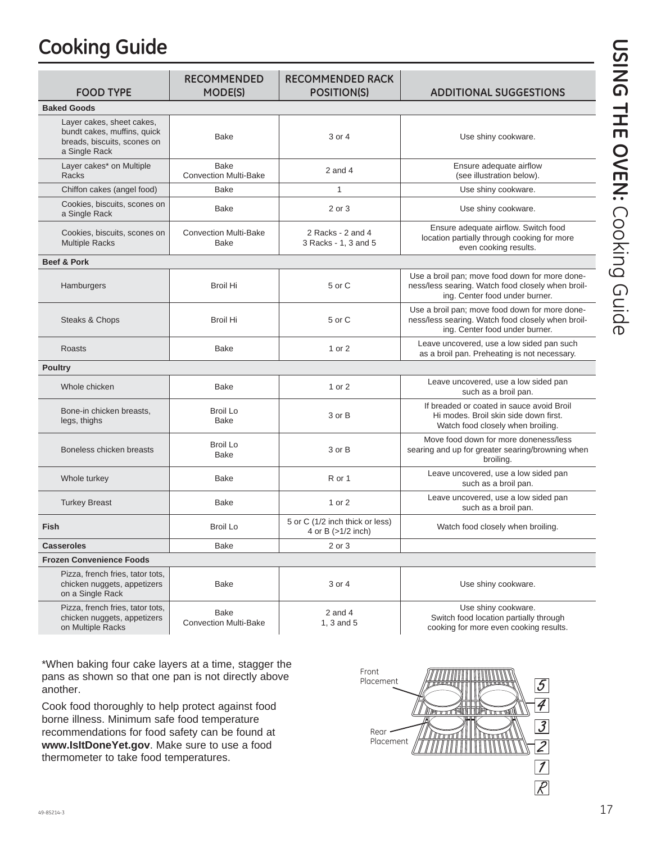## **Cooking Guide**

| <b>FOOD TYPE</b>                                                                                         | <b>RECOMMENDED</b><br><b>MODE(S)</b>        | <b>RECOMMENDED RACK</b><br><b>POSITION(S)</b>         | <b>ADDITIONAL SUGGESTIONS</b>                                                                                                         |  |
|----------------------------------------------------------------------------------------------------------|---------------------------------------------|-------------------------------------------------------|---------------------------------------------------------------------------------------------------------------------------------------|--|
| <b>Baked Goods</b>                                                                                       |                                             |                                                       |                                                                                                                                       |  |
| Layer cakes, sheet cakes,<br>bundt cakes, muffins, quick<br>breads, biscuits, scones on<br>a Single Rack | <b>Bake</b>                                 | 3 or 4                                                | Use shiny cookware.                                                                                                                   |  |
| Layer cakes* on Multiple<br>Racks                                                                        | <b>Bake</b><br><b>Convection Multi-Bake</b> | $2$ and $4$                                           | Ensure adequate airflow<br>(see illustration below).                                                                                  |  |
| Chiffon cakes (angel food)                                                                               | <b>Bake</b>                                 | $\mathbf{1}$                                          | Use shiny cookware.                                                                                                                   |  |
| Cookies, biscuits, scones on<br>a Single Rack                                                            | <b>Bake</b>                                 | 2 or 3                                                | Use shiny cookware.                                                                                                                   |  |
| Cookies, biscuits, scones on<br><b>Multiple Racks</b>                                                    | <b>Convection Multi-Bake</b><br><b>Bake</b> | 2 Racks - 2 and 4<br>3 Racks - 1, 3 and 5             | Ensure adequate airflow. Switch food<br>location partially through cooking for more<br>even cooking results.                          |  |
| <b>Beef &amp; Pork</b>                                                                                   |                                             |                                                       |                                                                                                                                       |  |
| Hamburgers                                                                                               | Broil Hi                                    | 5 or C                                                | Use a broil pan; move food down for more done-<br>ness/less searing. Watch food closely when broil-<br>ing. Center food under burner. |  |
| Steaks & Chops                                                                                           | <b>Broil Hi</b>                             | 5 or C                                                | Use a broil pan; move food down for more done-<br>ness/less searing. Watch food closely when broil-<br>ing. Center food under burner. |  |
| <b>Roasts</b>                                                                                            | <b>Bake</b>                                 | 1 or 2                                                | Leave uncovered, use a low sided pan such<br>as a broil pan. Preheating is not necessary.                                             |  |
| <b>Poultry</b>                                                                                           |                                             |                                                       |                                                                                                                                       |  |
| Whole chicken                                                                                            | <b>Bake</b>                                 | 1 or 2                                                | Leave uncovered, use a low sided pan<br>such as a broil pan.                                                                          |  |
| Bone-in chicken breasts,<br>legs, thighs                                                                 | <b>Broil Lo</b><br><b>Bake</b>              | 3 or B                                                | If breaded or coated in sauce avoid Broil<br>Hi modes. Broil skin side down first.<br>Watch food closely when broiling.               |  |
| Boneless chicken breasts                                                                                 | <b>Broil Lo</b><br><b>Bake</b>              | 3 or B                                                | Move food down for more doneness/less<br>searing and up for greater searing/browning when<br>broiling.                                |  |
| Whole turkey                                                                                             | <b>Bake</b>                                 | R or 1                                                | Leave uncovered, use a low sided pan<br>such as a broil pan.                                                                          |  |
| <b>Turkey Breast</b>                                                                                     | <b>Bake</b>                                 | 1 or 2                                                | Leave uncovered, use a low sided pan<br>such as a broil pan.                                                                          |  |
| Fish                                                                                                     | <b>Broil Lo</b>                             | 5 or C (1/2 inch thick or less)<br>4 or B (>1/2 inch) | Watch food closely when broiling.                                                                                                     |  |
| <b>Casseroles</b>                                                                                        | <b>Bake</b>                                 | 2 or 3                                                |                                                                                                                                       |  |
| <b>Frozen Convenience Foods</b>                                                                          |                                             |                                                       |                                                                                                                                       |  |
| Pizza, french fries, tator tots,<br>chicken nuggets, appetizers<br>on a Single Rack                      | <b>Bake</b>                                 | 3 or 4                                                | Use shiny cookware.                                                                                                                   |  |
| Pizza, french fries, tator tots,<br>chicken nuggets, appetizers                                          | <b>Bake</b><br>Convention Multi Delce       | 2 and $4$<br>$\Delta$ $\Omega$ and $\Gamma$           | Use shiny cookware.<br>Switch food location partially through                                                                         |  |

Convection Multi-Bake

1, 3 and 5

Switch food location partially through cooking for more even cooking results.

\*When baking four cake layers at a time, stagger the pans as shown so that one pan is not directly above another.

Cook food thoroughly to help protect against food borne illness. Minimum safe food temperature recommendations for food safety can be found at **www.IsItDoneYet.gov**. Make sure to use a food thermometer to take food temperatures.



on Multiple Racks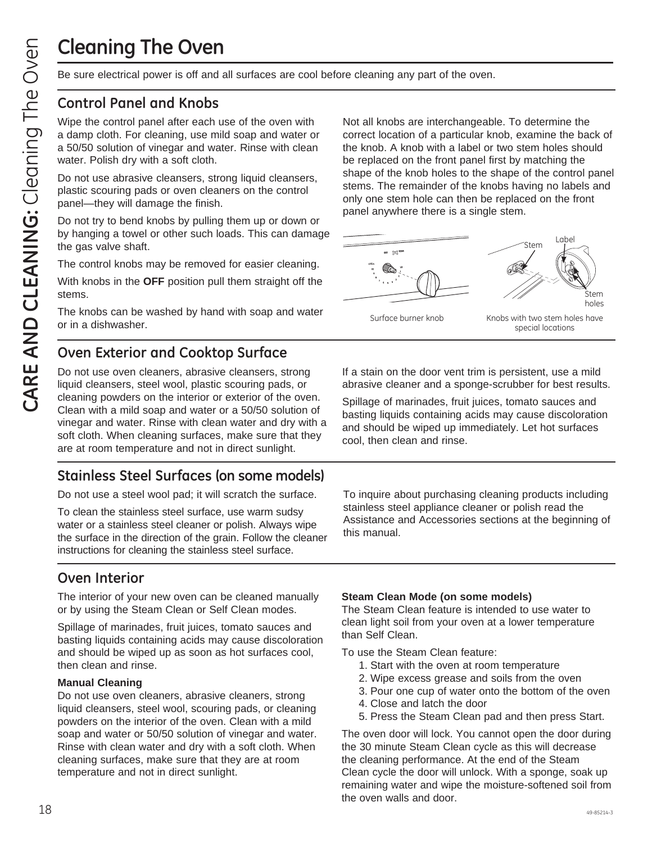## **Cleaning The Oven**

Be sure electrical power is off and all surfaces are cool before cleaning any part of the oven.

### **Control Panel and Knobs**

Wipe the control panel after each use of the oven with a damp cloth. For cleaning, use mild soap and water or a 50/50 solution of vinegar and water. Rinse with clean water. Polish dry with a soft cloth.

Do not use abrasive cleansers, strong liquid cleansers, plastic scouring pads or oven cleaners on the control panel—they will damage the finish.

Do not try to bend knobs by pulling them up or down or by hanging a towel or other such loads. This can damage the gas valve shaft.

The control knobs may be removed for easier cleaning.

With knobs in the **OFF** position pull them straight off the stems.

The knobs can be washed by hand with soap and water or in a dishwasher.

### **Oven Exterior and Cooktop Surface**

Do not use oven cleaners, abrasive cleansers, strong liquid cleansers, steel wool, plastic scouring pads, or cleaning powders on the interior or exterior of the oven. Clean with a mild soap and water or a 50/50 solution of vinegar and water. Rinse with clean water and dry with a soft cloth. When cleaning surfaces, make sure that they are at room temperature and not in direct sunlight.

### **Stainless Steel Surfaces (on some models)**

Do not use a steel wool pad; it will scratch the surface.

To clean the stainless steel surface, use warm sudsy water or a stainless steel cleaner or polish. Always wipe the surface in the direction of the grain. Follow the cleaner instructions for cleaning the stainless steel surface.

### **Oven Interior**

The interior of your new oven can be cleaned manually or by using the Steam Clean or Self Clean modes.

Spillage of marinades, fruit juices, tomato sauces and basting liquids containing acids may cause discoloration and should be wiped up as soon as hot surfaces cool, then clean and rinse.

#### **Manual Cleaning**

Do not use oven cleaners, abrasive cleaners, strong liquid cleansers, steel wool, scouring pads, or cleaning powders on the interior of the oven. Clean with a mild soap and water or 50/50 solution of vinegar and water. Rinse with clean water and dry with a soft cloth. When cleaning surfaces, make sure that they are at room temperature and not in direct sunlight.

Not all knobs are interchangeable. To determine the correct location of a particular knob, examine the back of the knob. A knob with a label or two stem holes should be replaced on the front panel first by matching the shape of the knob holes to the shape of the control panel stems. The remainder of the knobs having no labels and only one stem hole can then be replaced on the front panel anywhere there is a single stem.



If a stain on the door vent trim is persistent, use a mild abrasive cleaner and a sponge-scrubber for best results.

Spillage of marinades, fruit juices, tomato sauces and basting liquids containing acids may cause discoloration and should be wiped up immediately. Let hot surfaces cool, then clean and rinse.

To inquire about purchasing cleaning products including stainless steel appliance cleaner or polish read the Assistance and Accessories sections at the beginning of this manual.

#### **Steam Clean Mode (on some models)**

The Steam Clean feature is intended to use water to clean light soil from your oven at a lower temperature than Self Clean.

To use the Steam Clean feature:

- 1. Start with the oven at room temperature
- 2. Wipe excess grease and soils from the oven
- 3. Pour one cup of water onto the bottom of the oven
- 4. Close and latch the door
- 5. Press the Steam Clean pad and then press Start.

The oven door will lock. You cannot open the door during the 30 minute Steam Clean cycle as this will decrease the cleaning performance. At the end of the Steam Clean cycle the door will unlock. With a sponge, soak up remaining water and wipe the moisture-softened soil from the oven walls and door.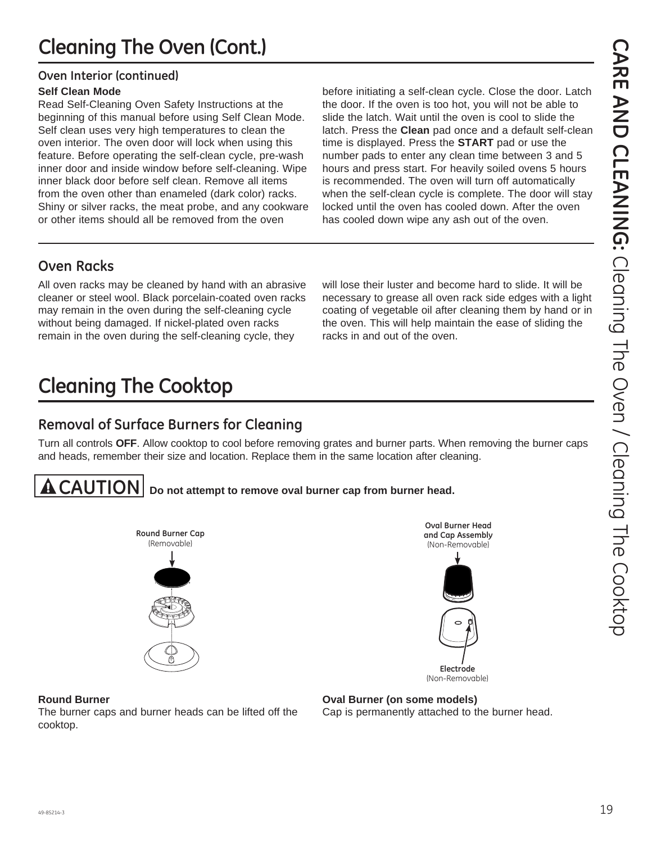### **Oven Interior (continued)**

#### **Self Clean Mode**

Read Self-Cleaning Oven Safety Instructions at the beginning of this manual before using Self Clean Mode. Self clean uses very high temperatures to clean the oven interior. The oven door will lock when using this feature. Before operating the self-clean cycle, pre-wash inner door and inside window before self-cleaning. Wipe inner black door before self clean. Remove all items from the oven other than enameled (dark color) racks. Shiny or silver racks, the meat probe, and any cookware or other items should all be removed from the oven

before initiating a self-clean cycle. Close the door. Latch the door. If the oven is too hot, you will not be able to slide the latch. Wait until the oven is cool to slide the latch. Press the **Clean** pad once and a default self-clean time is displayed. Press the **START** pad or use the number pads to enter any clean time between 3 and 5 hours and press start. For heavily soiled ovens 5 hours is recommended. The oven will turn off automatically when the self-clean cycle is complete. The door will stay locked until the oven has cooled down. After the oven has cooled down wipe any ash out of the oven.

## **Oven Racks**

All oven racks may be cleaned by hand with an abrasive cleaner or steel wool. Black porcelain-coated oven racks may remain in the oven during the self-cleaning cycle without being damaged. If nickel-plated oven racks remain in the oven during the self-cleaning cycle, they

will lose their luster and become hard to slide. It will be necessary to grease all oven rack side edges with a light coating of vegetable oil after cleaning them by hand or in the oven. This will help maintain the ease of sliding the racks in and out of the oven.

# **Cleaning The Cooktop**

### **Removal of Surface Burners for Cleaning**

Turn all controls **OFF**. Allow cooktop to cool before removing grates and burner parts. When removing the burner caps and heads, remember their size and location. Replace them in the same location after cleaning.



**CAUTION Do not attempt to remove oval burner cap from burner head.**



**Oval Burner Head and Cap Assembly** (Non-Removable)



(Non-Removable)

#### **Round Burner**

The burner caps and burner heads can be lifted off the cooktop.

Cap is permanently attached to the burner head.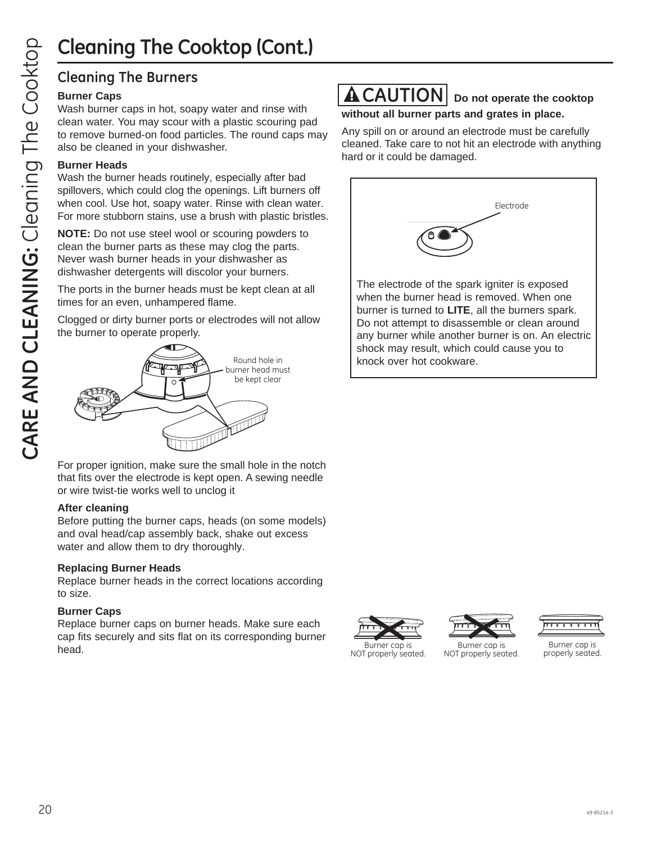# **Cleaning The Cooktop (Cont.)**

### **Cleaning The Burners**

#### **Burner Caps**

Wash burner caps in hot, soapy water and rinse with clean water. You may scour with a plastic scouring pad to remove burned-on food particles. The round caps may also be cleaned in your dishwasher.

#### **Burner Heads**

Wash the burner heads routinely, especially after bad spillovers, which could clog the openings. Lift burners off when cool. Use hot, soapy water. Rinse with clean water. For more stubborn stains, use a brush with plastic bristles.

**NOTE:** Do not use steel wool or scouring powders to clean the burner parts as these may clog the parts. Never wash burner heads in your dishwasher as dishwasher detergents will discolor your burners.

The ports in the burner heads must be kept clean at all times for an even, unhampered flame.

Clogged or dirty burner ports or electrodes will not allow the burner to operate properly.



For proper ignition, make sure the small hole in the notch that fits over the electrode is kept open. A sewing needle or wire twist-tie works well to unclog it

#### **After cleaning**

Before putting the burner caps, heads (on some models) and oval head/cap assembly back, shake out excess water and allow them to dry thoroughly.

#### **Replacing Burner Heads**

Replace burner heads in the correct locations according to size.

### **Burner Caps**

Replace burner caps on burner heads. Make sure each cap fits securely and sits flat on its corresponding burner Burner cap is Burner cap is Burner cap is Burner cap is Burner cap is Burner cap is Burner cap is and the Burner cap is a context of the Burner cap is and the Burner cap is and the Burner cap is and the Burner cap is and t

### **A CAUTION** Do not operate the cooktop **without all burner parts and grates in place.**

Any spill on or around an electrode must be carefully cleaned. Take care to not hit an electrode with anything hard or it could be damaged.



The electrode of the spark igniter is exposed when the burner head is removed. When one burner is turned to **LITE**, all the burners spark. Do not attempt to disassemble or clean around any burner while another burner is on. An electric shock may result, which could cause you to Round hole in **knock over hot cookware.** 







properly seated. Burner cap is NOT properly seated.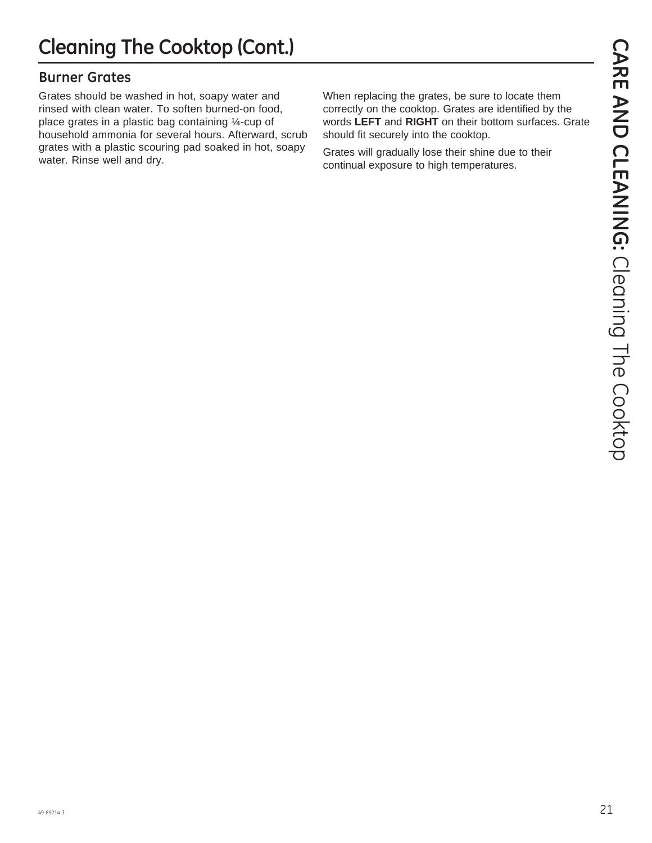### **Burner Grates**

Grates should be washed in hot, soapy water and rinsed with clean water. To soften burned-on food, place grates in a plastic bag containing ¼-cup of household ammonia for several hours. Afterward, scrub grates with a plastic scouring pad soaked in hot, soapy water. Rinse well and dry.

When replacing the grates, be sure to locate them correctly on the cooktop. Grates are identified by the words **LEFT** and **RIGHT** on their bottom surfaces. Grate should fit securely into the cooktop.

Grates will gradually lose their shine due to their continual exposure to high temperatures.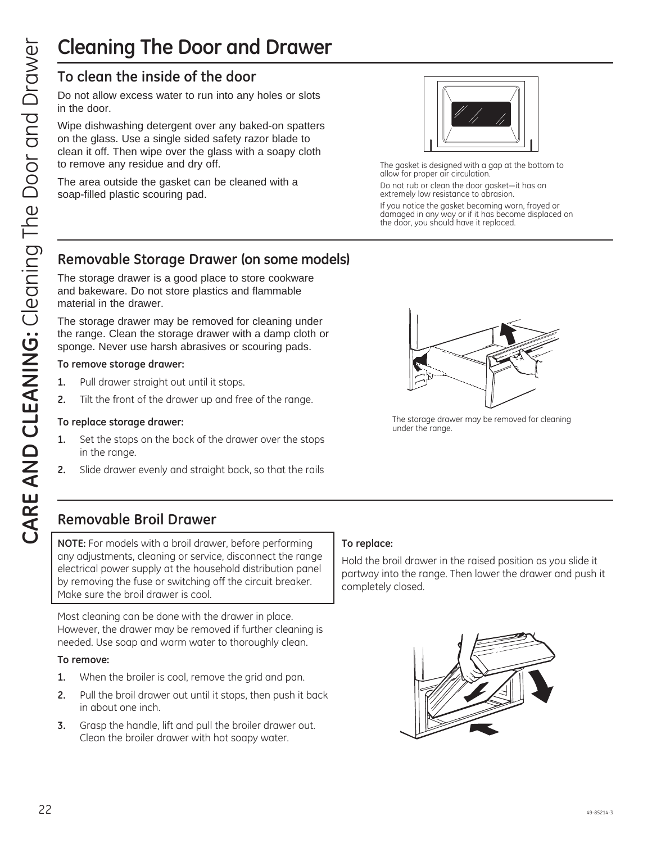### **To clean the inside of the door**

Do not allow excess water to run into any holes or slots in the door.

Wipe dishwashing detergent over any baked-on spatters on the glass. Use a single sided safety razor blade to clean it off. Then wipe over the glass with a soapy cloth to remove any residue and dry off.

The area outside the gasket can be cleaned with a soap-filled plastic scouring pad.



The gasket is designed with a gap at the bottom to allow for proper air circulation.

Do not rub or clean the door gasket-it has an extremely low resistance to abrasion.

If you notice the gasket becoming worn, frayed or damaged in any way or if it has become displaced on the door, you should have it replaced.

### **Removable Storage Drawer (on some models)**

The storage drawer is a good place to store cookware and bakeware. Do not store plastics and flammable material in the drawer.

The storage drawer may be removed for cleaning under the range. Clean the storage drawer with a damp cloth or sponge. Never use harsh abrasives or scouring pads.

#### **To remove storage drawer:**

- **1.** Pull drawer straight out until it stops.
- **2.** Tilt the front of the drawer up and free of the range.

#### **To replace storage drawer:**

- **1.** Set the stops on the back of the drawer over the stops in the range.
- **2.** Slide drawer evenly and straight back, so that the rails



The storage drawer may be removed for cleaning under the range.

### **Removable Broil Drawer**

**NOTE:** For models with a broil drawer, before performing any adjustments, cleaning or service, disconnect the range electrical power supply at the household distribution panel by removing the fuse or switching off the circuit breaker. Make sure the broil drawer is cool.

Most cleaning can be done with the drawer in place. However, the drawer may be removed if further cleaning is needed. Use soap and warm water to thoroughly clean.

#### **To remove:**

- **1.** When the broiler is cool, remove the grid and pan.
- **2.** Pull the broil drawer out until it stops, then push it back in about one inch.
- **3.** Grasp the handle, lift and pull the broiler drawer out. Clean the broiler drawer with hot soapy water.

#### **To replace:**

Hold the broil drawer in the raised position as you slide it partway into the range. Then lower the drawer and push it completely closed.

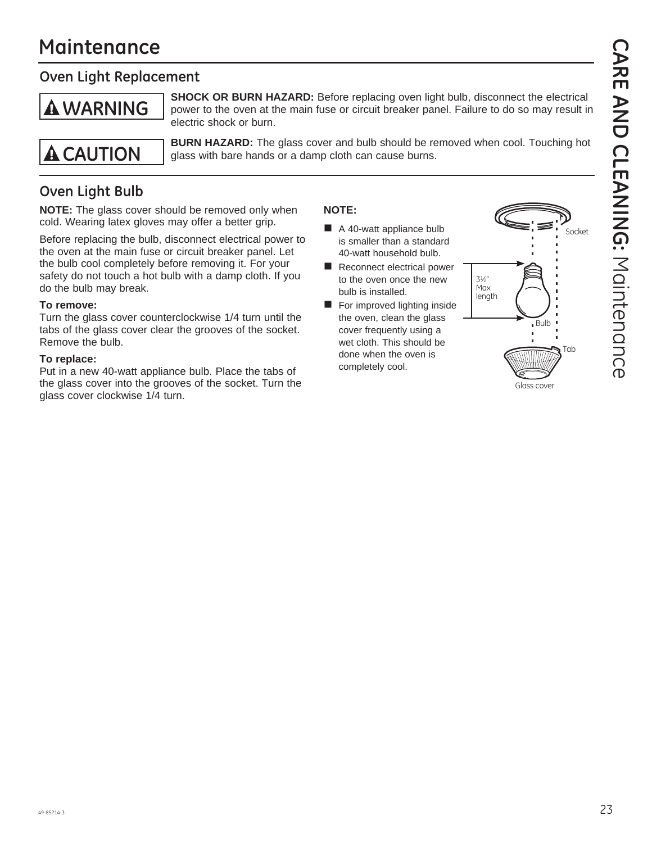## **Maintenance**

### **Oven Light Replacement**

## **WARNING**

**SHOCK OR BURN HAZARD:** Before replacing oven light bulb, disconnect the electrical power to the oven at the main fuse or circuit breaker panel. Failure to do so may result in electric shock or burn.



 **BURN HAZARD:** The glass cover and bulb should be removed when cool. Touching hot **A CAUTION** glass with bare hands or a damp cloth can cause burns.

## **Oven Light Bulb**

**NOTE:** The glass cover should be removed only when cold. Wearing latex gloves may offer a better grip.

Before replacing the bulb, disconnect electrical power to the oven at the main fuse or circuit breaker panel. Let the bulb cool completely before removing it. For your safety do not touch a hot bulb with a damp cloth. If you do the bulb may break.

#### **To remove:**

Turn the glass cover counterclockwise 1/4 turn until the tabs of the glass cover clear the grooves of the socket. Remove the bulb.

#### **To replace:**

Put in a new 40-watt appliance bulb. Place the tabs of the glass cover into the grooves of the socket. Turn the glass cover clockwise 1/4 turn.

#### **NOTE:**

- A 40-watt appliance bulb is smaller than a standard 40-watt household bulb.
- Reconnect electrical power to the oven once the new bulb is installed.
- For improved lighting inside the oven, clean the glass cover frequently using a wet cloth. This should be done when the oven is completely cool.

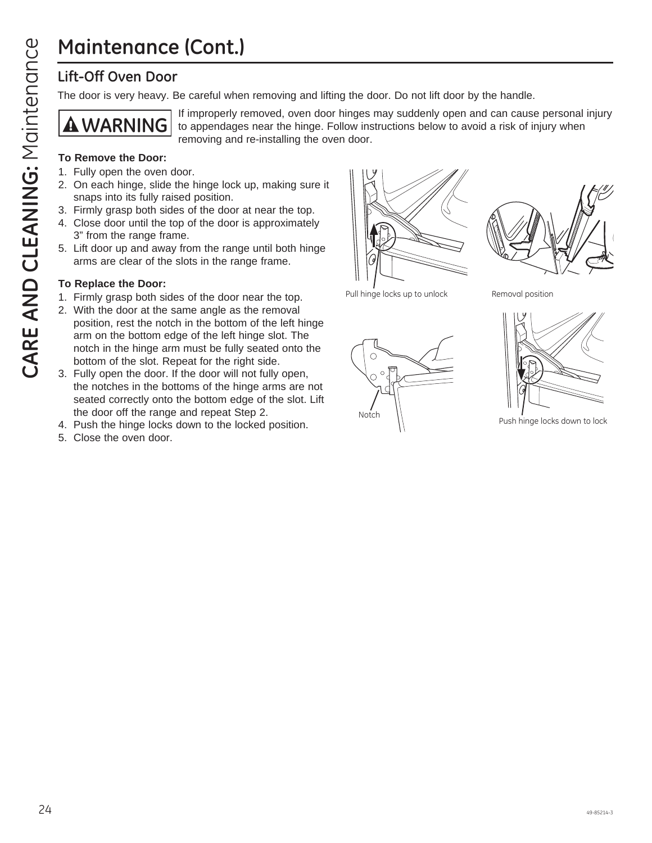## **Maintenance (Cont.)**

### **Lift-Off Oven Door**

The door is very heavy. Be careful when removing and lifting the door. Do not lift door by the handle.



If improperly removed, oven door hinges may suddenly open and can cause personal injury to appendages near the hinge. Follow instructions below to avoid a risk of injury when removing and re-installing the oven door.

#### **To Remove the Door:**

- 1. Fully open the oven door.
- 2. On each hinge, slide the hinge lock up, making sure it snaps into its fully raised position.
- 3. Firmly grasp both sides of the door at near the top.
- 4. Close door until the top of the door is approximately 3" from the range frame.
- 5. Lift door up and away from the range until both hinge arms are clear of the slots in the range frame.

#### **To Replace the Door:**

- 1. Firmly grasp both sides of the door near the top.
- 2. With the door at the same angle as the removal position, rest the notch in the bottom of the left hinge arm on the bottom edge of the left hinge slot. The notch in the hinge arm must be fully seated onto the bottom of the slot. Repeat for the right side.
- 3. Fully open the door. If the door will not fully open, the notches in the bottoms of the hinge arms are not seated correctly onto the bottom edge of the slot. Lift the door off the range and repeat Step 2.
- 4. Push the hinge locks down to the locked position.
- 5. Close the oven door.





Pull hinge locks up to unlock



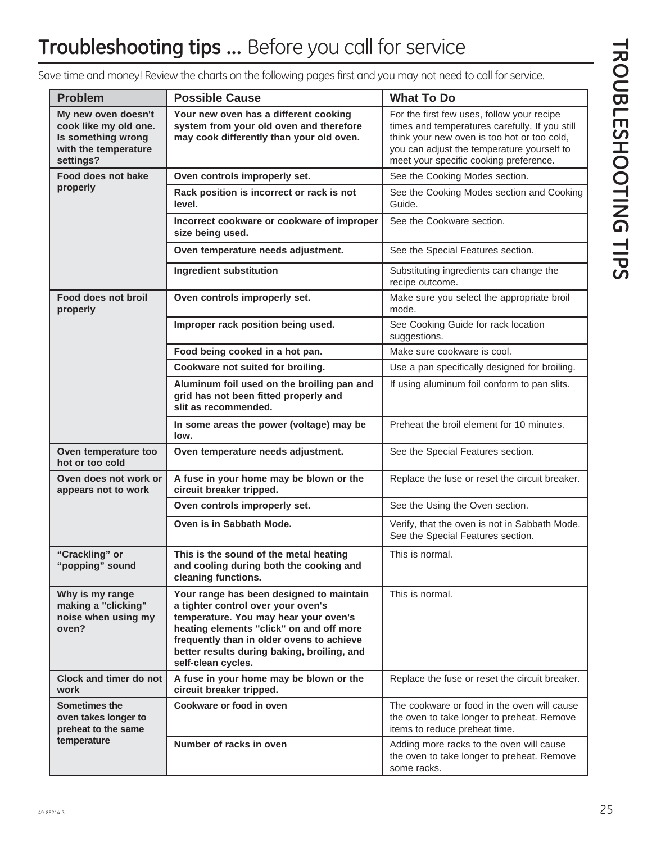| <b>Problem</b>                                                                                          | <b>Possible Cause</b>                                                                                                                                                                                                                                                                 | <b>What To Do</b>                                                                                                                                                                                                                   |
|---------------------------------------------------------------------------------------------------------|---------------------------------------------------------------------------------------------------------------------------------------------------------------------------------------------------------------------------------------------------------------------------------------|-------------------------------------------------------------------------------------------------------------------------------------------------------------------------------------------------------------------------------------|
| My new oven doesn't<br>cook like my old one.<br>Is something wrong<br>with the temperature<br>settings? | Your new oven has a different cooking<br>system from your old oven and therefore<br>may cook differently than your old oven.                                                                                                                                                          | For the first few uses, follow your recipe<br>times and temperatures carefully. If you still<br>think your new oven is too hot or too cold,<br>you can adjust the temperature yourself to<br>meet your specific cooking preference. |
| Food does not bake                                                                                      | Oven controls improperly set.                                                                                                                                                                                                                                                         | See the Cooking Modes section.                                                                                                                                                                                                      |
| properly                                                                                                | Rack position is incorrect or rack is not<br>level.                                                                                                                                                                                                                                   | See the Cooking Modes section and Cooking<br>Guide.                                                                                                                                                                                 |
|                                                                                                         | Incorrect cookware or cookware of improper<br>size being used.                                                                                                                                                                                                                        | See the Cookware section.                                                                                                                                                                                                           |
|                                                                                                         | Oven temperature needs adjustment.                                                                                                                                                                                                                                                    | See the Special Features section.                                                                                                                                                                                                   |
|                                                                                                         | Ingredient substitution                                                                                                                                                                                                                                                               | Substituting ingredients can change the<br>recipe outcome.                                                                                                                                                                          |
| Food does not broil<br>properly                                                                         | Oven controls improperly set.                                                                                                                                                                                                                                                         | Make sure you select the appropriate broil<br>mode.                                                                                                                                                                                 |
|                                                                                                         | Improper rack position being used.                                                                                                                                                                                                                                                    | See Cooking Guide for rack location<br>suggestions.                                                                                                                                                                                 |
|                                                                                                         | Food being cooked in a hot pan.                                                                                                                                                                                                                                                       | Make sure cookware is cool.                                                                                                                                                                                                         |
|                                                                                                         | Cookware not suited for broiling.                                                                                                                                                                                                                                                     | Use a pan specifically designed for broiling.                                                                                                                                                                                       |
|                                                                                                         | Aluminum foil used on the broiling pan and<br>grid has not been fitted properly and<br>slit as recommended.                                                                                                                                                                           | If using aluminum foil conform to pan slits.                                                                                                                                                                                        |
|                                                                                                         | In some areas the power (voltage) may be<br>low.                                                                                                                                                                                                                                      | Preheat the broil element for 10 minutes.                                                                                                                                                                                           |
| Oven temperature too<br>hot or too cold                                                                 | Oven temperature needs adjustment.                                                                                                                                                                                                                                                    | See the Special Features section.                                                                                                                                                                                                   |
| Oven does not work or<br>appears not to work                                                            | A fuse in your home may be blown or the<br>circuit breaker tripped.                                                                                                                                                                                                                   | Replace the fuse or reset the circuit breaker.                                                                                                                                                                                      |
|                                                                                                         | Oven controls improperly set.                                                                                                                                                                                                                                                         | See the Using the Oven section.                                                                                                                                                                                                     |
|                                                                                                         | Oven is in Sabbath Mode.                                                                                                                                                                                                                                                              | Verify, that the oven is not in Sabbath Mode.<br>See the Special Features section.                                                                                                                                                  |
| "Crackling" or<br>"popping" sound                                                                       | This is the sound of the metal heating<br>and cooling during both the cooking and<br>cleaning functions.                                                                                                                                                                              | This is normal.                                                                                                                                                                                                                     |
| Why is my range<br>making a "clicking"<br>noise when using my<br>oven?                                  | Your range has been designed to maintain<br>a tighter control over your oven's<br>temperature. You may hear your oven's<br>heating elements "click" on and off more<br>frequently than in older ovens to achieve<br>better results during baking, broiling, and<br>self-clean cycles. | This is normal.                                                                                                                                                                                                                     |
| <b>Clock and timer do not</b><br>work                                                                   | A fuse in your home may be blown or the<br>circuit breaker tripped.                                                                                                                                                                                                                   | Replace the fuse or reset the circuit breaker.                                                                                                                                                                                      |
| Sometimes the<br>oven takes longer to<br>preheat to the same                                            | Cookware or food in oven                                                                                                                                                                                                                                                              | The cookware or food in the oven will cause<br>the oven to take longer to preheat. Remove<br>items to reduce preheat time.                                                                                                          |
| temperature                                                                                             | Number of racks in oven                                                                                                                                                                                                                                                               | Adding more racks to the oven will cause<br>the oven to take longer to preheat. Remove<br>some racks.                                                                                                                               |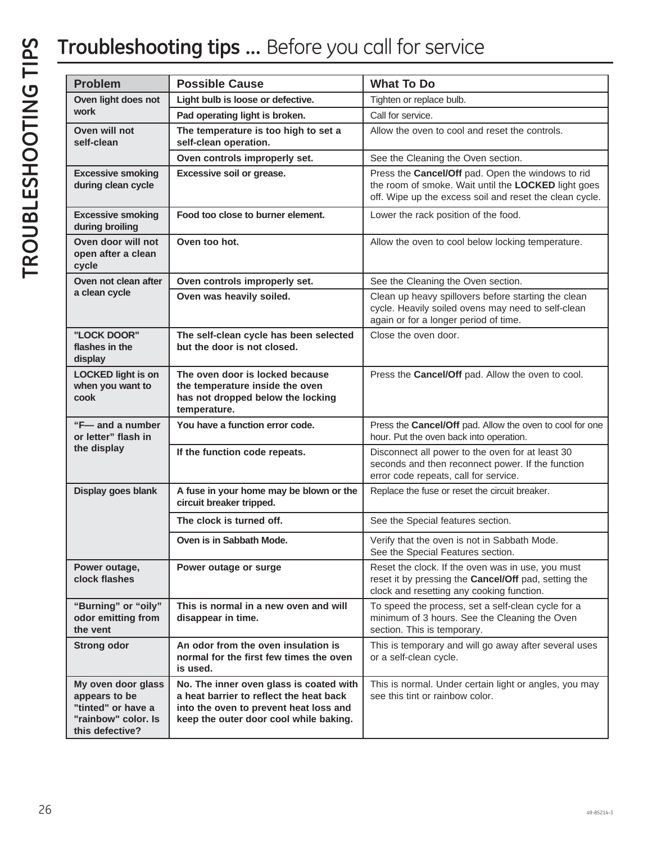## **Troubleshooting tips ...** Before you call for service

| <b>Problem</b>                                                                                      | <b>Possible Cause</b>                                                                                                                                                  | <b>What To Do</b>                                                                                                                                                   |
|-----------------------------------------------------------------------------------------------------|------------------------------------------------------------------------------------------------------------------------------------------------------------------------|---------------------------------------------------------------------------------------------------------------------------------------------------------------------|
| Oven light does not                                                                                 | Light bulb is loose or defective.                                                                                                                                      | Tighten or replace bulb.                                                                                                                                            |
| work                                                                                                | Pad operating light is broken.                                                                                                                                         | Call for service.                                                                                                                                                   |
| Oven will not<br>self-clean                                                                         | The temperature is too high to set a<br>self-clean operation.                                                                                                          | Allow the oven to cool and reset the controls.                                                                                                                      |
|                                                                                                     | Oven controls improperly set.                                                                                                                                          | See the Cleaning the Oven section.                                                                                                                                  |
| <b>Excessive smoking</b><br>during clean cycle                                                      | Excessive soil or grease.                                                                                                                                              | Press the Cancel/Off pad. Open the windows to rid<br>the room of smoke. Wait until the LOCKED light goes<br>off. Wipe up the excess soil and reset the clean cycle. |
| <b>Excessive smoking</b><br>during broiling                                                         | Food too close to burner element.                                                                                                                                      | Lower the rack position of the food.                                                                                                                                |
| Oven door will not<br>open after a clean<br>cycle                                                   | Oven too hot.                                                                                                                                                          | Allow the oven to cool below locking temperature.                                                                                                                   |
| Oven not clean after                                                                                | Oven controls improperly set.                                                                                                                                          | See the Cleaning the Oven section.                                                                                                                                  |
| a clean cycle                                                                                       | Oven was heavily soiled.                                                                                                                                               | Clean up heavy spillovers before starting the clean<br>cycle. Heavily soiled ovens may need to self-clean<br>again or for a longer period of time.                  |
| "LOCK DOOR"<br>flashes in the<br>display                                                            | The self-clean cycle has been selected<br>but the door is not closed.                                                                                                  | Close the oven door.                                                                                                                                                |
| <b>LOCKED light is on</b><br>when you want to<br>cook                                               | The oven door is locked because<br>the temperature inside the oven<br>has not dropped below the locking<br>temperature.                                                | Press the Cancel/Off pad. Allow the oven to cool.                                                                                                                   |
| "F-and a number"<br>or letter" flash in<br>the display                                              | You have a function error code.                                                                                                                                        | Press the Cancel/Off pad. Allow the oven to cool for one<br>hour. Put the oven back into operation.                                                                 |
|                                                                                                     | If the function code repeats.                                                                                                                                          | Disconnect all power to the oven for at least 30<br>seconds and then reconnect power. If the function<br>error code repeats, call for service.                      |
| Display goes blank                                                                                  | A fuse in your home may be blown or the<br>circuit breaker tripped.                                                                                                    | Replace the fuse or reset the circuit breaker.                                                                                                                      |
|                                                                                                     | The clock is turned off.                                                                                                                                               | See the Special features section.                                                                                                                                   |
|                                                                                                     | Oven is in Sabbath Mode.                                                                                                                                               | Verify that the oven is not in Sabbath Mode.<br>See the Special Features section.                                                                                   |
| Power outage,<br>clock flashes                                                                      | Power outage or surge                                                                                                                                                  | Reset the clock. If the oven was in use, you must<br>reset it by pressing the Cancel/Off pad, setting the<br>clock and resetting any cooking function.              |
| "Burning" or "oily"<br>odor emitting from<br>the vent                                               | This is normal in a new oven and will<br>disappear in time.                                                                                                            | To speed the process, set a self-clean cycle for a<br>minimum of 3 hours. See the Cleaning the Oven<br>section. This is temporary.                                  |
| <b>Strong odor</b>                                                                                  | An odor from the oven insulation is<br>normal for the first few times the oven<br>is used.                                                                             | This is temporary and will go away after several uses<br>or a self-clean cycle.                                                                                     |
| My oven door glass<br>appears to be<br>"tinted" or have a<br>"rainbow" color. Is<br>this defective? | No. The inner oven glass is coated with<br>a heat barrier to reflect the heat back<br>into the oven to prevent heat loss and<br>keep the outer door cool while baking. | This is normal. Under certain light or angles, you may<br>see this tint or rainbow color.                                                                           |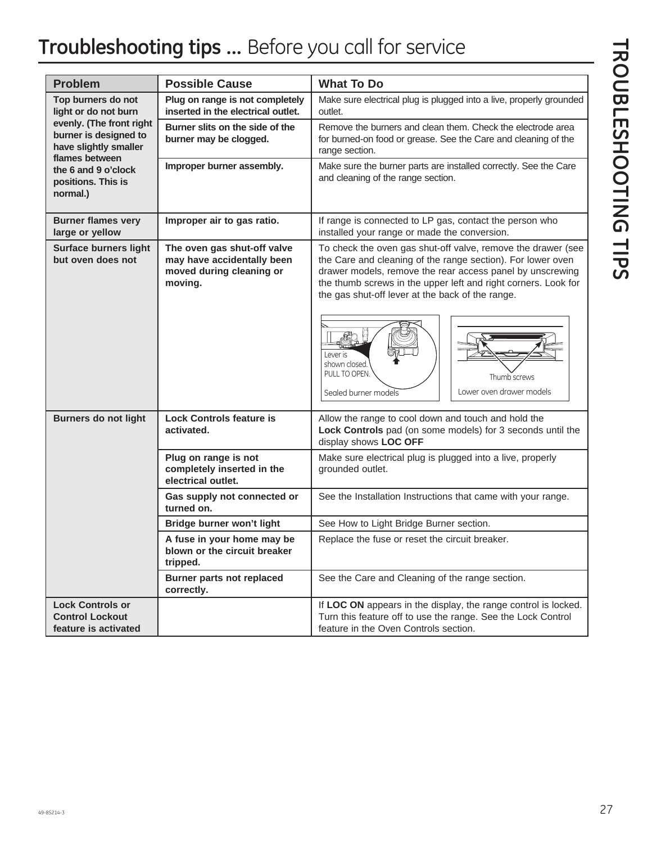## **Troubleshooting tips ...** Before you call for service

| <b>Problem</b>                                                                               | <b>Possible Cause</b>                                                                            | <b>What To Do</b>                                                                                                                                                                                                                                                                                              |  |
|----------------------------------------------------------------------------------------------|--------------------------------------------------------------------------------------------------|----------------------------------------------------------------------------------------------------------------------------------------------------------------------------------------------------------------------------------------------------------------------------------------------------------------|--|
| Top burners do not<br>light or do not burn                                                   | Plug on range is not completely<br>inserted in the electrical outlet.                            | Make sure electrical plug is plugged into a live, properly grounded<br>outlet.                                                                                                                                                                                                                                 |  |
| evenly. (The front right<br>burner is designed to<br>have slightly smaller<br>flames between | Burner slits on the side of the<br>burner may be clogged.                                        | Remove the burners and clean them. Check the electrode area<br>for burned-on food or grease. See the Care and cleaning of the<br>range section.                                                                                                                                                                |  |
| the 6 and 9 o'clock<br>positions. This is<br>normal.)                                        | Improper burner assembly.                                                                        | Make sure the burner parts are installed correctly. See the Care<br>and cleaning of the range section.                                                                                                                                                                                                         |  |
| <b>Burner flames very</b><br>large or yellow                                                 | Improper air to gas ratio.                                                                       | If range is connected to LP gas, contact the person who<br>installed your range or made the conversion.                                                                                                                                                                                                        |  |
| <b>Surface burners light</b><br>but oven does not                                            | The oven gas shut-off valve<br>may have accidentally been<br>moved during cleaning or<br>moving. | To check the oven gas shut-off valve, remove the drawer (see<br>the Care and cleaning of the range section). For lower oven<br>drawer models, remove the rear access panel by unscrewing<br>the thumb screws in the upper left and right corners. Look for<br>the gas shut-off lever at the back of the range. |  |
|                                                                                              |                                                                                                  | Lever is<br>shown closed.<br>PULL TO OPEN.<br>Thumb screws<br>Lower oven drawer models<br>Sealed burner models                                                                                                                                                                                                 |  |
| <b>Burners do not light</b>                                                                  | <b>Lock Controls feature is</b><br>activated.                                                    | Allow the range to cool down and touch and hold the<br>Lock Controls pad (on some models) for 3 seconds until the<br>display shows LOC OFF                                                                                                                                                                     |  |
|                                                                                              | Plug on range is not<br>completely inserted in the<br>electrical outlet.                         | Make sure electrical plug is plugged into a live, properly<br>grounded outlet.                                                                                                                                                                                                                                 |  |
|                                                                                              | Gas supply not connected or<br>turned on.                                                        | See the Installation Instructions that came with your range.                                                                                                                                                                                                                                                   |  |
|                                                                                              | Bridge burner won't light                                                                        | See How to Light Bridge Burner section.                                                                                                                                                                                                                                                                        |  |
|                                                                                              | A fuse in your home may be<br>blown or the circuit breaker<br>tripped.                           | Replace the fuse or reset the circuit breaker.                                                                                                                                                                                                                                                                 |  |
|                                                                                              | <b>Burner parts not replaced</b><br>correctly.                                                   | See the Care and Cleaning of the range section.                                                                                                                                                                                                                                                                |  |
| <b>Lock Controls or</b><br><b>Control Lockout</b><br>feature is activated                    |                                                                                                  | If LOC ON appears in the display, the range control is locked.<br>Turn this feature off to use the range. See the Lock Control<br>feature in the Oven Controls section.                                                                                                                                        |  |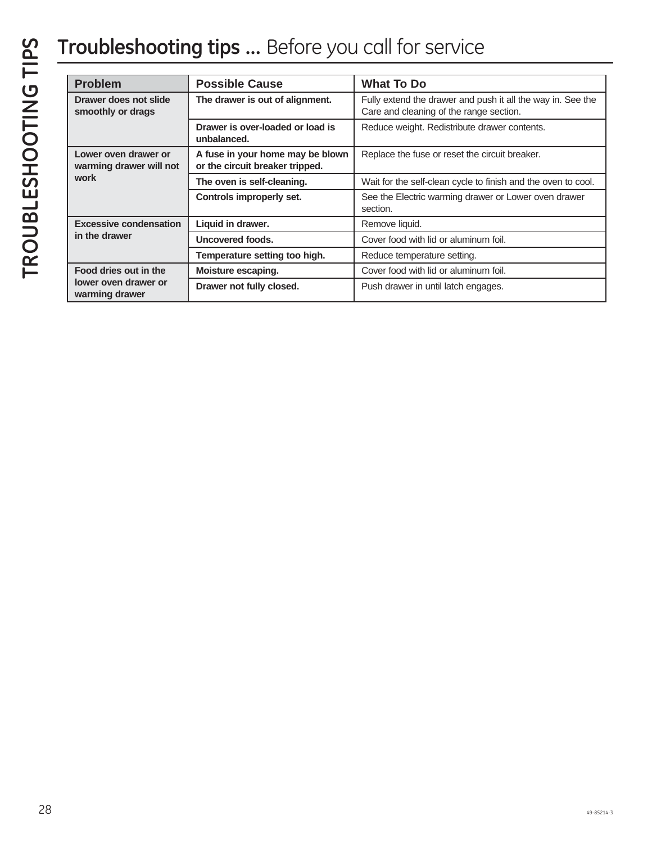## **Troubleshooting tips ...** Before you call for service

| <b>Problem</b>                                          | <b>Possible Cause</b>                                               | <b>What To Do</b>                                                                                      |
|---------------------------------------------------------|---------------------------------------------------------------------|--------------------------------------------------------------------------------------------------------|
| Drawer does not slide<br>smoothly or drags              | The drawer is out of alignment.                                     | Fully extend the drawer and push it all the way in. See the<br>Care and cleaning of the range section. |
|                                                         | Drawer is over-loaded or load is<br>unbalanced.                     | Reduce weight. Redistribute drawer contents.                                                           |
| Lower oven drawer or<br>warming drawer will not<br>work | A fuse in your home may be blown<br>or the circuit breaker tripped. | Replace the fuse or reset the circuit breaker.                                                         |
|                                                         | The oven is self-cleaning.                                          | Wait for the self-clean cycle to finish and the oven to cool.                                          |
|                                                         | Controls improperly set.                                            | See the Electric warming drawer or Lower oven drawer<br>section.                                       |
| <b>Excessive condensation</b>                           | Liquid in drawer.                                                   | Remove liquid.                                                                                         |
| in the drawer                                           | Uncovered foods.                                                    | Cover food with lid or aluminum foil.                                                                  |
|                                                         | Temperature setting too high.                                       | Reduce temperature setting.                                                                            |
| Food dries out in the                                   | Moisture escaping.                                                  | Cover food with lid or aluminum foil.                                                                  |
| lower oven drawer or<br>warming drawer                  | Drawer not fully closed.                                            | Push drawer in until latch engages.                                                                    |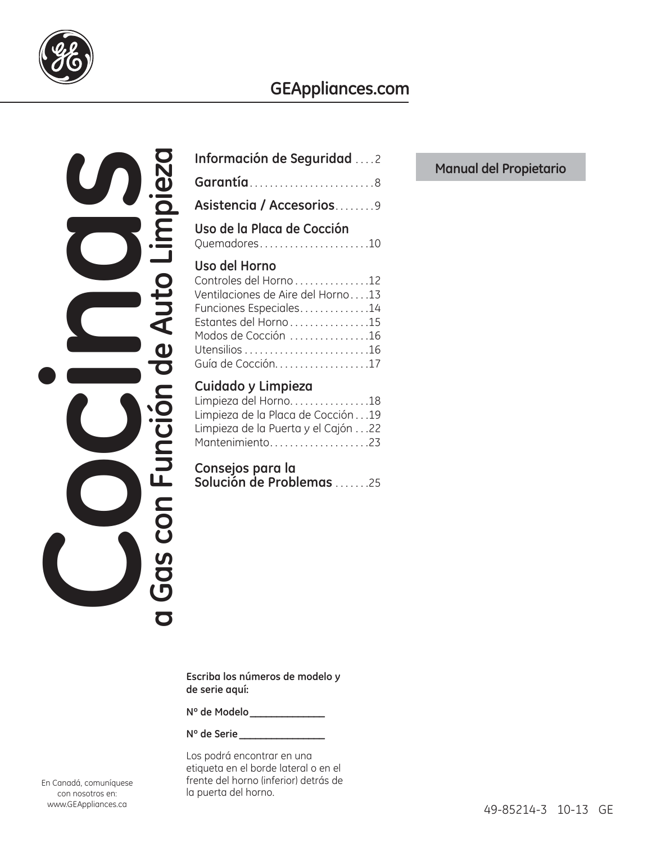

## **GEAppliances.com**

**a Gas con Función de Auto Limpieza**  Gas con Función de Auto Limpieza En Canadá, comuniquese<br>
Con nosotros en:<br>
Con nosotros en:<br>
Con nosotros en:

| Información de Seguridad 2                                                                                                                                                 |
|----------------------------------------------------------------------------------------------------------------------------------------------------------------------------|
| Garantía8                                                                                                                                                                  |
| Asistencia / Accesorios9                                                                                                                                                   |
| Uso de la Placa de Cocción<br>Quemadores10                                                                                                                                 |
| Uso del Horno<br>Controles del Horno 12<br>Ventilaciones de Aire del Horno13<br>Funciones Especiales14<br>Estantes del Horno15<br>Modos de Cocción 16<br>Guía de Cocción17 |
| Cuidado y Limpieza<br>Limpieza del Horno18<br>Limpieza de la Placa de Cocción19<br>Limpieza de la Puerta y el Cajón22<br>Mantenimiento23                                   |
| Consejos para la<br>Solución de Problemas 25                                                                                                                               |
|                                                                                                                                                                            |

**Manual del Propietario**

**Escriba los números de modelo y de serie aquí:**

**Nº de Modelo \_\_\_\_\_\_\_\_\_\_\_\_\_\_**

**Nº de Serie \_\_\_\_\_\_\_\_\_\_\_\_\_\_\_\_**

Los podrá encontrar en una etiqueta en el borde lateral o en el frente del horno (inferior) detrás de la puerta del horno.

En Canadá, comuníquese con nosotros en: www.GEAppliances.ca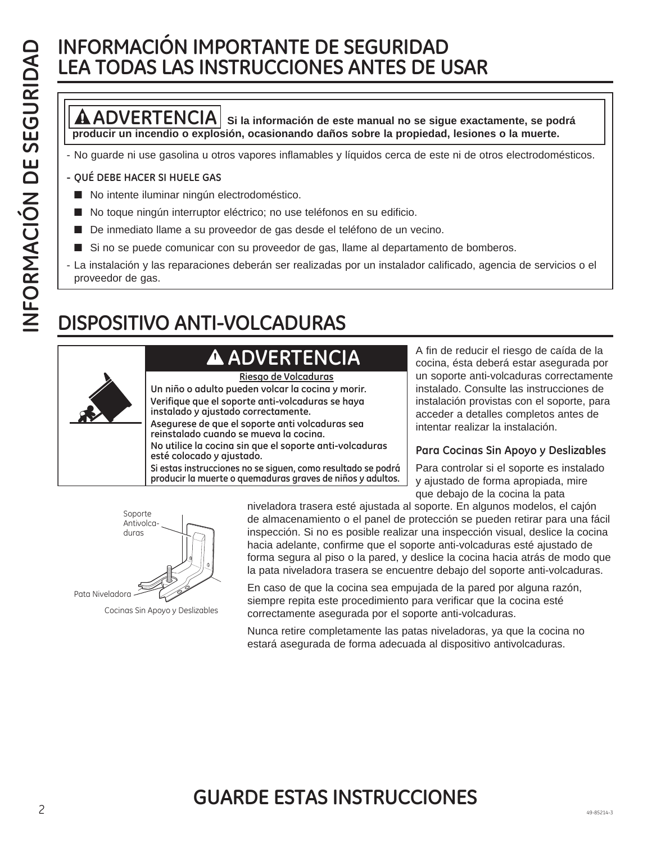## **INFORMACIÓN IMPORTANTE DE SEGURIDAD LEA TODAS LAS INSTRUCCIONES ANTES DE USAR**

### **ADVERTENCIA Si la información de este manual no se sigue exactamente, se podrá producir un incendio o explosión, ocasionando daños sobre la propiedad, lesiones o la muerte.**

- No guarde ni use gasolina u otros vapores inflamables y líquidos cerca de este ni de otros electrodomésticos.

#### **- QUÉ DEBE HACER SI HUELE GAS**

- No intente iluminar ningún electrodoméstico.
- No toque ningún interruptor eléctrico; no use teléfonos en su edificio.
- De inmediato llame a su proveedor de gas desde el teléfono de un vecino.
- Si no se puede comunicar con su proveedor de gas, llame al departamento de bomberos.
- La instalación y las reparaciones deberán ser realizadas por un instalador calificado, agencia de servicios o el proveedor de gas.

## **DISPOSITIVO ANTI-VOLCADURAS**

## **ADVERTENCIA**



**Riesgo de Volcaduras**

**Un niño o adulto pueden volcar la cocina y morir. Verifique que el soporte anti-volcaduras se haya instalado y ajustado correctamente.**

**Asegurese de que el soporte anti volcaduras sea reinstalado cuando se mueva la cocina. No utilice la cocina sin que el soporte anti-volcaduras esté colocado y ajustado.**

**Si estas instrucciones no se siguen, como resultado se podrá producir la muerte o quemaduras graves de niños y adultos.**

A fin de reducir el riesgo de caída de la cocina, ésta deberá estar asegurada por un soporte anti-volcaduras correctamente instalado. Consulte las instrucciones de instalación provistas con el soporte, para acceder a detalles completos antes de intentar realizar la instalación.

### **Para Cocinas Sin Apoyo y Deslizables**

Para controlar si el soporte es instalado y ajustado de forma apropiada, mire que debajo de la cocina la pata



Cocinas Sin Apoyo y Deslizables

niveladora trasera esté ajustada al soporte. En algunos modelos, el cajón de almacenamiento o el panel de protección se pueden retirar para una fácil inspección. Si no es posible realizar una inspección visual, deslice la cocina hacia adelante, confirme que el soporte anti-volcaduras esté ajustado de forma segura al piso o la pared, y deslice la cocina hacia atrás de modo que la pata niveladora trasera se encuentre debajo del soporte anti-volcaduras.

En caso de que la cocina sea empujada de la pared por alguna razón, siempre repita este procedimiento para verificar que la cocina esté correctamente asegurada por el soporte anti-volcaduras.

Nunca retire completamente las patas niveladoras, ya que la cocina no estará asegurada de forma adecuada al dispositivo antivolcaduras.

### $2^{49-85214-3}$ **GUARDE ESTAS INSTRUCCIONES**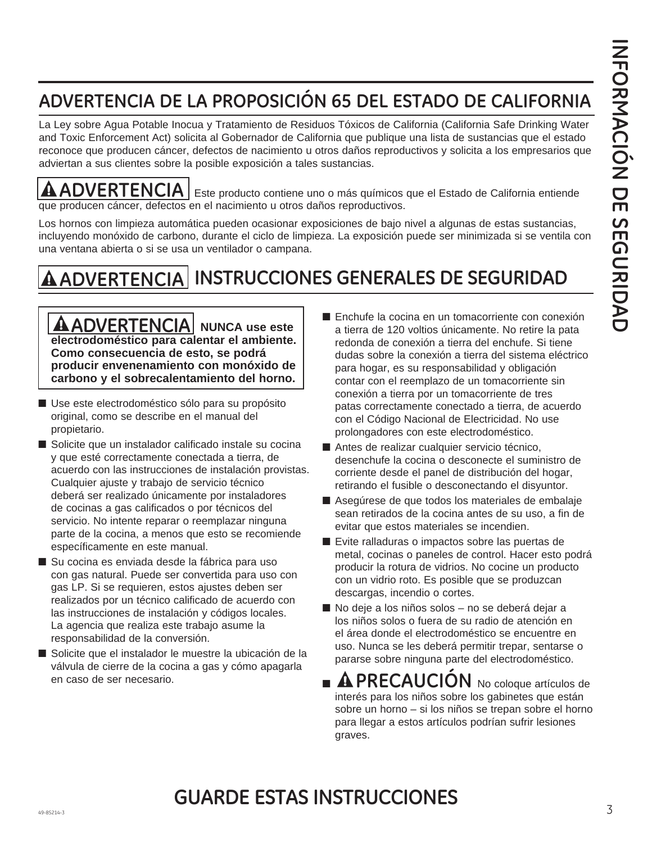## **ADVERTENCIA DE LA PROPOSICIÓN 65 DEL ESTADO DE CALIFORNIA**

La Ley sobre Agua Potable Inocua y Tratamiento de Residuos Tóxicos de California (California Safe Drinking Water and Toxic Enforcement Act) solicita al Gobernador de California que publique una lista de sustancias que el estado reconoce que producen cáncer, defectos de nacimiento u otros daños reproductivos y solicita a los empresarios que adviertan a sus clientes sobre la posible exposición a tales sustancias.

A

**ADVERTENCIA** Este producto contiene uno o más químicos que el Estado de California entiende que producen cáncer, defectos en el nacimiento u otros daños reproductivos.

Los hornos con limpieza automática pueden ocasionar exposiciones de bajo nivel a algunas de estas sustancias, incluyendo monóxido de carbono, durante el ciclo de limpieza. La exposición puede ser minimizada si se ventila con una ventana abierta o si se usa un ventilador o campana.

## **INSTRUCCIONES GENERALES DE SEGURIDAD ADVERTENCIA**

**AADVERTENCIA** NUNCA use este **electrodoméstico para calentar el ambiente. Como consecuencia de esto, se podrá producir envenenamiento con monóxido de carbono y el sobrecalentamiento del horno.**

- Use este electrodoméstico sólo para su propósito original, como se describe en el manual del propietario.
- Solicite que un instalador calificado instale su cocina y que esté correctamente conectada a tierra, de acuerdo con las instrucciones de instalación provistas. Cualquier ajuste y trabajo de servicio técnico deberá ser realizado únicamente por instaladores de cocinas a gas calificados o por técnicos del servicio. No intente reparar o reemplazar ninguna parte de la cocina, a menos que esto se recomiende específicamente en este manual.
- Su cocina es enviada desde la fábrica para uso con gas natural. Puede ser convertida para uso con gas LP. Si se requieren, estos ajustes deben ser realizados por un técnico calificado de acuerdo con las instrucciones de instalación y códigos locales. La agencia que realiza este trabajo asume la responsabilidad de la conversión.
- Solicite que el instalador le muestre la ubicación de la válvula de cierre de la cocina a gas y cómo apagarla en caso de ser necesario.
- Enchufe la cocina en un tomacorriente con conexión a tierra de 120 voltios únicamente. No retire la pata redonda de conexión a tierra del enchufe. Si tiene dudas sobre la conexión a tierra del sistema eléctrico para hogar, es su responsabilidad y obligación contar con el reemplazo de un tomacorriente sin conexión a tierra por un tomacorriente de tres patas correctamente conectado a tierra, de acuerdo con el Código Nacional de Electricidad. No use prolongadores con este electrodoméstico.
- Antes de realizar cualquier servicio técnico, desenchufe la cocina o desconecte el suministro de corriente desde el panel de distribución del hogar, retirando el fusible o desconectando el disyuntor.
- Asegúrese de que todos los materiales de embalaje sean retirados de la cocina antes de su uso, a fin de evitar que estos materiales se incendien.
- Evite ralladuras o impactos sobre las puertas de metal, cocinas o paneles de control. Hacer esto podrá producir la rotura de vidrios. No cocine un producto con un vidrio roto. Es posible que se produzcan descargas, incendio o cortes.
- No deje a los niños solos no se deberá dejar a los niños solos o fuera de su radio de atención en el área donde el electrodoméstico se encuentre en uso. Nunca se les deberá permitir trepar, sentarse o pararse sobre ninguna parte del electrodoméstico.
- **PRECAUCIÓN** No coloque artículos de interés para los niños sobre los gabinetes que están sobre un horno – si los niños se trepan sobre el horno para llegar a estos artículos podrían sufrir lesiones graves.

### $49-85214-3$ **GUARDE ESTAS INSTRUCCIONES**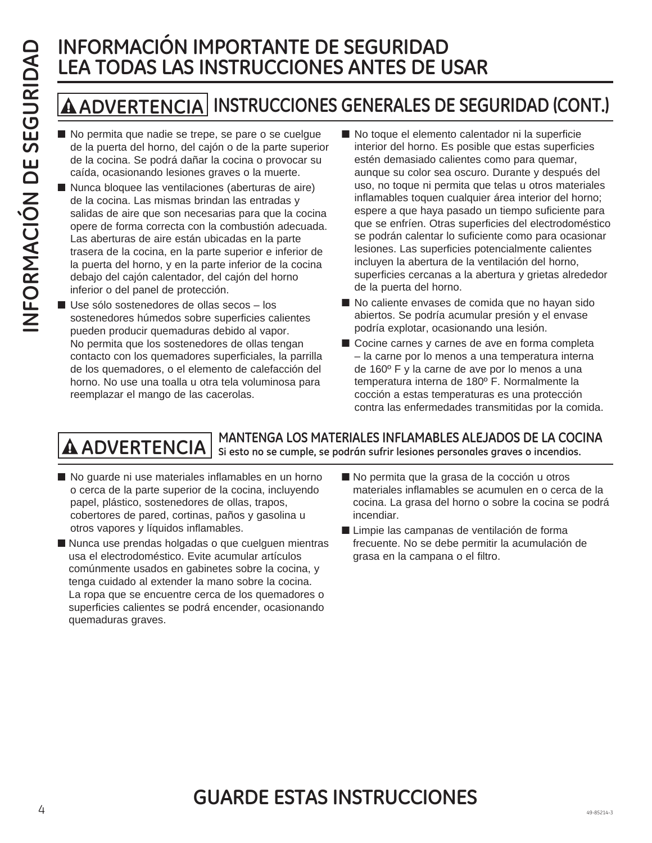## **INFORMACIÓN IMPORTANTE DE SEGURIDAD LEA TODAS LAS INSTRUCCIONES ANTES DE USAR**

## **ADVERTENCIA INSTRUCCIONES GENERALES DE SEGURIDAD (CONT.)**

- No permita que nadie se trepe, se pare o se cuelgue de la puerta del horno, del cajón o de la parte superior de la cocina. Se podrá dañar la cocina o provocar su caída, ocasionando lesiones graves o la muerte.
- Nunca bloquee las ventilaciones (aberturas de aire) de la cocina. Las mismas brindan las entradas y salidas de aire que son necesarias para que la cocina opere de forma correcta con la combustión adecuada. Las aberturas de aire están ubicadas en la parte trasera de la cocina, en la parte superior e inferior de la puerta del horno, y en la parte inferior de la cocina debajo del cajón calentador, del cajón del horno inferior o del panel de protección.
- Use sólo sostenedores de ollas secos los sostenedores húmedos sobre superficies calientes pueden producir quemaduras debido al vapor. No permita que los sostenedores de ollas tengan contacto con los quemadores superficiales, la parrilla de los quemadores, o el elemento de calefacción del horno. No use una toalla u otra tela voluminosa para reemplazar el mango de las cacerolas.
- No toque el elemento calentador ni la superficie interior del horno. Es posible que estas superficies estén demasiado calientes como para quemar, aunque su color sea oscuro. Durante y después del uso, no toque ni permita que telas u otros materiales inflamables toquen cualquier área interior del horno; espere a que haya pasado un tiempo suficiente para que se enfríen. Otras superficies del electrodoméstico se podrán calentar lo suficiente como para ocasionar lesiones. Las superficies potencialmente calientes incluyen la abertura de la ventilación del horno, superficies cercanas a la abertura y grietas alrededor de la puerta del horno.
- No caliente envases de comida que no hayan sido abiertos. Se podría acumular presión y el envase podría explotar, ocasionando una lesión.
- Cocine carnes y carnes de ave en forma completa – la carne por lo menos a una temperatura interna de 160º F y la carne de ave por lo menos a una temperatura interna de 180º F. Normalmente la cocción a estas temperaturas es una protección contra las enfermedades transmitidas por la comida.

## **MANTENGA LOS MATERIALES INFLAMABLES ALEJADOS DE LA COCINA ADVERTENCIA Si esto no se cumple, se podrán sufrir lesiones personales graves o incendios.**

- No quarde ni use materiales inflamables en un horno o cerca de la parte superior de la cocina, incluyendo papel, plástico, sostenedores de ollas, trapos, cobertores de pared, cortinas, paños y gasolina u otros vapores y líquidos inflamables.
- Nunca use prendas holgadas o que cuelguen mientras usa el electrodoméstico. Evite acumular artículos comúnmente usados en gabinetes sobre la cocina, y tenga cuidado al extender la mano sobre la cocina. La ropa que se encuentre cerca de los quemadores o superficies calientes se podrá encender, ocasionando quemaduras graves.
- No permita que la grasa de la cocción u otros materiales inflamables se acumulen en o cerca de la cocina. La grasa del horno o sobre la cocina se podrá incendiar.
- Limpie las campanas de ventilación de forma frecuente. No se debe permitir la acumulación de grasa en la campana o el filtro.

### $\overline{a}$  49-85214-3 **GUARDE ESTAS INSTRUCCIONES**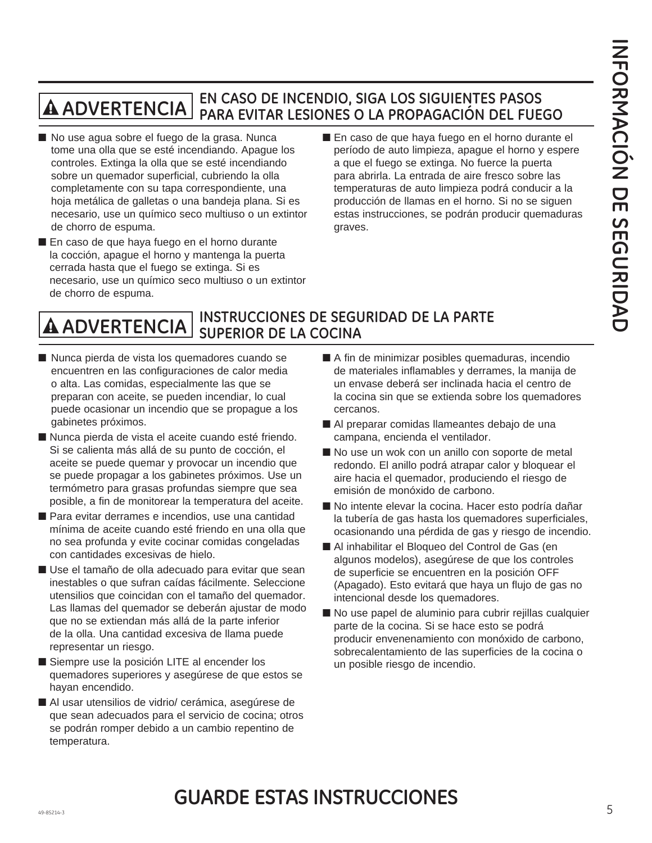#### **EN CASO DE INCENDIO, SIGA LOS SIGUIENTES PASOS PARA EVITAR LESIONES O LA PROPAGACIÓN DEL FUEGO**  $\overline{\mathbf{A}}$  ADVERTENCIA $|$

- No use agua sobre el fuego de la grasa. Nunca tome una olla que se esté incendiando. Apague los controles. Extinga la olla que se esté incendiando sobre un quemador superficial, cubriendo la olla completamente con su tapa correspondiente, una hoja metálica de galletas o una bandeja plana. Si es necesario, use un químico seco multiuso o un extintor de chorro de espuma.
- En caso de que haya fuego en el horno durante la cocción, apague el horno y mantenga la puerta cerrada hasta que el fuego se extinga. Si es necesario, use un químico seco multiuso o un extintor de chorro de espuma.
- En caso de que haya fuego en el horno durante el período de auto limpieza, apague el horno y espere a que el fuego se extinga. No fuerce la puerta para abrirla. La entrada de aire fresco sobre las temperaturas de auto limpieza podrá conducir a la producción de llamas en el horno. Si no se siguen estas instrucciones, se podrán producir quemaduras graves.

#### **INSTRUCCIONES DE SEGURIDAD DE LA PARTE SUPERIOR DE LA COCINA ADVERTENCIA**

- Nunca pierda de vista los quemadores cuando se encuentren en las configuraciones de calor media o alta. Las comidas, especialmente las que se preparan con aceite, se pueden incendiar, lo cual puede ocasionar un incendio que se propague a los gabinetes próximos.
- Nunca pierda de vista el aceite cuando esté friendo. Si se calienta más allá de su punto de cocción, el aceite se puede quemar y provocar un incendio que se puede propagar a los gabinetes próximos. Use un termómetro para grasas profundas siempre que sea posible, a fin de monitorear la temperatura del aceite.
- Para evitar derrames e incendios, use una cantidad mínima de aceite cuando esté friendo en una olla que no sea profunda y evite cocinar comidas congeladas con cantidades excesivas de hielo.
- Use el tamaño de olla adecuado para evitar que sean inestables o que sufran caídas fácilmente. Seleccione utensilios que coincidan con el tamaño del quemador. Las llamas del quemador se deberán ajustar de modo que no se extiendan más allá de la parte inferior de la olla. Una cantidad excesiva de llama puede representar un riesgo.
- Siempre use la posición LITE al encender los quemadores superiores y asegúrese de que estos se hayan encendido.
- Al usar utensilios de vidrio/ cerámica, asegúrese de que sean adecuados para el servicio de cocina; otros se podrán romper debido a un cambio repentino de temperatura.
- A fin de minimizar posibles quemaduras, incendio de materiales inflamables y derrames, la manija de un envase deberá ser inclinada hacia el centro de la cocina sin que se extienda sobre los quemadores cercanos.
- Al preparar comidas llameantes debajo de una campana, encienda el ventilador.
- No use un wok con un anillo con soporte de metal redondo. El anillo podrá atrapar calor y bloquear el aire hacia el quemador, produciendo el riesgo de emisión de monóxido de carbono.
- No intente elevar la cocina. Hacer esto podría dañar la tubería de gas hasta los quemadores superficiales, ocasionando una pérdida de gas y riesgo de incendio.
- Al inhabilitar el Bloqueo del Control de Gas (en algunos modelos), asegúrese de que los controles de superficie se encuentren en la posición OFF (Apagado). Esto evitará que haya un flujo de gas no intencional desde los quemadores.
- No use papel de aluminio para cubrir rejillas cualquier parte de la cocina. Si se hace esto se podrá producir envenenamiento con monóxido de carbono, sobrecalentamiento de las superficies de la cocina o un posible riesgo de incendio.

### 49-85214-3 5 **GUARDE ESTAS INSTRUCCIONES**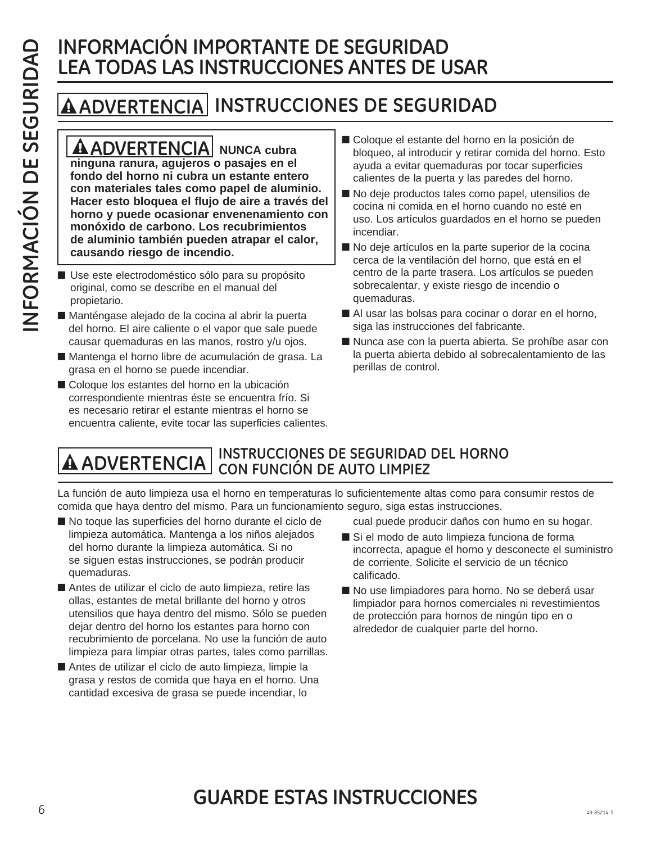## **INFORMACIÓN IMPORTANTE DE SEGURIDAD LEA TODAS LAS INSTRUCCIONES ANTES DE USAR**

## **ADVERTENCIA INSTRUCCIONES DE SEGURIDAD**

**ADVERTENCIA NUNCA cubra ninguna ranura, agujeros o pasajes en el fondo del horno ni cubra un estante entero con materiales tales como papel de aluminio. Hacer esto bloquea el flujo de aire a través del horno y puede ocasionar envenenamiento con monóxido de carbono. Los recubrimientos de aluminio también pueden atrapar el calor, causando riesgo de incendio.**

- Use este electrodoméstico sólo para su propósito original, como se describe en el manual del propietario.
- Manténgase alejado de la cocina al abrir la puerta del horno. El aire caliente o el vapor que sale puede causar quemaduras en las manos, rostro y/u ojos.
- Mantenga el horno libre de acumulación de grasa. La grasa en el horno se puede incendiar.
- Coloque los estantes del horno en la ubicación correspondiente mientras éste se encuentra frío. Si es necesario retirar el estante mientras el horno se encuentra caliente, evite tocar las superficies calientes.
- Coloque el estante del horno en la posición de bloqueo, al introducir y retirar comida del horno. Esto ayuda a evitar quemaduras por tocar superficies calientes de la puerta y las paredes del horno.
- No deje productos tales como papel, utensilios de cocina ni comida en el horno cuando no esté en uso. Los artículos guardados en el horno se pueden incendiar.
- No deje artículos en la parte superior de la cocina cerca de la ventilación del horno, que está en el centro de la parte trasera. Los artículos se pueden sobrecalentar, y existe riesgo de incendio o quemaduras.
- Al usar las bolsas para cocinar o dorar en el horno, siga las instrucciones del fabricante.
- Nunca ase con la puerta abierta. Se prohíbe asar con la puerta abierta debido al sobrecalentamiento de las perillas de control.

# **INSTRUCCIONES DE SEGURIDAD DEL HORNO ADVERTENCIA CON FUNCIÓN DE AUTO LIMPIEZ**

La función de auto limpieza usa el horno en temperaturas lo suficientemente altas como para consumir restos de comida que haya dentro del mismo. Para un funcionamiento seguro, siga estas instrucciones.

- No toque las superficies del horno durante el ciclo de limpieza automática. Mantenga a los niños alejados del horno durante la limpieza automática. Si no se siguen estas instrucciones, se podrán producir quemaduras.
- Antes de utilizar el ciclo de auto limpieza, retire las ollas, estantes de metal brillante del horno y otros utensilios que haya dentro del mismo. Sólo se pueden dejar dentro del horno los estantes para horno con recubrimiento de porcelana. No use la función de auto limpieza para limpiar otras partes, tales como parrillas.
- Antes de utilizar el ciclo de auto limpieza, limpie la grasa y restos de comida que haya en el horno. Una cantidad excesiva de grasa se puede incendiar, lo

cual puede producir daños con humo en su hogar.

- Si el modo de auto limpieza funciona de forma incorrecta, apague el horno y desconecte el suministro de corriente. Solicite el servicio de un técnico calificado.
- No use limpiadores para horno. No se deberá usar limpiador para hornos comerciales ni revestimientos de protección para hornos de ningún tipo en o alrededor de cualquier parte del horno.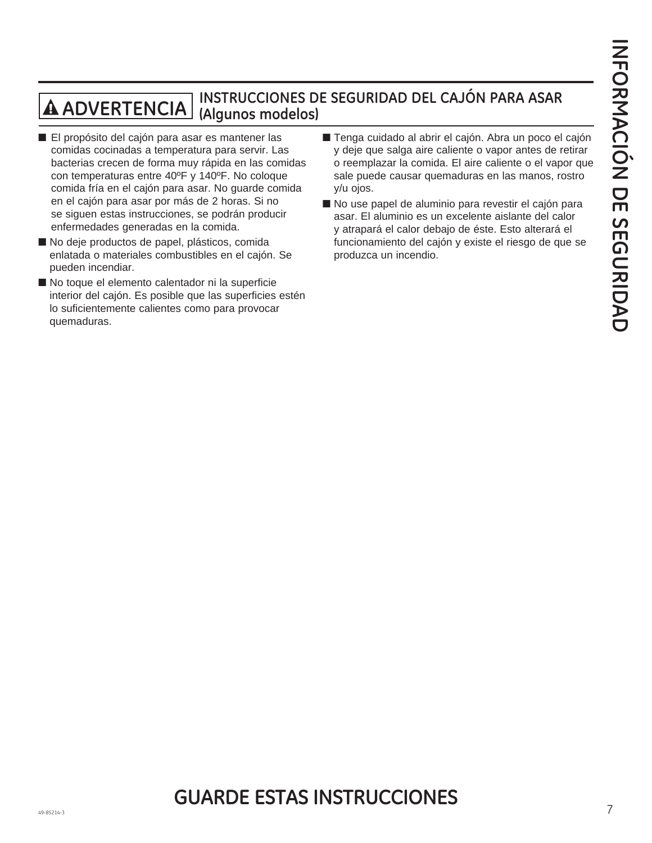# **INSTRUCCIONES DE SEGURIDAD DEL CAJÓN PARA ASAR ADVERTENCIA (Algunos modelos)**

- El propósito del cajón para asar es mantener las comidas cocinadas a temperatura para servir. Las bacterias crecen de forma muy rápida en las comidas con temperaturas entre 40ºF y 140ºF. No coloque comida fría en el cajón para asar. No guarde comida en el cajón para asar por más de 2 horas. Si no se siguen estas instrucciones, se podrán producir enfermedades generadas en la comida.
- No deje productos de papel, plásticos, comida enlatada o materiales combustibles en el cajón. Se pueden incendiar.
- No toque el elemento calentador ni la superficie interior del cajón. Es posible que las superficies estén lo suficientemente calientes como para provocar quemaduras.
- Tenga cuidado al abrir el cajón. Abra un poco el cajón y deje que salga aire caliente o vapor antes de retirar o reemplazar la comida. El aire caliente o el vapor que sale puede causar quemaduras en las manos, rostro y/u ojos.
- No use papel de aluminio para revestir el cajón para asar. El aluminio es un excelente aislante del calor y atrapará el calor debajo de éste. Esto alterará el funcionamiento del cajón y existe el riesgo de que se produzca un incendio.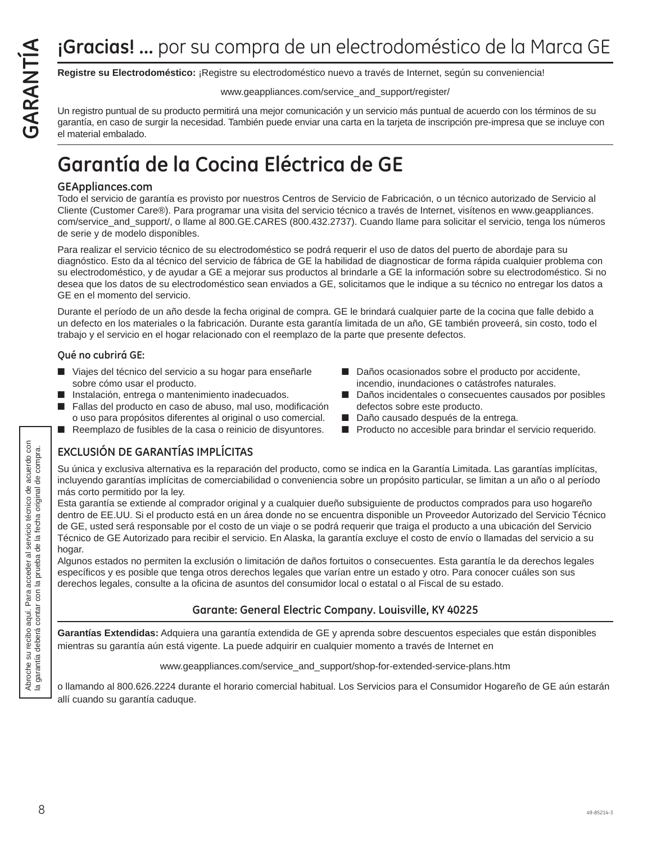**Registre su Electrodoméstico:** ¡Registre su electrodoméstico nuevo a través de Internet, según su conveniencia!

#### www.geappliances.com/service\_and\_support/register/

Un registro puntual de su producto permitirá una mejor comunicación y un servicio más puntual de acuerdo con los términos de su garantía, en caso de surgir la necesidad. También puede enviar una carta en la tarjeta de inscripción pre-impresa que se incluye con el material embalado.

## **Garantía de la Cocina Eléctrica de GE**

#### **GEAppliances.com**

Todo el servicio de garantía es provisto por nuestros Centros de Servicio de Fabricación, o un técnico autorizado de Servicio al Cliente (Customer Care®). Para programar una visita del servicio técnico a través de Internet, visítenos en www.geappliances. com/service\_and\_support/, o llame al 800.GE.CARES (800.432.2737). Cuando llame para solicitar el servicio, tenga los números de serie y de modelo disponibles.

Para realizar el servicio técnico de su electrodoméstico se podrá requerir el uso de datos del puerto de abordaje para su diagnóstico. Esto da al técnico del servicio de fábrica de GE la habilidad de diagnosticar de forma rápida cualquier problema con su electrodoméstico, y de ayudar a GE a mejorar sus productos al brindarle a GE la información sobre su electrodoméstico. Si no desea que los datos de su electrodoméstico sean enviados a GE, solicitamos que le indique a su técnico no entregar los datos a GE en el momento del servicio.

Durante el período de un año desde la fecha original de compra. GE le brindará cualquier parte de la cocina que falle debido a un defecto en los materiales o la fabricación. Durante esta garantía limitada de un año, GE también proveerá, sin costo, todo el trabajo y el servicio en el hogar relacionado con el reemplazo de la parte que presente defectos.

#### **Qué no cubrirá GE:**

- Viajes del técnico del servicio a su hogar para enseñarle sobre cómo usar el producto.
- Instalación, entrega o mantenimiento inadecuados.
- Fallas del producto en caso de abuso, mal uso, modificación o uso para propósitos diferentes al original o uso comercial.
- Reemplazo de fusibles de la casa o reinicio de disyuntores.
- Daños ocasionados sobre el producto por accidente, incendio, inundaciones o catástrofes naturales.
- Daños incidentales o consecuentes causados por posibles defectos sobre este producto.
- Daño causado después de la entrega.
- Producto no accesible para brindar el servicio requerido.

### **EXCLUSIÓN DE GARANTÍAS IMPLÍCITAS**

Su única y exclusiva alternativa es la reparación del producto, como se indica en la Garantía Limitada. Las garantías implícitas, incluyendo garantías implícitas de comerciabilidad o conveniencia sobre un propósito particular, se limitan a un año o al período más corto permitido por la ley.

Esta garantía se extiende al comprador original y a cualquier dueño subsiguiente de productos comprados para uso hogareño dentro de EE.UU. Si el producto está en un área donde no se encuentra disponible un Proveedor Autorizado del Servicio Técnico de GE, usted será responsable por el costo de un viaje o se podrá requerir que traiga el producto a una ubicación del Servicio Técnico de GE Autorizado para recibir el servicio. En Alaska, la garantía excluye el costo de envío o llamadas del servicio a su hogar.

Algunos estados no permiten la exclusión o limitación de daños fortuitos o consecuentes. Esta garantía le da derechos legales específicos y es posible que tenga otros derechos legales que varían entre un estado y otro. Para conocer cuáles son sus derechos legales, consulte a la oficina de asuntos del consumidor local o estatal o al Fiscal de su estado.

### **Garante: General Electric Company. Louisville, KY 40225**

**Garantías Extendidas:** Adquiera una garantía extendida de GE y aprenda sobre descuentos especiales que están disponibles mientras su garantía aún está vigente. La puede adquirir en cualquier momento a través de Internet en

www.geappliances.com/service\_and\_support/shop-for-extended-service-plans.htm

o llamando al 800.626.2224 durante el horario comercial habitual. Los Servicios para el Consumidor Hogareño de GE aún estarán allí cuando su garantía caduque.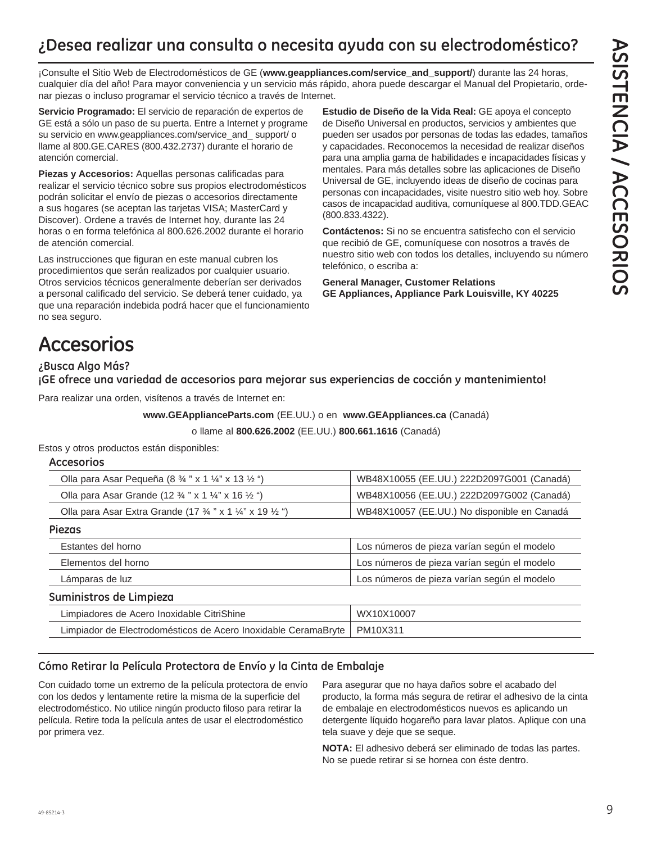## **¿Desea realizar una consulta o necesita ayuda con su electrodoméstico?**

¡Consulte el Sitio Web de Electrodomésticos de GE (**www.geappliances.com/service\_and\_support/**) durante las 24 horas, cualquier día del año! Para mayor conveniencia y un servicio más rápido, ahora puede descargar el Manual del Propietario, ordenar piezas o incluso programar el servicio técnico a través de Internet.

**Servicio Programado:** El servicio de reparación de expertos de GE está a sólo un paso de su puerta. Entre a Internet y programe su servicio en www.geappliances.com/service\_and\_ support/ o llame al 800.GE.CARES (800.432.2737) durante el horario de atención comercial.

**Piezas y Accesorios:** Aquellas personas calificadas para realizar el servicio técnico sobre sus propios electrodomésticos podrán solicitar el envío de piezas o accesorios directamente a sus hogares (se aceptan las tarjetas VISA; MasterCard y Discover). Ordene a través de Internet hoy, durante las 24 horas o en forma telefónica al 800.626.2002 durante el horario de atención comercial.

Las instrucciones que figuran en este manual cubren los procedimientos que serán realizados por cualquier usuario. Otros servicios técnicos generalmente deberían ser derivados a personal calificado del servicio. Se deberá tener cuidado, ya que una reparación indebida podrá hacer que el funcionamiento no sea seguro.

**Estudio de Diseño de la Vida Real:** GE apoya el concepto de Diseño Universal en productos, servicios y ambientes que pueden ser usados por personas de todas las edades, tamaños y capacidades. Reconocemos la necesidad de realizar diseños para una amplia gama de habilidades e incapacidades físicas y mentales. Para más detalles sobre las aplicaciones de Diseño Universal de GE, incluyendo ideas de diseño de cocinas para personas con incapacidades, visite nuestro sitio web hoy. Sobre casos de incapacidad auditiva, comuníquese al 800.TDD.GEAC (800.833.4322).

**Contáctenos:** Si no se encuentra satisfecho con el servicio que recibió de GE, comuníquese con nosotros a través de nuestro sitio web con todos los detalles, incluyendo su número telefónico, o escriba a:

**General Manager, Customer Relations GE Appliances, Appliance Park Louisville, KY 40225**

## **Accesorios**

#### **¿Busca Algo Más?**

**¡GE ofrece una variedad de accesorios para mejorar sus experiencias de cocción y mantenimiento!**

Para realizar una orden, visítenos a través de Internet en:

**www.GEApplianceParts.com** (EE.UU.) o en **www.GEAppliances.ca** (Canadá)

o llame al **800.626.2002** (EE.UU.) **800.661.1616** (Canadá)

Estos y otros productos están disponibles:

#### **Accesorios**

| Olla para Asar Pequeña (8 $\frac{3}{4}$ " x 1 $\frac{1}{4}$ " x 13 $\frac{1}{2}$ ")       | WB48X10055 (EE.UU.) 222D2097G001 (Canadá)   |  |  |
|-------------------------------------------------------------------------------------------|---------------------------------------------|--|--|
| Olla para Asar Grande (12 3/4 " x 1 1/4" x 16 1/2 ")                                      | WB48X10056 (EE.UU.) 222D2097G002 (Canadá)   |  |  |
| Olla para Asar Extra Grande (17 $\frac{3}{4}$ " x 1 $\frac{1}{4}$ " x 19 $\frac{1}{2}$ ") | WB48X10057 (EE.UU.) No disponible en Canadá |  |  |
| <b>Piezas</b>                                                                             |                                             |  |  |
| Estantes del horno                                                                        | Los números de pieza varían según el modelo |  |  |

| Elementos del horno                                            | Los números de pieza varían según el modelo |
|----------------------------------------------------------------|---------------------------------------------|
| Lámparas de luz                                                | Los números de pieza varían según el modelo |
| Suministros de Limpieza                                        |                                             |
| Limpiadores de Acero Inoxidable CitriShine                     | WX10X10007                                  |
| Limpiador de Electrodomésticos de Acero Inoxidable CeramaBryte | PM10X311                                    |

#### **Cómo Retirar la Película Protectora de Envío y la Cinta de Embalaje**

Con cuidado tome un extremo de la película protectora de envío con los dedos y lentamente retire la misma de la superficie del electrodoméstico. No utilice ningún producto filoso para retirar la película. Retire toda la película antes de usar el electrodoméstico por primera vez.

Para asegurar que no haya daños sobre el acabado del producto, la forma más segura de retirar el adhesivo de la cinta de embalaje en electrodomésticos nuevos es aplicando un detergente líquido hogareño para lavar platos. Aplique con una tela suave y deje que se seque.

**NOTA:** El adhesivo deberá ser eliminado de todas las partes. No se puede retirar si se hornea con éste dentro.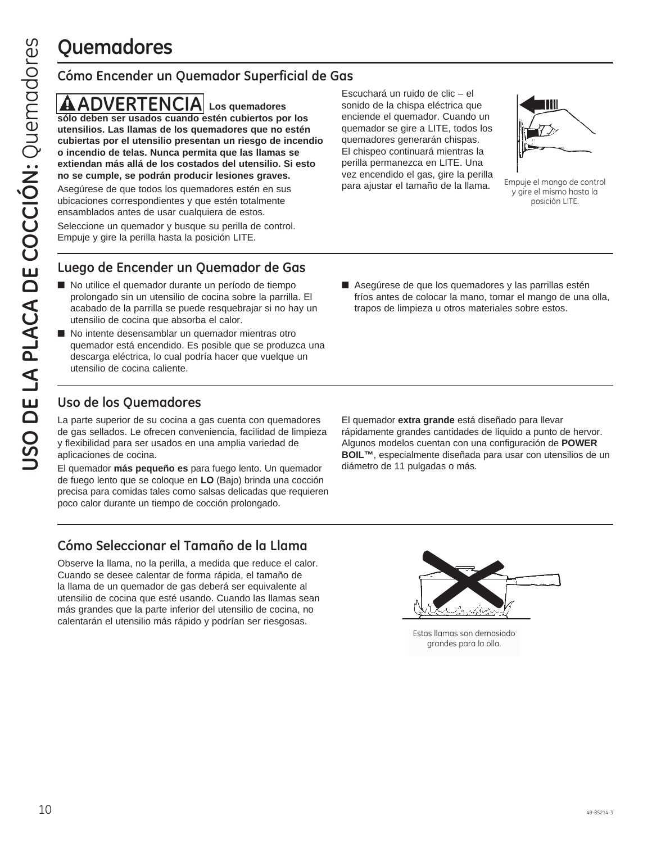## **Quemadores**

### **Cómo Encender un Quemador Superficial de Gas**

**ADVERTENCIA Los quemadores sólo deben ser usados cuando estén cubiertos por los utensilios. Las llamas de los quemadores que no estén cubiertas por el utensilio presentan un riesgo de incendio o incendio de telas. Nunca permita que las llamas se extiendan más allá de los costados del utensilio. Si esto no se cumple, se podrán producir lesiones graves.** Asegúrese de que todos los quemadores estén en sus

ubicaciones correspondientes y que estén totalmente ensamblados antes de usar cualquiera de estos.

Seleccione un quemador y busque su perilla de control. Empuje y gire la perilla hasta la posición LITE.

Escuchará un ruido de clic – el sonido de la chispa eléctrica que enciende el quemador. Cuando un quemador se gire a LITE, todos los quemadores generarán chispas. El chispeo continuará mientras la perilla permanezca en LITE. Una vez encendido el gas, gire la perilla para ajustar el tamaño de la llama.



Empuje el mango de control y gire el mismo hasta la posición LITE.

### **Luego de Encender un Quemador de Gas**

- No utilice el quemador durante un período de tiempo prolongado sin un utensilio de cocina sobre la parrilla. El acabado de la parrilla se puede resquebrajar si no hay un utensilio de cocina que absorba el calor.
- No intente desensamblar un quemador mientras otro quemador está encendido. Es posible que se produzca una descarga eléctrica, lo cual podría hacer que vuelque un utensilio de cocina caliente.
- Asegúrese de que los quemadores y las parrillas estén fríos antes de colocar la mano, tomar el mango de una olla, trapos de limpieza u otros materiales sobre estos.

### **Uso de los Quemadores**

La parte superior de su cocina a gas cuenta con quemadores de gas sellados. Le ofrecen conveniencia, facilidad de limpieza y flexibilidad para ser usados en una amplia variedad de aplicaciones de cocina.

El quemador **más pequeño es** para fuego lento. Un quemador de fuego lento que se coloque en **LO** (Bajo) brinda una cocción precisa para comidas tales como salsas delicadas que requieren poco calor durante un tiempo de cocción prolongado.

El quemador **extra grande** está diseñado para llevar rápidamente grandes cantidades de líquido a punto de hervor. Algunos modelos cuentan con una configuración de **POWER BOIL™**, especialmente diseñada para usar con utensilios de un diámetro de 11 pulgadas o más.

### **Cómo Seleccionar el Tamaño de la Llama**

Observe la llama, no la perilla, a medida que reduce el calor. Cuando se desee calentar de forma rápida, el tamaño de la llama de un quemador de gas deberá ser equivalente al utensilio de cocina que esté usando. Cuando las llamas sean más grandes que la parte inferior del utensilio de cocina, no calentarán el utensilio más rápido y podrían ser riesgosas.



Estas llamas son demasiado grandes para la olla.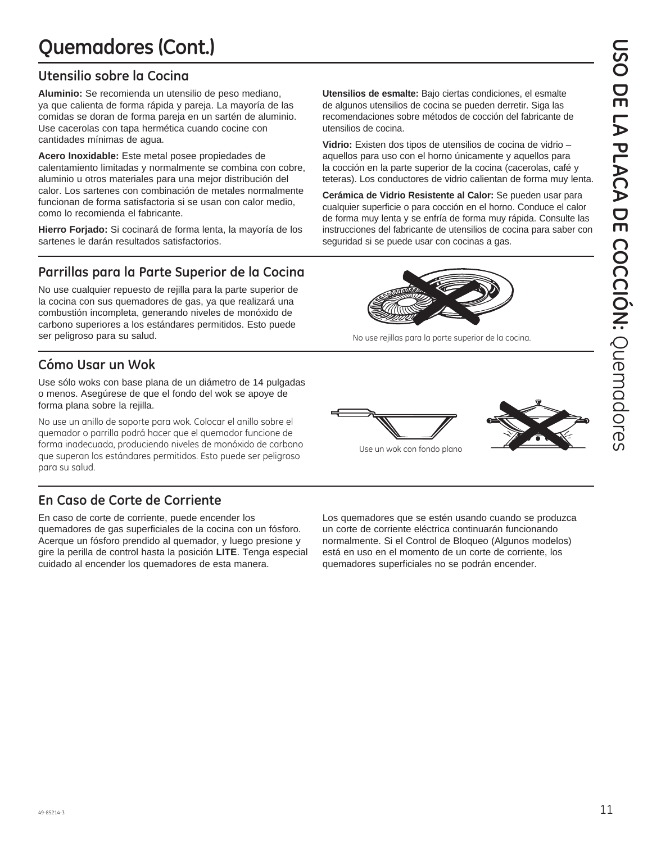## **Quemadores (Cont.)**

### **Utensilio sobre la Cocina**

**Aluminio:** Se recomienda un utensilio de peso mediano, ya que calienta de forma rápida y pareja. La mayoría de las comidas se doran de forma pareja en un sartén de aluminio. Use cacerolas con tapa hermética cuando cocine con cantidades mínimas de agua.

**Acero Inoxidable:** Este metal posee propiedades de calentamiento limitadas y normalmente se combina con cobre, aluminio u otros materiales para una mejor distribución del calor. Los sartenes con combinación de metales normalmente funcionan de forma satisfactoria si se usan con calor medio, como lo recomienda el fabricante.

**Hierro Forjado:** Si cocinará de forma lenta, la mayoría de los sartenes le darán resultados satisfactorios.

### **Parrillas para la Parte Superior de la Cocina**

No use cualquier repuesto de rejilla para la parte superior de la cocina con sus quemadores de gas, ya que realizará una combustión incompleta, generando niveles de monóxido de carbono superiores a los estándares permitidos. Esto puede ser peligroso para su salud.

## **Cómo Usar un Wok**

Use sólo woks con base plana de un diámetro de 14 pulgadas o menos. Asegúrese de que el fondo del wok se apoye de forma plana sobre la rejilla.

No use un anillo de soporte para wok. Colocar el anillo sobre el quemador o parrilla podrá hacer que el quemador funcione de forma inadecuada, produciendo niveles de monóxido de carbono que superan los estándares permitidos. Esto puede ser peligroso para su salud.

## **En Caso de Corte de Corriente**

En caso de corte de corriente, puede encender los quemadores de gas superficiales de la cocina con un fósforo. Acerque un fósforo prendido al quemador, y luego presione y gire la perilla de control hasta la posición **LITE**. Tenga especial cuidado al encender los quemadores de esta manera.

**Utensilios de esmalte:** Bajo ciertas condiciones, el esmalte de algunos utensilios de cocina se pueden derretir. Siga las recomendaciones sobre métodos de cocción del fabricante de utensilios de cocina.

**Vidrio:** Existen dos tipos de utensilios de cocina de vidrio – aquellos para uso con el horno únicamente y aquellos para la cocción en la parte superior de la cocina (cacerolas, café y teteras). Los conductores de vidrio calientan de forma muy lenta.

**Cerámica de Vidrio Resistente al Calor:** Se pueden usar para cualquier superficie o para cocción en el horno. Conduce el calor de forma muy lenta y se enfría de forma muy rápida. Consulte las instrucciones del fabricante de utensilios de cocina para saber con seguridad si se puede usar con cocinas a gas.



No use rejillas para la parte superior de la cocina.



Use un wok con fondo plano

Los quemadores que se estén usando cuando se produzca un corte de corriente eléctrica continuarán funcionando normalmente. Si el Control de Bloqueo (Algunos modelos) está en uso en el momento de un corte de corriente, los quemadores superficiales no se podrán encender.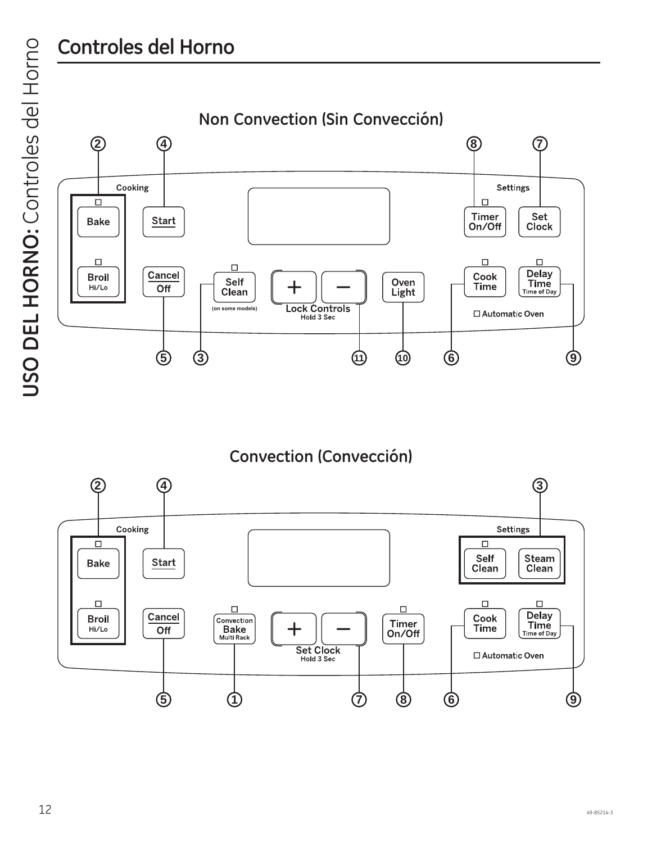## **Controles del Horno**

USO DEL HORNO: Controles del Horno **USO DEL HORNO:** Controles del Horno



**Convection (Convección)**

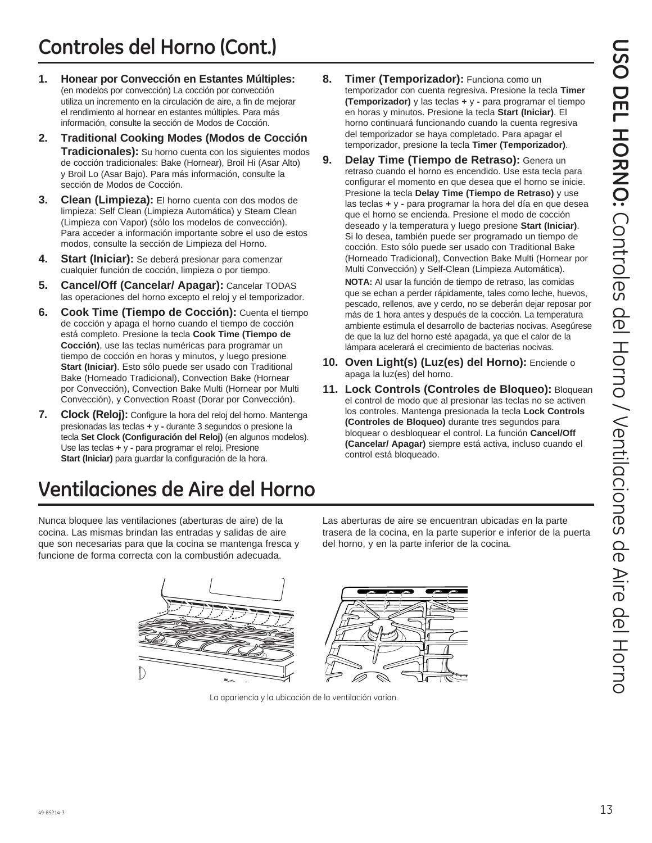- **1. Honear por Convección en Estantes Múltiples:** (en modelos por convección) La cocción por convección utiliza un incremento en la circulación de aire, a fin de mejorar el rendimiento al hornear en estantes múltiples. Para más información, consulte la sección de Modos de Cocción.
- **2. Traditional Cooking Modes (Modos de Cocción Tradicionales):** Su horno cuenta con los siguientes modos de cocción tradicionales: Bake (Hornear), Broil Hi (Asar Alto) y Broil Lo (Asar Bajo). Para más información, consulte la sección de Modos de Cocción.
- **3. Clean (Limpieza):** El horno cuenta con dos modos de limpieza: Self Clean (Limpieza Automática) y Steam Clean (Limpieza con Vapor) (sólo los modelos de convección). Para acceder a información importante sobre el uso de estos modos, consulte la sección de Limpieza del Horno.
- **4. Start (Iniciar):** Se deberá presionar para comenzar cualquier función de cocción, limpieza o por tiempo.
- **5. Cancel/Off (Cancelar/ Apagar):** Cancelar TODAS las operaciones del horno excepto el reloj y el temporizador.
- **6. Cook Time (Tiempo de Cocción):** Cuenta el tiempo de cocción y apaga el horno cuando el tiempo de cocción está completo. Presione la tecla **Cook Time (Tiempo de Cocción)**, use las teclas numéricas para programar un tiempo de cocción en horas y minutos, y luego presione **Start (Iniciar)**. Esto sólo puede ser usado con Traditional Bake (Horneado Tradicional), Convection Bake (Hornear por Convección), Convection Bake Multi (Hornear por Multi Convección), y Convection Roast (Dorar por Convección).
- **7. Clock (Reloj):** Configure la hora del reloj del horno. Mantenga presionadas las teclas **+** y **-** durante 3 segundos o presione la tecla **Set Clock (Configuración del Reloj)** (en algunos modelos). Use las teclas **+** y **-** para programar el reloj. Presione **Start (Iniciar)** para guardar la configuración de la hora.

## **Ventilaciones de Aire del Horno**

Nunca bloquee las ventilaciones (aberturas de aire) de la cocina. Las mismas brindan las entradas y salidas de aire que son necesarias para que la cocina se mantenga fresca y funcione de forma correcta con la combustión adecuada.

- **8. Timer (Temporizador):** Funciona como un temporizador con cuenta regresiva. Presione la tecla **Timer (Temporizador)** y las teclas **+** y **-** para programar el tiempo en horas y minutos. Presione la tecla **Start (Iniciar)**. El horno continuará funcionando cuando la cuenta regresiva del temporizador se haya completado. Para apagar el temporizador, presione la tecla **Timer (Temporizador)**.
- **9. Delay Time (Tiempo de Retraso):** Genera un retraso cuando el horno es encendido. Use esta tecla para configurar el momento en que desea que el horno se inicie. Presione la tecla **Delay Time (Tiempo de Retraso)** y use las teclas **+** y **-** para programar la hora del día en que desea que el horno se encienda. Presione el modo de cocción deseado y la temperatura y luego presione **Start (Iniciar)**. Si lo desea, también puede ser programado un tiempo de cocción. Esto sólo puede ser usado con Traditional Bake (Horneado Tradicional), Convection Bake Multi (Hornear por Multi Convección) y Self-Clean (Limpieza Automática).

 **NOTA:** Al usar la función de tiempo de retraso, las comidas que se echan a perder rápidamente, tales como leche, huevos, pescado, rellenos, ave y cerdo, no se deberán dejar reposar por más de 1 hora antes y después de la cocción. La temperatura ambiente estimula el desarrollo de bacterias nocivas. Asegúrese de que la luz del horno esté apagada, ya que el calor de la lámpara acelerará el crecimiento de bacterias nocivas.

- **10. Oven Light(s) (Luz(es) del Horno):** Enciende o apaga la luz(es) del horno.
- **11. Lock Controls (Controles de Bloqueo):** Bloquean el control de modo que al presionar las teclas no se activen los controles. Mantenga presionada la tecla **Lock Controls (Controles de Bloqueo)** durante tres segundos para bloquear o desbloquear el control. La función **Cancel/Off (Cancelar/ Apagar)** siempre está activa, incluso cuando el control está bloqueado.

Las aberturas de aire se encuentran ubicadas en la parte trasera de la cocina, en la parte superior e inferior de la puerta del horno, y en la parte inferior de la cocina.



La apariencia y la ubicación de la ventilación varían.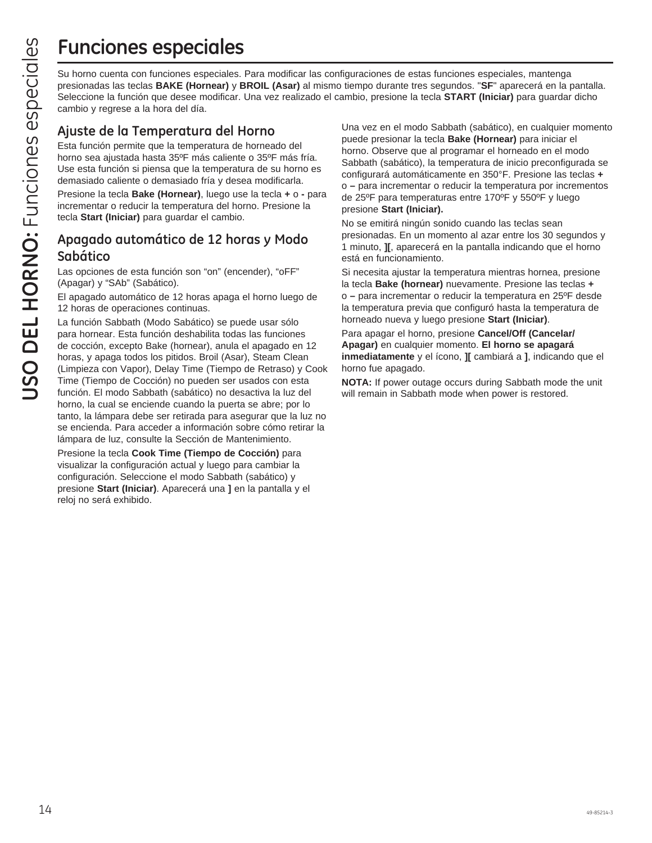## **Funciones especiales**

Su horno cuenta con funciones especiales. Para modificar las configuraciones de estas funciones especiales, mantenga presionadas las teclas **BAKE (Hornear)** y **BROIL (Asar)** al mismo tiempo durante tres segundos. "**SF**" aparecerá en la pantalla. Seleccione la función que desee modificar. Una vez realizado el cambio, presione la tecla **START (Iniciar)** para guardar dicho cambio y regrese a la hora del día.

### **Ajuste de la Temperatura del Horno**

Esta función permite que la temperatura de horneado del horno sea ajustada hasta 35ºF más caliente o 35ºF más fría. Use esta función si piensa que la temperatura de su horno es demasiado caliente o demasiado fría y desea modificarla.

Presione la tecla **Bake (Hornear)**, luego use la tecla **+** o **-** para incrementar o reducir la temperatura del horno. Presione la tecla **Start (Iniciar)** para guardar el cambio.

### **Apagado automático de 12 horas y Modo Sabático**

Las opciones de esta función son "on" (encender), "oFF" (Apagar) y "SAb" (Sabático).

El apagado automático de 12 horas apaga el horno luego de 12 horas de operaciones continuas.

La función Sabbath (Modo Sabático) se puede usar sólo para hornear. Esta función deshabilita todas las funciones de cocción, excepto Bake (hornear), anula el apagado en 12 horas, y apaga todos los pitidos. Broil (Asar), Steam Clean (Limpieza con Vapor), Delay Time (Tiempo de Retraso) y Cook Time (Tiempo de Cocción) no pueden ser usados con esta función. El modo Sabbath (sabático) no desactiva la luz del horno, la cual se enciende cuando la puerta se abre; por lo tanto, la lámpara debe ser retirada para asegurar que la luz no se encienda. Para acceder a información sobre cómo retirar la lámpara de luz, consulte la Sección de Mantenimiento.

Presione la tecla **Cook Time (Tiempo de Cocción)** para visualizar la configuración actual y luego para cambiar la configuración. Seleccione el modo Sabbath (sabático) y presione **Start (Iniciar)**. Aparecerá una **]** en la pantalla y el reloj no será exhibido.

Una vez en el modo Sabbath (sabático), en cualquier momento puede presionar la tecla **Bake (Hornear)** para iniciar el horno. Observe que al programar el horneado en el modo Sabbath (sabático), la temperatura de inicio preconfigurada se configurará automáticamente en 350°F. Presione las teclas **+** o **–** para incrementar o reducir la temperatura por incrementos de 25ºF para temperaturas entre 170ºF y 550ºF y luego presione **Start (Iniciar).**

No se emitirá ningún sonido cuando las teclas sean presionadas. En un momento al azar entre los 30 segundos y 1 minuto, **][**, aparecerá en la pantalla indicando que el horno está en funcionamiento.

Si necesita ajustar la temperatura mientras hornea, presione la tecla **Bake (hornear)** nuevamente. Presione las teclas **+** o **–** para incrementar o reducir la temperatura en 25ºF desde la temperatura previa que configuró hasta la temperatura de horneado nueva y luego presione **Start (Iniciar)**.

Para apagar el horno, presione **Cancel/Off (Cancelar/ Apagar)** en cualquier momento. **El horno se apagará inmediatamente** y el ícono, **][** cambiará a **]**, indicando que el horno fue apagado.

**NOTA:** If power outage occurs during Sabbath mode the unit will remain in Sabbath mode when power is restored.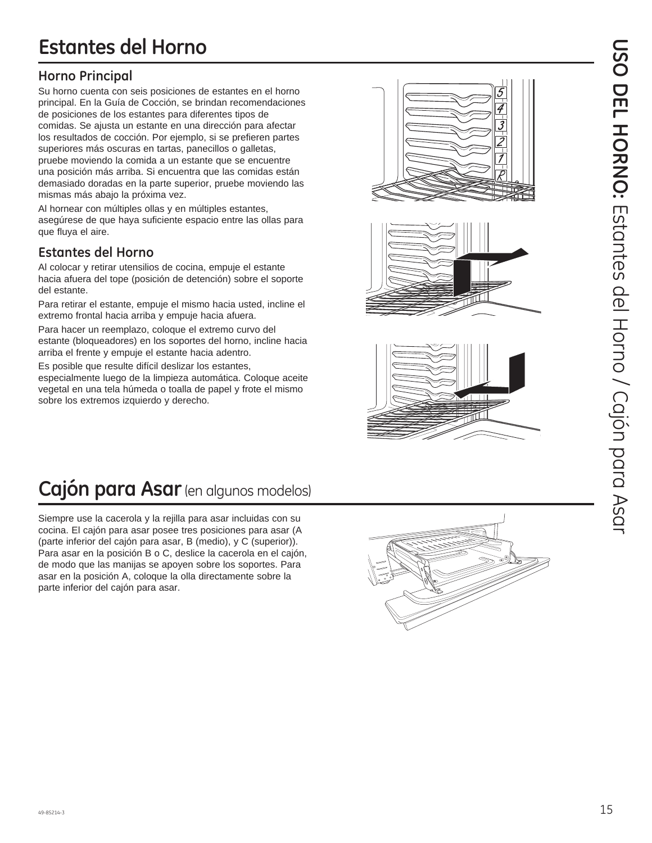## **Estantes del Horno**

### **Horno Principal**

Su horno cuenta con seis posiciones de estantes en el horno principal. En la Guía de Cocción, se brindan recomendaciones de posiciones de los estantes para diferentes tipos de comidas. Se ajusta un estante en una dirección para afectar los resultados de cocción. Por ejemplo, si se prefieren partes superiores más oscuras en tartas, panecillos o galletas, pruebe moviendo la comida a un estante que se encuentre una posición más arriba. Si encuentra que las comidas están demasiado doradas en la parte superior, pruebe moviendo las mismas más abajo la próxima vez.

Al hornear con múltiples ollas y en múltiples estantes, asegúrese de que haya suficiente espacio entre las ollas para que fluya el aire.

### **Estantes del Horno**

Al colocar y retirar utensilios de cocina, empuje el estante hacia afuera del tope (posición de detención) sobre el soporte del estante.

Para retirar el estante, empuje el mismo hacia usted, incline el extremo frontal hacia arriba y empuje hacia afuera.

Para hacer un reemplazo, coloque el extremo curvo del estante (bloqueadores) en los soportes del horno, incline hacia arriba el frente y empuje el estante hacia adentro.

Es posible que resulte difícil deslizar los estantes,

especialmente luego de la limpieza automática. Coloque aceite vegetal en una tela húmeda o toalla de papel y frote el mismo sobre los extremos izquierdo y derecho.







## **Cajón para Asar** (en algunos modelos)

Siempre use la cacerola y la rejilla para asar incluidas con su cocina. El cajón para asar posee tres posiciones para asar (A (parte inferior del cajón para asar, B (medio), y C (superior)). Para asar en la posición B o C, deslice la cacerola en el cajón, de modo que las manijas se apoyen sobre los soportes. Para asar en la posición A, coloque la olla directamente sobre la parte inferior del cajón para asar.

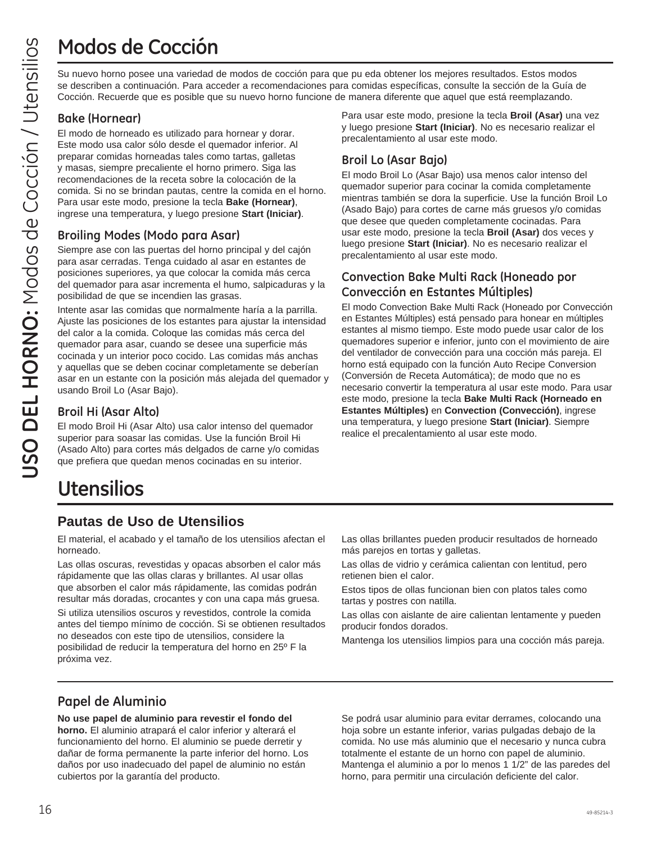## **Modos de Cocción**

Su nuevo horno posee una variedad de modos de cocción para que pu eda obtener los mejores resultados. Estos modos se describen a continuación. Para acceder a recomendaciones para comidas específicas, consulte la sección de la Guía de Cocción. Recuerde que es posible que su nuevo horno funcione de manera diferente que aquel que está reemplazando.

### **Bake (Hornear)**

El modo de horneado es utilizado para hornear y dorar. Este modo usa calor sólo desde el quemador inferior. Al preparar comidas horneadas tales como tartas, galletas y masas, siempre precaliente el horno primero. Siga las recomendaciones de la receta sobre la colocación de la comida. Si no se brindan pautas, centre la comida en el horno. Para usar este modo, presione la tecla **Bake (Hornear)**, ingrese una temperatura, y luego presione **Start (Iniciar)**.

### **Broiling Modes (Modo para Asar)**

Siempre ase con las puertas del horno principal y del cajón para asar cerradas. Tenga cuidado al asar en estantes de posiciones superiores, ya que colocar la comida más cerca del quemador para asar incrementa el humo, salpicaduras y la posibilidad de que se incendien las grasas.

Intente asar las comidas que normalmente haría a la parrilla. Ajuste las posiciones de los estantes para ajustar la intensidad del calor a la comida. Coloque las comidas más cerca del quemador para asar, cuando se desee una superficie más cocinada y un interior poco cocido. Las comidas más anchas y aquellas que se deben cocinar completamente se deberían asar en un estante con la posición más alejada del quemador y usando Broil Lo (Asar Bajo).

### **Broil Hi (Asar Alto)**

El modo Broil Hi (Asar Alto) usa calor intenso del quemador superior para soasar las comidas. Use la función Broil Hi (Asado Alto) para cortes más delgados de carne y/o comidas que prefiera que quedan menos cocinadas en su interior.

## **Utensilios**

### **Pautas de Uso de Utensilios**

El material, el acabado y el tamaño de los utensilios afectan el horneado.

Las ollas oscuras, revestidas y opacas absorben el calor más rápidamente que las ollas claras y brillantes. Al usar ollas que absorben el calor más rápidamente, las comidas podrán resultar más doradas, crocantes y con una capa más gruesa.

Si utiliza utensilios oscuros y revestidos, controle la comida antes del tiempo mínimo de cocción. Si se obtienen resultados no deseados con este tipo de utensilios, considere la posibilidad de reducir la temperatura del horno en 25º F la próxima vez.

Para usar este modo, presione la tecla **Broil (Asar)** una vez y luego presione **Start (Iniciar)**. No es necesario realizar el precalentamiento al usar este modo.

### **Broil Lo (Asar Bajo)**

El modo Broil Lo (Asar Bajo) usa menos calor intenso del quemador superior para cocinar la comida completamente mientras también se dora la superficie. Use la función Broil Lo (Asado Bajo) para cortes de carne más gruesos y/o comidas que desee que queden completamente cocinadas. Para usar este modo, presione la tecla **Broil (Asar)** dos veces y luego presione **Start (Iniciar)**. No es necesario realizar el precalentamiento al usar este modo.

### **Convection Bake Multi Rack (Honeado por Convección en Estantes Múltiples)**

El modo Convection Bake Multi Rack (Honeado por Convección en Estantes Múltiples) está pensado para honear en múltiples estantes al mismo tiempo. Este modo puede usar calor de los quemadores superior e inferior, junto con el movimiento de aire del ventilador de convección para una cocción más pareja. El horno está equipado con la función Auto Recipe Conversion (Conversión de Receta Automática); de modo que no es necesario convertir la temperatura al usar este modo. Para usar este modo, presione la tecla **Bake Multi Rack (Horneado en Estantes Múltiples)** en **Convection (Convección)**, ingrese una temperatura, y luego presione **Start (Iniciar)**. Siempre realice el precalentamiento al usar este modo.

Las ollas brillantes pueden producir resultados de horneado más parejos en tortas y galletas.

Las ollas de vidrio y cerámica calientan con lentitud, pero retienen bien el calor.

Estos tipos de ollas funcionan bien con platos tales como tartas y postres con natilla.

Las ollas con aislante de aire calientan lentamente y pueden producir fondos dorados.

Mantenga los utensilios limpios para una cocción más pareja.

### **Papel de Aluminio**

**No use papel de aluminio para revestir el fondo del horno.** El aluminio atrapará el calor inferior y alterará el funcionamiento del horno. El aluminio se puede derretir y dañar de forma permanente la parte inferior del horno. Los daños por uso inadecuado del papel de aluminio no están cubiertos por la garantía del producto.

Se podrá usar aluminio para evitar derrames, colocando una hoja sobre un estante inferior, varias pulgadas debajo de la comida. No use más aluminio que el necesario y nunca cubra totalmente el estante de un horno con papel de aluminio. Mantenga el aluminio a por lo menos 1 1/2" de las paredes del horno, para permitir una circulación deficiente del calor.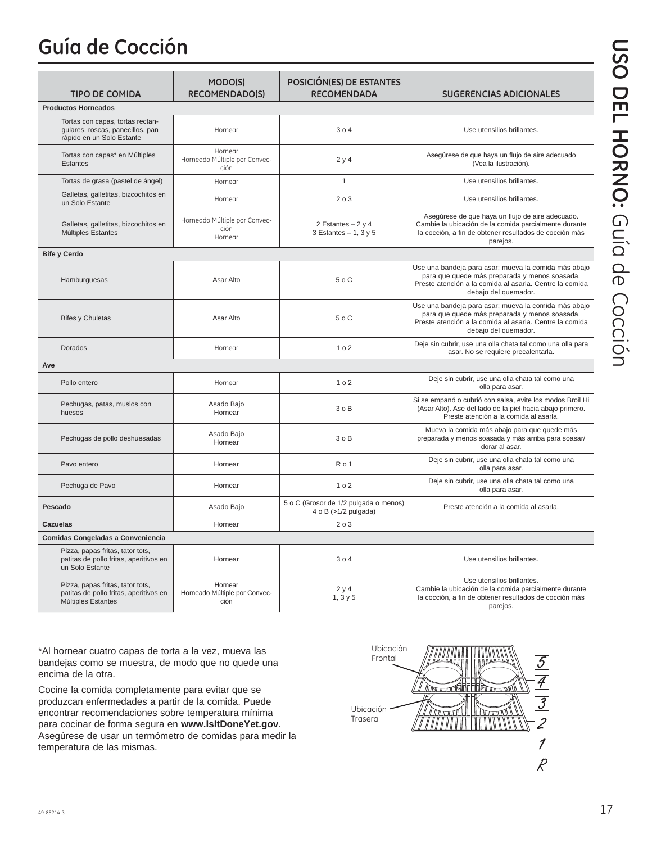## **Guía de Cocción**

| <b>TIPO DE COMIDA</b>                                                                             | MODO(S)<br><b>RECOMENDADO(S)</b>                 | POSICIÓN(ES) DE ESTANTES<br><b>RECOMENDADA</b>                | <b>SUGERENCIAS ADICIONALES</b>                                                                                                                                                           |
|---------------------------------------------------------------------------------------------------|--------------------------------------------------|---------------------------------------------------------------|------------------------------------------------------------------------------------------------------------------------------------------------------------------------------------------|
| <b>Productos Horneados</b>                                                                        |                                                  |                                                               |                                                                                                                                                                                          |
| Tortas con capas, tortas rectan-<br>gulares, roscas, panecillos, pan<br>rápido en un Solo Estante | Hornear                                          | 304                                                           | Use utensilios brillantes.                                                                                                                                                               |
| Tortas con capas* en Múltiples<br><b>Estantes</b>                                                 | Hornear<br>Horneado Múltiple por Convec-<br>ción | 2y4                                                           | Asegúrese de que haya un flujo de aire adecuado<br>(Vea la ilustración).                                                                                                                 |
| Tortas de grasa (pastel de ángel)                                                                 | Hornear                                          | $\mathbf{1}$                                                  | Use utensilios brillantes.                                                                                                                                                               |
| Galletas, galletitas, bizcochitos en<br>un Solo Estante                                           | Hornear                                          | 203                                                           | Use utensilios brillantes.                                                                                                                                                               |
| Galletas, galletitas, bizcochitos en<br>Múltiples Estantes                                        | Horneado Múltiple por Convec-<br>ción<br>Hornear | 2 Estantes $-2y4$<br>3 Estantes $-1$ , 3 y 5                  | Asegúrese de que haya un flujo de aire adecuado.<br>Cambie la ubicación de la comida parcialmente durante<br>la cocción, a fin de obtener resultados de cocción más<br>parejos.          |
| <b>Bife y Cerdo</b>                                                                               |                                                  |                                                               |                                                                                                                                                                                          |
| Hamburguesas                                                                                      | Asar Alto                                        | 50C                                                           | Use una bandeja para asar; mueva la comida más abajo<br>para que quede más preparada y menos soasada.<br>Preste atención a la comida al asarla. Centre la comida<br>debajo del quemador. |
| <b>Bifes y Chuletas</b>                                                                           | Asar Alto                                        | 50C                                                           | Use una bandeja para asar; mueva la comida más abajo<br>para que quede más preparada y menos soasada.<br>Preste atención a la comida al asarla. Centre la comida<br>debajo del quemador. |
| Dorados                                                                                           | Hornear                                          | 102                                                           | Deje sin cubrir, use una olla chata tal como una olla para<br>asar. No se requiere precalentarla.                                                                                        |
| Ave                                                                                               |                                                  |                                                               |                                                                                                                                                                                          |
| Pollo entero                                                                                      | Hornear                                          | 1 <sub>0</sub> 2                                              | Deje sin cubrir, use una olla chata tal como una<br>olla para asar.                                                                                                                      |
| Pechugas, patas, muslos con<br>huesos                                                             | Asado Bajo<br>Hornear                            | 30B                                                           | Si se empanó o cubrió con salsa, evite los modos Broil Hi<br>(Asar Alto). Ase del lado de la piel hacia abajo primero.<br>Preste atención a la comida al asarla.                         |
| Pechugas de pollo deshuesadas                                                                     | Asado Bajo<br>Hornear                            | 30B                                                           | Mueva la comida más abajo para que quede más<br>preparada y menos soasada y más arriba para soasar/<br>dorar al asar.                                                                    |
| Pavo entero                                                                                       | Hornear                                          | Ro <sub>1</sub>                                               | Deje sin cubrir, use una olla chata tal como una<br>olla para asar.                                                                                                                      |
| Pechuga de Pavo                                                                                   | Hornear                                          | 102                                                           | Deje sin cubrir, use una olla chata tal como una<br>olla para asar.                                                                                                                      |
| Pescado                                                                                           | Asado Bajo                                       | 5 o C (Grosor de 1/2 pulgada o menos)<br>4 o B (>1/2 pulgada) | Preste atención a la comida al asarla.                                                                                                                                                   |
| <b>Cazuelas</b>                                                                                   | Hornear                                          | 203                                                           |                                                                                                                                                                                          |
| Comidas Congeladas a Conveniencia                                                                 |                                                  |                                                               |                                                                                                                                                                                          |
| Pizza, papas fritas, tator tots,<br>patitas de pollo fritas, aperitivos en<br>un Solo Estante     | Hornear                                          | 304                                                           | Use utensilios brillantes.                                                                                                                                                               |
| Pizza, papas fritas, tator tots,<br>patitas de pollo fritas, aperitivos en<br>Múltiples Estantes  | Hornear<br>Horneado Múltiple por Convec-<br>ción | 2y4<br>1, 3y5                                                 | Use utensilios brillantes.<br>Cambie la ubicación de la comida parcialmente durante<br>la cocción, a fin de obtener resultados de cocción más<br>parejos.                                |

\*Al hornear cuatro capas de torta a la vez, mueva las bandejas como se muestra, de modo que no quede una encima de la otra.

Cocine la comida completamente para evitar que se produzcan enfermedades a partir de la comida. Puede encontrar recomendaciones sobre temperatura mínima para cocinar de forma segura en **www.IsItDoneYet.gov**. Asegúrese de usar un termómetro de comidas para medir la temperatura de las mismas.

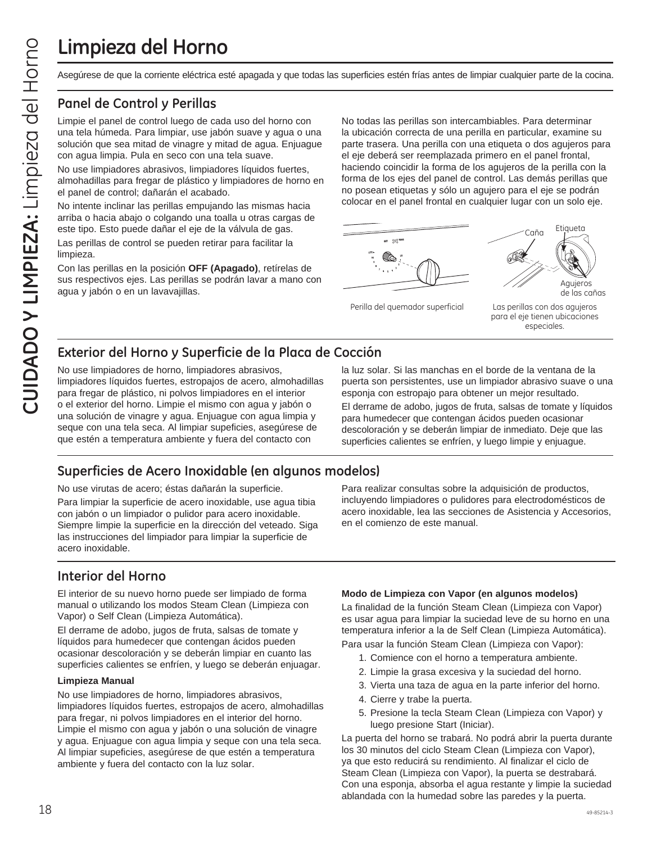## **Limpieza del Horno**

#### **Panel de Control y Perillas**

Limpie el panel de control luego de cada uso del horno con una tela húmeda. Para limpiar, use jabón suave y agua o una solución que sea mitad de vinagre y mitad de agua. Enjuague con agua limpia. Pula en seco con una tela suave.

No use limpiadores abrasivos, limpiadores líquidos fuertes, almohadillas para fregar de plástico y limpiadores de horno en el panel de control; dañarán el acabado.

No intente inclinar las perillas empujando las mismas hacia arriba o hacia abajo o colgando una toalla u otras cargas de este tipo. Esto puede dañar el eje de la válvula de gas.

Las perillas de control se pueden retirar para facilitar la limpieza.

Con las perillas en la posición **OFF (Apagado)**, retírelas de sus respectivos ejes. Las perillas se podrán lavar a mano con agua y jabón o en un lavavajillas.

CUIDADO Y Superficies of the motion of the main of the main of the corrich of the corrich of the main of the correct and the corrich of the main of the main of the particle particle and the main dia horizon and dia númeda. No todas las perillas son intercambiables. Para determinar la ubicación correcta de una perilla en particular, examine su parte trasera. Una perilla con una etiqueta o dos agujeros para el eje deberá ser reemplazada primero en el panel frontal, haciendo coincidir la forma de los agujeros de la perilla con la forma de los ejes del panel de control. Las demás perillas que no posean etiquetas y sólo un agujero para el eje se podrán colocar en el panel frontal en cualquier lugar con un solo eje.



Perilla del quemador superficial Las perillas con dos agujeros

de las cañas

#### para el eje tienen ubicaciones especiales.

### **Exterior del Horno y Superficie de la Placa de Cocción**

No use limpiadores de horno, limpiadores abrasivos, limpiadores líquidos fuertes, estropajos de acero, almohadillas para fregar de plástico, ni polvos limpiadores en el interior o el exterior del horno. Limpie el mismo con agua y jabón o una solución de vinagre y agua. Enjuague con agua limpia y seque con una tela seca. Al limpiar supeficies, asegúrese de que estén a temperatura ambiente y fuera del contacto con

### **Superficies de Acero Inoxidable (en algunos modelos)**

No use virutas de acero; éstas dañarán la superficie.

Para limpiar la superficie de acero inoxidable, use agua tibia con jabón o un limpiador o pulidor para acero inoxidable. Siempre limpie la superficie en la dirección del veteado. Siga las instrucciones del limpiador para limpiar la superficie de acero inoxidable.

### **Interior del Horno**

El interior de su nuevo horno puede ser limpiado de forma manual o utilizando los modos Steam Clean (Limpieza con Vapor) o Self Clean (Limpieza Automática).

El derrame de adobo, jugos de fruta, salsas de tomate y líquidos para humedecer que contengan ácidos pueden ocasionar descoloración y se deberán limpiar en cuanto las superficies calientes se enfríen, y luego se deberán enjuagar.

#### **Limpieza Manual**

No use limpiadores de horno, limpiadores abrasivos, limpiadores líquidos fuertes, estropajos de acero, almohadillas para fregar, ni polvos limpiadores en el interior del horno. Limpie el mismo con agua y jabón o una solución de vinagre y agua. Enjuague con agua limpia y seque con una tela seca. Al limpiar supeficies, asegúrese de que estén a temperatura ambiente y fuera del contacto con la luz solar.

la luz solar. Si las manchas en el borde de la ventana de la puerta son persistentes, use un limpiador abrasivo suave o una esponja con estropajo para obtener un mejor resultado.

El derrame de adobo, jugos de fruta, salsas de tomate y líquidos para humedecer que contengan ácidos pueden ocasionar descoloración y se deberán limpiar de inmediato. Deje que las superficies calientes se enfríen, y luego limpie y enjuague.

Para realizar consultas sobre la adquisición de productos, incluyendo limpiadores o pulidores para electrodomésticos de acero inoxidable, lea las secciones de Asistencia y Accesorios, en el comienzo de este manual.

#### **Modo de Limpieza con Vapor (en algunos modelos)**

La finalidad de la función Steam Clean (Limpieza con Vapor) es usar agua para limpiar la suciedad leve de su horno en una temperatura inferior a la de Self Clean (Limpieza Automática). Para usar la función Steam Clean (Limpieza con Vapor):

- 1. Comience con el horno a temperatura ambiente.
- 2. Limpie la grasa excesiva y la suciedad del horno.
- 3. Vierta una taza de agua en la parte inferior del horno.
- 4. Cierre y trabe la puerta.
- 5. Presione la tecla Steam Clean (Limpieza con Vapor) y luego presione Start (Iniciar).

La puerta del horno se trabará. No podrá abrir la puerta durante los 30 minutos del ciclo Steam Clean (Limpieza con Vapor), ya que esto reducirá su rendimiento. Al finalizar el ciclo de Steam Clean (Limpieza con Vapor), la puerta se destrabará. Con una esponja, absorba el agua restante y limpie la suciedad ablandada con la humedad sobre las paredes y la puerta.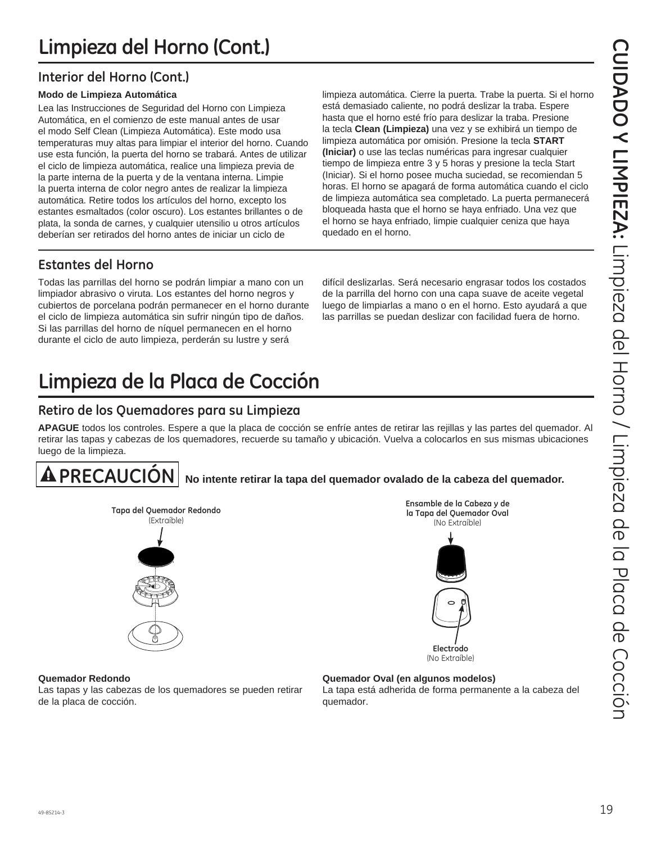### **Interior del Horno (Cont.)**

#### **Modo de Limpieza Automática**

Lea las Instrucciones de Seguridad del Horno con Limpieza Automática, en el comienzo de este manual antes de usar el modo Self Clean (Limpieza Automática). Este modo usa temperaturas muy altas para limpiar el interior del horno. Cuando use esta función, la puerta del horno se trabará. Antes de utilizar el ciclo de limpieza automática, realice una limpieza previa de la parte interna de la puerta y de la ventana interna. Limpie la puerta interna de color negro antes de realizar la limpieza automática. Retire todos los artículos del horno, excepto los estantes esmaltados (color oscuro). Los estantes brillantes o de plata, la sonda de carnes, y cualquier utensilio u otros artículos deberían ser retirados del horno antes de iniciar un ciclo de

limpieza automática. Cierre la puerta. Trabe la puerta. Si el horno está demasiado caliente, no podrá deslizar la traba. Espere hasta que el horno esté frío para deslizar la traba. Presione la tecla **Clean (Limpieza)** una vez y se exhibirá un tiempo de limpieza automática por omisión. Presione la tecla **START (Iniciar)** o use las teclas numéricas para ingresar cualquier tiempo de limpieza entre 3 y 5 horas y presione la tecla Start (Iniciar). Si el horno posee mucha suciedad, se recomiendan 5 horas. El horno se apagará de forma automática cuando el ciclo de limpieza automática sea completado. La puerta permanecerá bloqueada hasta que el horno se haya enfriado. Una vez que el horno se haya enfriado, limpie cualquier ceniza que haya quedado en el horno. **Limpieza del Horno (Cont.)**<br>
Modo de Limpieza automática. Cierre la puerta. Trabe la puerta. Si el homo<br>
Lea las Instrucciones de Seguridad del Homo con Limpieza<br>
Automática, en el comienzo de este manual antes de usar<br>
e

### **Estantes del Horno**

Todas las parrillas del horno se podrán limpiar a mano con un limpiador abrasivo o viruta. Los estantes del horno negros y cubiertos de porcelana podrán permanecer en el horno durante el ciclo de limpieza automática sin sufrir ningún tipo de daños. Si las parrillas del horno de níquel permanecen en el horno durante el ciclo de auto limpieza, perderán su lustre y será

difícil deslizarlas. Será necesario engrasar todos los costados de la parrilla del horno con una capa suave de aceite vegetal luego de limpiarlas a mano o en el horno. Esto ayudará a que las parrillas se puedan deslizar con facilidad fuera de horno.

> **Ensamble de la Cabeza y de la Tapa del Quemador Oval** (No Extraíble)

## **Limpieza de la Placa de Cocción**

### **Retiro de los Quemadores para su Limpieza**

**APAGUE** todos los controles. Espere a que la placa de cocción se enfríe antes de retirar las rejillas y las partes del quemador. Al retirar las tapas y cabezas de los quemadores, recuerde su tamaño y ubicación. Vuelva a colocarlos en sus mismas ubicaciones luego de la limpieza.

### **PRECAUCIÓN No intente retirar la tapa del quemador ovalado de la cabeza del quemador.**



**Quemador Redondo**

Las tapas y las cabezas de los quemadores se pueden retirar de la placa de cocción.

#### **Quemador Oval (en algunos modelos)**

La tapa está adherida de forma permanente a la cabeza del quemador.

**Electrodo**  (No Extraíble)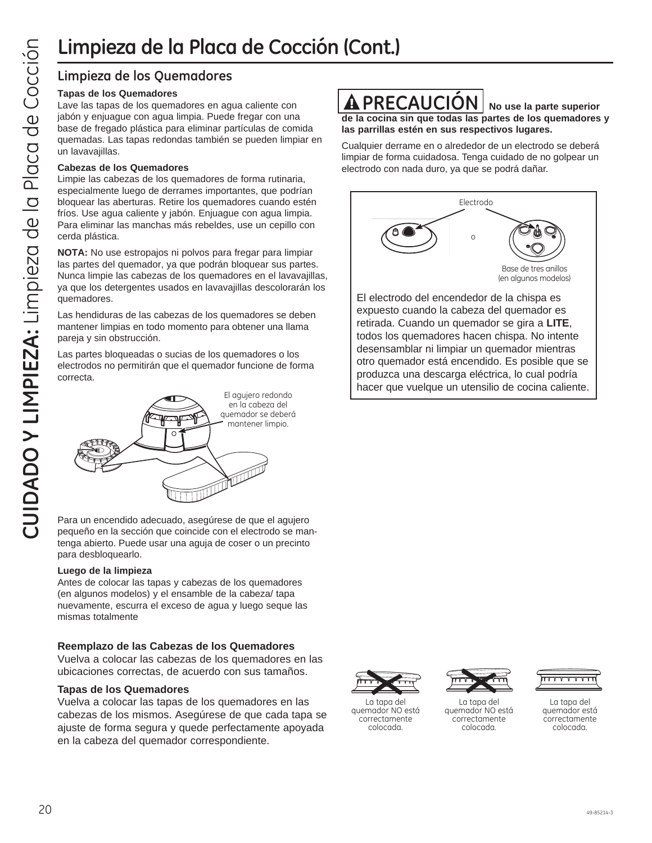### **Limpieza de los Quemadores**

#### **Tapas de los Quemadores**

Lave las tapas de los quemadores en agua caliente con jabón y enjuague con agua limpia. Puede fregar con una base de fregado plástica para eliminar partículas de comida quemadas. Las tapas redondas también se pueden limpiar en un lavavajillas.

#### **Cabezas de los Quemadores**

Limpie las cabezas de los quemadores de forma rutinaria, especialmente luego de derrames importantes, que podrían bloquear las aberturas. Retire los quemadores cuando estén fríos. Use agua caliente y jabón. Enjuague con agua limpia. Para eliminar las manchas más rebeldes, use un cepillo con cerda plástica.

**NOTA:** No use estropajos ni polvos para fregar para limpiar las partes del quemador, ya que podrán bloquear sus partes. Nunca limpie las cabezas de los quemadores en el lavavajillas, ya que los detergentes usados en lavavajillas descolorarán los quemadores.

Las hendiduras de las cabezas de los quemadores se deben mantener limpias en todo momento para obtener una llama pareja y sin obstrucción.

Las partes bloqueadas o sucias de los quemadores o los electrodos no permitirán que el quemador funcione de forma correcta.



Para un encendido adecuado, asegúrese de que el agujero pequeño en la sección que coincide con el electrodo se mantenga abierto. Puede usar una aguja de coser o un precinto para desbloquearlo.

#### **Luego de la limpieza**

Antes de colocar las tapas y cabezas de los quemadores (en algunos modelos) y el ensamble de la cabeza/ tapa nuevamente, escurra el exceso de agua y luego seque las mismas totalmente

#### **Reemplazo de las Cabezas de los Quemadores**

Vuelva a colocar las cabezas de los quemadores en las ubicaciones correctas, de acuerdo con sus tamaños.

#### **Tapas de los Quemadores**

Vuelva a colocar las tapas de los quemadores en las cabezas de los mismos. Asegúrese de que cada tapa se ajuste de forma segura y quede perfectamente apoyada en la cabeza del quemador correspondiente.



**de la cocina sin que todas las partes de los quemadores y las parrillas estén en sus respectivos lugares.**

Cualquier derrame en o alrededor de un electrodo se deberá limpiar de forma cuidadosa. Tenga cuidado de no golpear un electrodo con nada duro, ya que se podrá dañar.



El electrodo del encendedor de la chispa es expuesto cuando la cabeza del quemador es retirada. Cuando un quemador se gira a **LITE**, todos los quemadores hacen chispa. No intente desensamblar ni limpiar un quemador mientras otro quemador está encendido. Es posible que se produzca una descarga eléctrica, lo cual podría hacer que vuelque un utensilio de cocina caliente.



La tapa del quemador NO está correctamente colocada.



La tapa del quemador NO está correctamente colocada.



La tapa del quemador está correctamente colocada.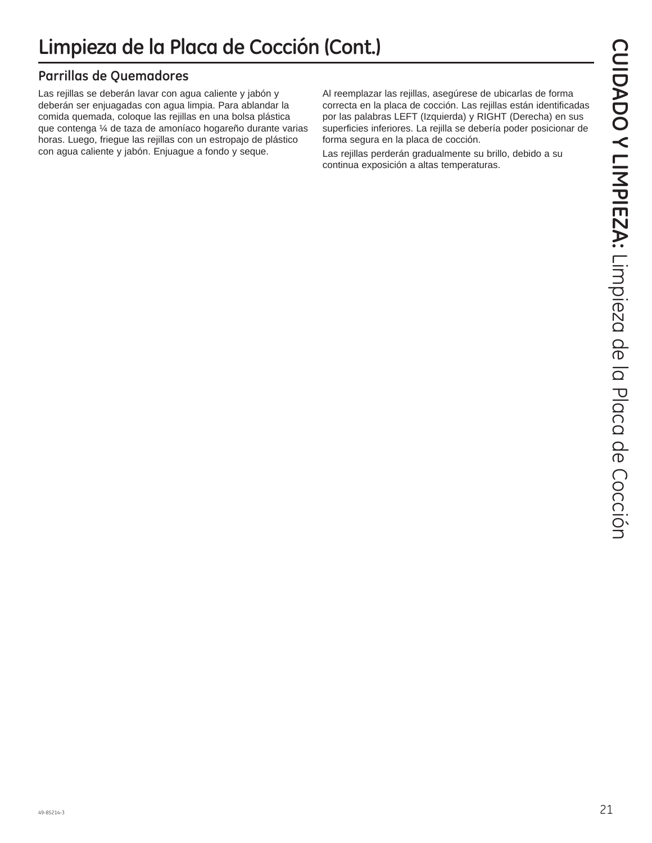### **Parrillas de Quemadores**

Las rejillas se deberán lavar con agua caliente y jabón y deberán ser enjuagadas con agua limpia. Para ablandar la comida quemada, coloque las rejillas en una bolsa plástica que contenga ¼ de taza de amoníaco hogareño durante varias horas. Luego, friegue las rejillas con un estropajo de plástico con agua caliente y jabón. Enjuague a fondo y seque.

Al reemplazar las rejillas, asegúrese de ubicarlas de forma correcta en la placa de cocción. Las rejillas están identificadas por las palabras LEFT (Izquierda) y RIGHT (Derecha) en sus superficies inferiores. La rejilla se debería poder posicionar de forma segura en la placa de cocción.

Las rejillas perderán gradualmente su brillo, debido a su continua exposición a altas temperaturas.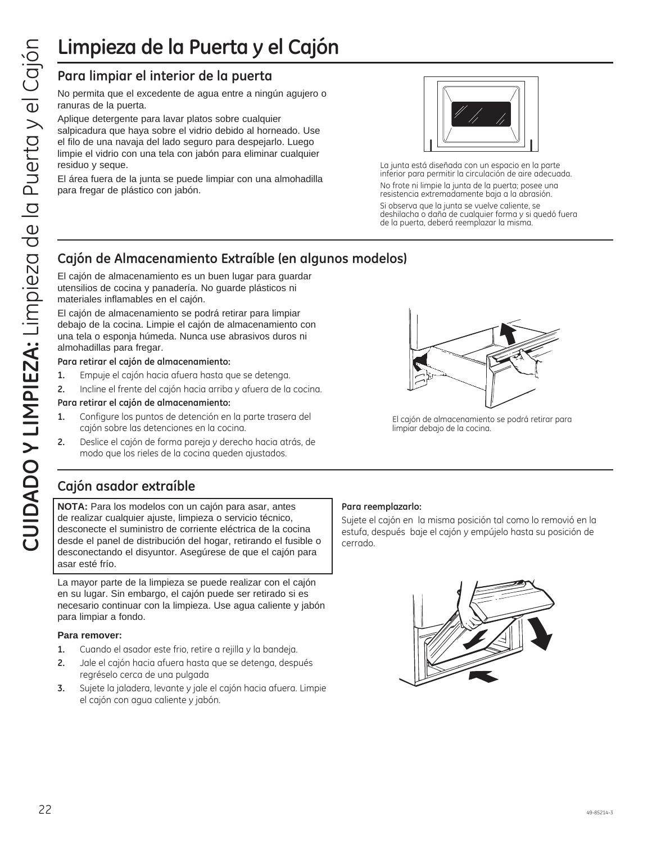## **Limpieza de la Puerta y el Cajón**

### **Para limpiar el interior de la puerta**

No permita que el excedente de agua entre a ningún agujero o ranuras de la puerta.

Aplique detergente para lavar platos sobre cualquier salpicadura que haya sobre el vidrio debido al horneado. Use el filo de una navaja del lado seguro para despejarlo. Luego limpie el vidrio con una tela con jabón para eliminar cualquier residuo y seque.

El área fuera de la junta se puede limpiar con una almohadilla para fregar de plástico con jabón.



La junta está diseñada con un espacio en la parte inferior para permitir la circulación de aire adecuada. No frote ni limpie la junta de la puerta; posee una resistencia extremadamente baja a la abrasión.

Si observa que la junta se vuelve caliente, se deshilacha o daña de cualquier forma y si quedó fuera de la puerta, deberá reemplazar la misma.

### **Cajón de Almacenamiento Extraíble (en algunos modelos)**

El cajón de almacenamiento es un buen lugar para guardar utensilios de cocina y panadería. No guarde plásticos ni materiales inflamables en el cajón.

El cajón de almacenamiento se podrá retirar para limpiar debajo de la cocina. Limpie el cajón de almacenamiento con una tela o esponja húmeda. Nunca use abrasivos duros ni almohadillas para fregar.

#### **Para retirar el cajón de almacenamiento:**

- **1.** Empuje el cajón hacia afuera hasta que se detenga.
- **2.** Incline el frente del cajón hacia arriba y afuera de la cocina.

#### **Para retirar el cajón de almacenamiento:**

- **1.** Configure los puntos de detención en la parte trasera del cajón sobre las detenciones en la cocina.
- **2.** Deslice el cajón de forma pareja y derecho hacia atrás, de modo que los rieles de la cocina queden ajustados.

El cajón de almacenamiento se podrá retirar para limpiar debajo de la cocina.

### **Cajón asador extraíble**

**NOTA:** Para los modelos con un cajón para asar, antes de realizar cualquier ajuste, limpieza o servicio técnico, desconecte el suministro de corriente eléctrica de la cocina desde el panel de distribución del hogar, retirando el fusible o desconectando el disyuntor. Asegúrese de que el cajón para asar esté frío.

La mayor parte de la limpieza se puede realizar con el cajón en su lugar. Sin embargo, el cajón puede ser retirado si es necesario continuar con la limpieza. Use agua caliente y jabón para limpiar a fondo.

#### **Para remover:**

- **1.** Cuando el asador este frio, retire a rejilla y la bandeja.
- **2.** Jale el cajón hacia afuera hasta que se detenga, después regréselo cerca de una pulgada
- **3.** Sujete la jaladera, levante y jale el cajón hacia afuera. Limpie el cajón con agua caliente y jabón.

#### **Para reemplazarlo:**

Sujete el cajón en la misma posición tal como lo removió en la estufa, después baje el cajón y empújelo hasta su posición de cerrado.

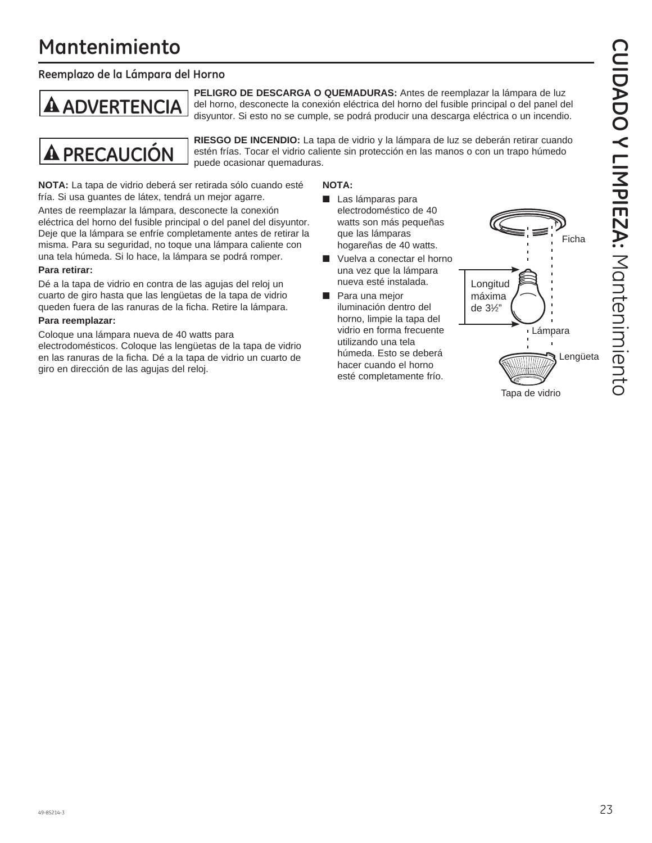## **Mantenimiento**

#### **Reemplazo de la Lámpara del Horno**

**PELIGRO DE DESCARGA O QUEMADURAS:** Antes de reemplazar la lámpara de luz **ADVERTENCIA** del horno, desconecte la conexión eléctrica del horno del fusible principal o del panel del<br>disyuntor. Si esto no se cumple, se podrá producir una descarga eléctrica o un incendio.



**PRECAUCIÓN** RIESGO DE INCENDIO: La tapa de vidrio y la lámpara de luz se deberán retirar cuando<br>**PRECAUCIÓN** estén frías. Tocar el vidrio caliente sin protección en las manos o con un trapo húmedo estén frías. Tocar el vidrio caliente sin protección en las manos o con un trapo húmedo puede ocasionar quemaduras.

**NOTA:** La tapa de vidrio deberá ser retirada sólo cuando esté fría. Si usa guantes de látex, tendrá un mejor agarre.

Antes de reemplazar la lámpara, desconecte la conexión eléctrica del horno del fusible principal o del panel del disyuntor. Deje que la lámpara se enfríe completamente antes de retirar la misma. Para su seguridad, no toque una lámpara caliente con una tela húmeda. Si lo hace, la lámpara se podrá romper.

#### **Para retirar:**

Dé a la tapa de vidrio en contra de las agujas del reloj un cuarto de giro hasta que las lengüetas de la tapa de vidrio queden fuera de las ranuras de la ficha. Retire la lámpara.

#### **Para reemplazar:**

Coloque una lámpara nueva de 40 watts para electrodomésticos. Coloque las lengüetas de la tapa de vidrio en las ranuras de la ficha. Dé a la tapa de vidrio un cuarto de giro en dirección de las agujas del reloj.

#### **NOTA:**

- Las lámparas para electrodoméstico de 40 watts son más pequeñas que las lámparas hogareñas de 40 watts.
- Vuelva a conectar el horno una vez que la lámpara nueva esté instalada.
- Para una mejor iluminación dentro del horno, limpie la tapa del vidrio en forma frecuente utilizando una tela húmeda. Esto se deberá hacer cuando el horno esté completamente frío.

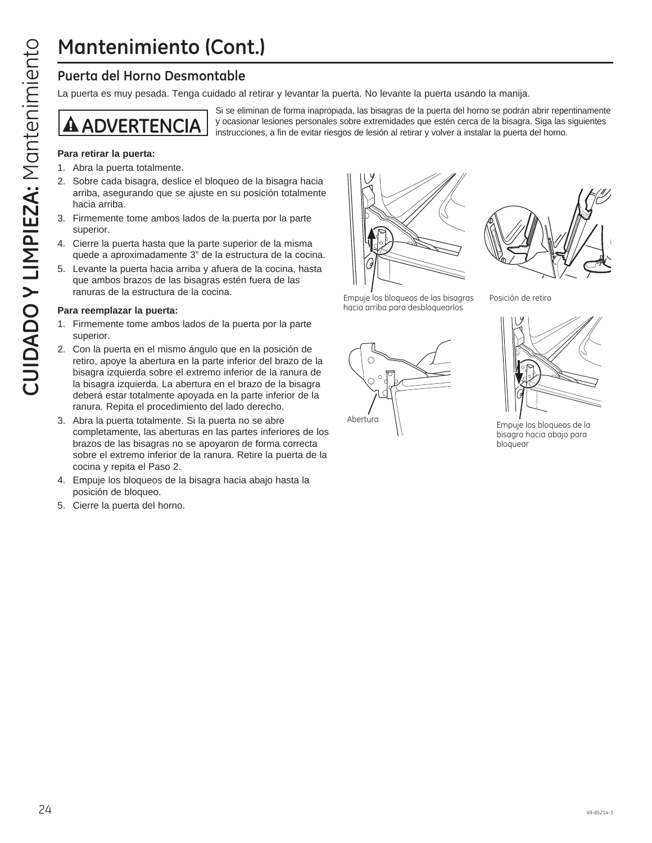## **Mantenimiento (Cont.)**

La puerta es muy pesada. Tenga cuidado al retirar y levantar la puerta. No levante la puerta usando la manija.

Si se eliminan de forma inapropiada, las bisagras de la puerta del horno se podrán abrir repentinamente **A ADVERTENCIA** y ocasionar lesiones personales sobre extremidades que estén cerca de la bisagra. Siga las siguientes instalar la puerta del horno.

#### **Para retirar la puerta:**

- 1. Abra la puerta totalmente.
- 2. Sobre cada bisagra, deslice el bloqueo de la bisagra hacia arriba, asegurando que se ajuste en su posición totalmente hacia arriba.
- 3. Firmemente tome ambos lados de la puerta por la parte superior.
- 4. Cierre la puerta hasta que la parte superior de la misma quede a aproximadamente 3" de la estructura de la cocina.
- 5. Levante la puerta hacia arriba y afuera de la cocina, hasta que ambos brazos de las bisagras estén fuera de las ranuras de la estructura de la cocina.

#### **Para reemplazar la puerta:**

- 1. Firmemente tome ambos lados de la puerta por la parte superior.
- Mantenimiento **Con**<br>
Puerta del Horno Desmontable<br>
La puerta es muy pesada. Tenga cuidado al<br>
Si se eli<br> **CUIDADO Y ENTENCIA**<br>
Para retirar la puerta totalmente.<br>
2. Sobre cada bisagra, deslice el bloqueo contriba, asegura 2. Con la puerta en el mismo ángulo que en la posición de retiro, apoye la abertura en la parte inferior del brazo de la bisagra izquierda sobre el extremo inferior de la ranura de la bisagra izquierda. La abertura en el brazo de la bisagra deberá estar totalmente apoyada en la parte inferior de la ranura. Repita el procedimiento del lado derecho.
	- 3. Abra la puerta totalmente. Si la puerta no se abre completamente, las aberturas en las partes inferiores de los brazos de las bisagras no se apoyaron de forma correcta sobre el extremo inferior de la ranura. Retire la puerta de la cocina y repita el Paso 2.
	- 4. Empuje los bloqueos de la bisagra hacia abajo hasta la posición de bloqueo.
	- 5. Cierre la puerta del horno.





Posición de retiro

Empuje los bloqueos de las bisagras hacia arriba para desbloquearlos





bisagra hacia abajo para bloquear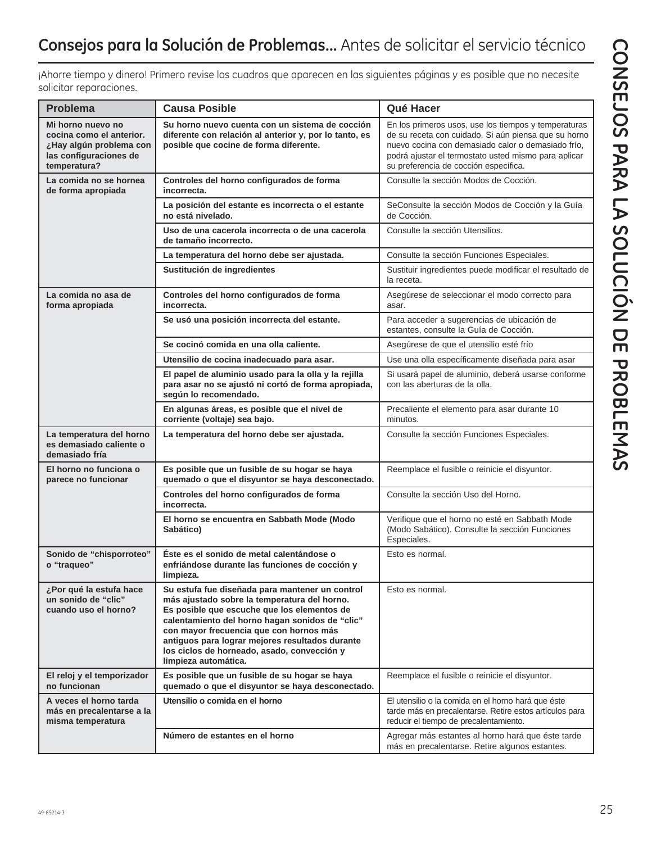| Consejos para la Solución de Problemas Antes de solicitar el servicio técnico |  |  |
|-------------------------------------------------------------------------------|--|--|
|-------------------------------------------------------------------------------|--|--|

¡Ahorre tiempo y dinero! Primero revise los cuadros que aparecen en las siguientes páginas y es posible que no necesite solicitar reparaciones.

| <b>Problema</b>                                                                                                    | <b>Causa Posible</b>                                                                                                                                                                                                                                                                                                                                                   | Qué Hacer                                                                                                                                                                                                                                                           |
|--------------------------------------------------------------------------------------------------------------------|------------------------------------------------------------------------------------------------------------------------------------------------------------------------------------------------------------------------------------------------------------------------------------------------------------------------------------------------------------------------|---------------------------------------------------------------------------------------------------------------------------------------------------------------------------------------------------------------------------------------------------------------------|
| Mi horno nuevo no<br>cocina como el anterior.<br>¿Hay algún problema con<br>las configuraciones de<br>temperatura? | Su horno nuevo cuenta con un sistema de cocción<br>diferente con relación al anterior y, por lo tanto, es<br>posible que cocine de forma diferente.                                                                                                                                                                                                                    | En los primeros usos, use los tiempos y temperaturas<br>de su receta con cuidado. Si aún piensa que su horno<br>nuevo cocina con demasiado calor o demasiado frío,<br>podrá ajustar el termostato usted mismo para aplicar<br>su preferencia de cocción específica. |
| La comida no se hornea<br>de forma apropiada                                                                       | Controles del horno configurados de forma<br>incorrecta.                                                                                                                                                                                                                                                                                                               | Consulte la sección Modos de Cocción.                                                                                                                                                                                                                               |
|                                                                                                                    | La posición del estante es incorrecta o el estante<br>no está nivelado.                                                                                                                                                                                                                                                                                                | SeConsulte la sección Modos de Cocción y la Guía<br>de Cocción.                                                                                                                                                                                                     |
|                                                                                                                    | Uso de una cacerola incorrecta o de una cacerola<br>de tamaño incorrecto.                                                                                                                                                                                                                                                                                              | Consulte la sección Utensilios.                                                                                                                                                                                                                                     |
|                                                                                                                    | La temperatura del horno debe ser ajustada.                                                                                                                                                                                                                                                                                                                            | Consulte la sección Funciones Especiales.                                                                                                                                                                                                                           |
|                                                                                                                    | Sustitución de ingredientes                                                                                                                                                                                                                                                                                                                                            | Sustituir ingredientes puede modificar el resultado de<br>la receta.                                                                                                                                                                                                |
| La comida no asa de<br>forma apropiada                                                                             | Controles del horno configurados de forma<br>incorrecta.                                                                                                                                                                                                                                                                                                               | Asegúrese de seleccionar el modo correcto para<br>asar.                                                                                                                                                                                                             |
|                                                                                                                    | Se usó una posición incorrecta del estante.                                                                                                                                                                                                                                                                                                                            | Para acceder a sugerencias de ubicación de<br>estantes, consulte la Guía de Cocción.                                                                                                                                                                                |
|                                                                                                                    | Se cocinó comida en una olla caliente.                                                                                                                                                                                                                                                                                                                                 | Asegúrese de que el utensilio esté frío                                                                                                                                                                                                                             |
|                                                                                                                    | Utensilio de cocina inadecuado para asar.                                                                                                                                                                                                                                                                                                                              | Use una olla específicamente diseñada para asar                                                                                                                                                                                                                     |
|                                                                                                                    | El papel de aluminio usado para la olla y la rejilla<br>para asar no se ajustó ni cortó de forma apropiada,<br>según lo recomendado.                                                                                                                                                                                                                                   | Si usará papel de aluminio, deberá usarse conforme<br>con las aberturas de la olla.                                                                                                                                                                                 |
|                                                                                                                    | En algunas áreas, es posible que el nivel de<br>corriente (voltaje) sea bajo.                                                                                                                                                                                                                                                                                          | Precaliente el elemento para asar durante 10<br>minutos.                                                                                                                                                                                                            |
| La temperatura del horno<br>es demasiado caliente o<br>demasiado fría                                              | La temperatura del horno debe ser ajustada.                                                                                                                                                                                                                                                                                                                            | Consulte la sección Funciones Especiales.                                                                                                                                                                                                                           |
| El horno no funciona o<br>parece no funcionar                                                                      | Es posible que un fusible de su hogar se haya<br>quemado o que el disyuntor se haya desconectado.                                                                                                                                                                                                                                                                      | Reemplace el fusible o reinicie el disyuntor.                                                                                                                                                                                                                       |
|                                                                                                                    | Controles del horno configurados de forma<br>incorrecta.                                                                                                                                                                                                                                                                                                               | Consulte la sección Uso del Horno.                                                                                                                                                                                                                                  |
|                                                                                                                    | El horno se encuentra en Sabbath Mode (Modo<br>Sabático)                                                                                                                                                                                                                                                                                                               | Verifique que el horno no esté en Sabbath Mode<br>(Modo Sabático). Consulte la sección Funciones<br>Especiales.                                                                                                                                                     |
| Sonido de "chisporroteo"<br>o "traqueo"                                                                            | Éste es el sonido de metal calentándose o<br>enfriándose durante las funciones de cocción y<br>limpieza.                                                                                                                                                                                                                                                               | Esto es normal.                                                                                                                                                                                                                                                     |
| ¿Por qué la estufa hace<br>un sonido de "clic"<br>cuando uso el horno?                                             | Su estufa fue diseñada para mantener un control<br>más ajustado sobre la temperatura del horno.<br>Es posible que escuche que los elementos de<br>calentamiento del horno hagan sonidos de "clic"<br>con mayor frecuencia que con hornos más<br>antiquos para lograr mejores resultados durante<br>los ciclos de horneado, asado, convección y<br>limpieza automática. | Esto es normal.                                                                                                                                                                                                                                                     |
| El reloj y el temporizador<br>no funcionan                                                                         | Es posible que un fusible de su hogar se haya<br>quemado o que el disyuntor se haya desconectado.                                                                                                                                                                                                                                                                      | Reemplace el fusible o reinicie el disyuntor.                                                                                                                                                                                                                       |
| A veces el horno tarda<br>más en precalentarse a la<br>misma temperatura                                           | Utensilio o comida en el horno                                                                                                                                                                                                                                                                                                                                         | El utensilio o la comida en el horno hará que éste<br>tarde más en precalentarse. Retire estos artículos para<br>reducir el tiempo de precalentamiento.                                                                                                             |
|                                                                                                                    | Número de estantes en el horno                                                                                                                                                                                                                                                                                                                                         | Agregar más estantes al horno hará que éste tarde<br>más en precalentarse. Retire algunos estantes.                                                                                                                                                                 |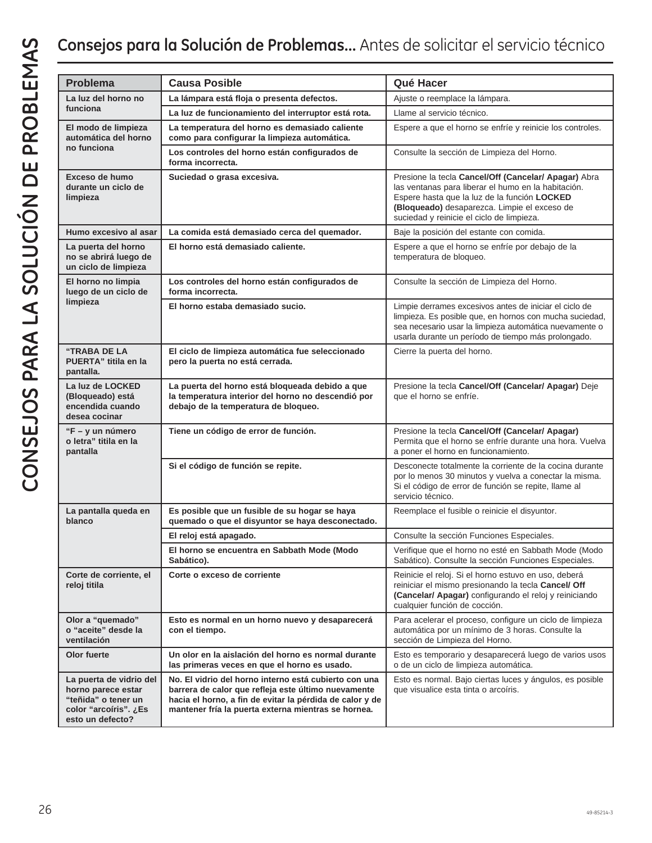| <b>Problema</b>                                                                                                   | <b>Causa Posible</b>                                                                                                                                                                                                            | Qué Hacer                                                                                                                                                                                                                                                |
|-------------------------------------------------------------------------------------------------------------------|---------------------------------------------------------------------------------------------------------------------------------------------------------------------------------------------------------------------------------|----------------------------------------------------------------------------------------------------------------------------------------------------------------------------------------------------------------------------------------------------------|
| La luz del horno no                                                                                               | La lámpara está floja o presenta defectos.                                                                                                                                                                                      | Ajuste o reemplace la lámpara.                                                                                                                                                                                                                           |
| funciona                                                                                                          | La luz de funcionamiento del interruptor está rota.                                                                                                                                                                             | Llame al servicio técnico.                                                                                                                                                                                                                               |
| El modo de limpieza<br>automática del horno<br>no funciona                                                        | La temperatura del horno es demasiado caliente<br>como para configurar la limpieza automática.                                                                                                                                  | Espere a que el horno se enfríe y reinicie los controles.                                                                                                                                                                                                |
|                                                                                                                   | Los controles del horno están configurados de<br>forma incorrecta.                                                                                                                                                              | Consulte la sección de Limpieza del Horno.                                                                                                                                                                                                               |
| Exceso de humo<br>durante un ciclo de<br>limpieza                                                                 | Suciedad o grasa excesiva.                                                                                                                                                                                                      | Presione la tecla Cancel/Off (Cancelar/ Apagar) Abra<br>las ventanas para liberar el humo en la habitación.<br>Espere hasta que la luz de la función LOCKED<br>(Bloqueado) desaparezca. Limpie el exceso de<br>suciedad y reinicie el ciclo de limpieza. |
| Humo excesivo al asar                                                                                             | La comida está demasiado cerca del quemador.                                                                                                                                                                                    | Baje la posición del estante con comida.                                                                                                                                                                                                                 |
| La puerta del horno<br>no se abrirá luego de<br>un ciclo de limpieza                                              | El horno está demasiado caliente.                                                                                                                                                                                               | Espere a que el horno se enfríe por debajo de la<br>temperatura de bloqueo.                                                                                                                                                                              |
| El horno no limpia<br>luego de un ciclo de                                                                        | Los controles del horno están configurados de<br>forma incorrecta.                                                                                                                                                              | Consulte la sección de Limpieza del Horno.                                                                                                                                                                                                               |
| limpieza                                                                                                          | El horno estaba demasiado sucio.                                                                                                                                                                                                | Limpie derrames excesivos antes de iniciar el ciclo de<br>limpieza. Es posible que, en hornos con mucha suciedad,<br>sea necesario usar la limpieza automática nuevamente o<br>usarla durante un período de tiempo más prolongado.                       |
| "TRABA DE LA<br>PUERTA" titila en la<br>pantalla.                                                                 | El ciclo de limpieza automática fue seleccionado<br>pero la puerta no está cerrada.                                                                                                                                             | Cierre la puerta del horno.                                                                                                                                                                                                                              |
| La luz de LOCKED<br>(Bloqueado) está<br>encendida cuando<br>desea cocinar                                         | La puerta del horno está bloqueada debido a que<br>la temperatura interior del horno no descendió por<br>debajo de la temperatura de bloqueo.                                                                                   | Presione la tecla Cancel/Off (Cancelar/ Apagar) Deje<br>que el horno se enfríe.                                                                                                                                                                          |
| "F – y un número<br>o letra" titila en la<br>pantalla                                                             | Tiene un código de error de función.                                                                                                                                                                                            | Presione la tecla Cancel/Off (Cancelar/ Apagar)<br>Permita que el horno se enfríe durante una hora. Vuelva<br>a poner el horno en funcionamiento.                                                                                                        |
|                                                                                                                   | Si el código de función se repite.                                                                                                                                                                                              | Desconecte totalmente la corriente de la cocina durante<br>por lo menos 30 minutos y vuelva a conectar la misma.<br>Si el código de error de función se repite, llame al<br>servicio técnico.                                                            |
| La pantalla queda en<br>blanco                                                                                    | Es posible que un fusible de su hogar se haya<br>quemado o que el disyuntor se haya desconectado.                                                                                                                               | Reemplace el fusible o reinicie el disyuntor.                                                                                                                                                                                                            |
|                                                                                                                   | El reloj está apagado.                                                                                                                                                                                                          | Consulte la sección Funciones Especiales.                                                                                                                                                                                                                |
|                                                                                                                   | El horno se encuentra en Sabbath Mode (Modo<br>Sabático).                                                                                                                                                                       | Verifique que el horno no esté en Sabbath Mode (Modo<br>Sabático). Consulte la sección Funciones Especiales.                                                                                                                                             |
| Corte de corriente, el<br>reloj titila                                                                            | Corte o exceso de corriente                                                                                                                                                                                                     | Reinicie el reloj. Si el horno estuvo en uso, deberá<br>reiniciar el mismo presionando la tecla Cancel/ Off<br>(Cancelar/ Apagar) configurando el reloj y reiniciando<br>cualquier función de cocción.                                                   |
| Olor a "quemado"<br>o "aceite" desde la<br>ventilación                                                            | Esto es normal en un horno nuevo y desaparecerá<br>con el tiempo.                                                                                                                                                               | Para acelerar el proceso, configure un ciclo de limpieza<br>automática por un mínimo de 3 horas. Consulte la<br>sección de Limpieza del Horno.                                                                                                           |
| Olor fuerte                                                                                                       | Un olor en la aislación del horno es normal durante<br>las primeras veces en que el horno es usado.                                                                                                                             | Esto es temporario y desaparecerá luego de varios usos<br>o de un ciclo de limpieza automática.                                                                                                                                                          |
| La puerta de vidrio del<br>horno parece estar<br>"teñida" o tener un<br>color "arcoíris". ¿Es<br>esto un defecto? | No. El vidrio del horno interno está cubierto con una<br>barrera de calor que refleja este último nuevamente<br>hacia el horno, a fin de evitar la pérdida de calor y de<br>mantener fría la puerta externa mientras se hornea. | Esto es normal. Bajo ciertas luces y ángulos, es posible<br>que visualice esta tinta o arcoíris.                                                                                                                                                         |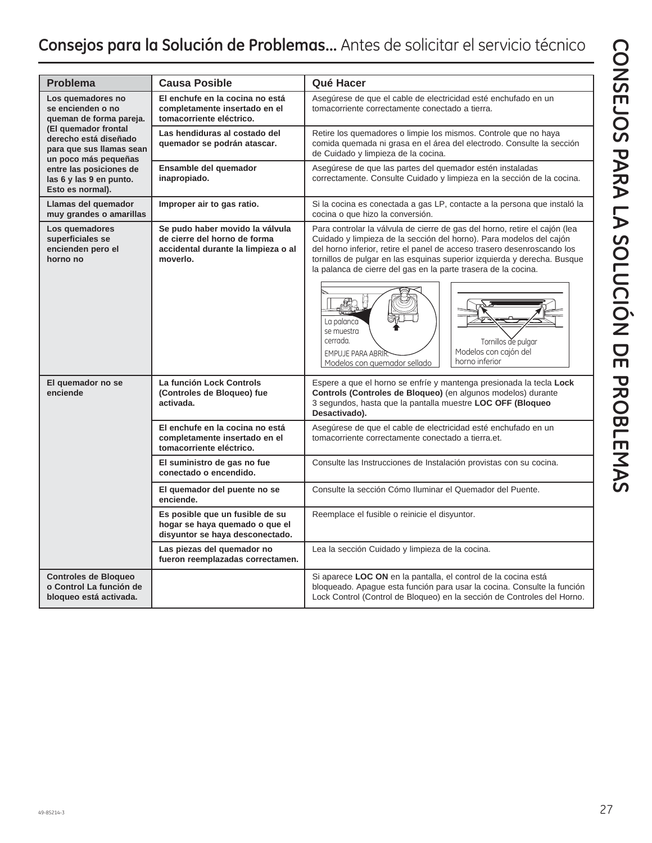| <b>Problema</b>                                                                                                                                                        | <b>Causa Posible</b>                                                                                               | Qué Hacer                                                                                                                                                                                                                                                                                                                                                                                                                                                                                                                                        |
|------------------------------------------------------------------------------------------------------------------------------------------------------------------------|--------------------------------------------------------------------------------------------------------------------|--------------------------------------------------------------------------------------------------------------------------------------------------------------------------------------------------------------------------------------------------------------------------------------------------------------------------------------------------------------------------------------------------------------------------------------------------------------------------------------------------------------------------------------------------|
| Los quemadores no<br>se encienden o no<br>queman de forma pareja.<br>(El quemador frontal<br>derecho está diseñado<br>para que sus llamas sean<br>un poco más pequeñas | El enchufe en la cocina no está<br>completamente insertado en el<br>tomacorriente eléctrico.                       | Asegúrese de que el cable de electricidad esté enchufado en un<br>tomacorriente correctamente conectado a tierra.                                                                                                                                                                                                                                                                                                                                                                                                                                |
|                                                                                                                                                                        | Las hendiduras al costado del<br>quemador se podrán atascar.                                                       | Retire los quemadores o limpie los mismos. Controle que no haya<br>comida quemada ni grasa en el área del electrodo. Consulte la sección<br>de Cuidado y limpieza de la cocina.                                                                                                                                                                                                                                                                                                                                                                  |
| entre las posiciones de<br>las 6 y las 9 en punto.<br>Esto es normal).                                                                                                 | Ensamble del quemador<br>inapropiado.                                                                              | Asegúrese de que las partes del quemador estén instaladas<br>correctamente. Consulte Cuidado y limpieza en la sección de la cocina.                                                                                                                                                                                                                                                                                                                                                                                                              |
| Llamas del quemador<br>muy grandes o amarillas                                                                                                                         | Improper air to gas ratio.                                                                                         | Si la cocina es conectada a gas LP, contacte a la persona que instaló la<br>cocina o que hizo la conversión.                                                                                                                                                                                                                                                                                                                                                                                                                                     |
| Los quemadores<br>superficiales se<br>encienden pero el<br>horno no                                                                                                    | Se pudo haber movido la válvula<br>de cierre del horno de forma<br>accidental durante la limpieza o al<br>moverlo. | Para controlar la válvula de cierre de gas del horno, retire el cajón (lea<br>Cuidado y limpieza de la sección del horno). Para modelos del cajón<br>del horno inferior, retire el panel de acceso trasero desenroscando los<br>tornillos de pulgar en las esquinas superior izquierda y derecha. Busque<br>la palanca de cierre del gas en la parte trasera de la cocina.<br>La palanca<br>se muestra<br>cerrada.<br>Tornillos de pulgar<br>Modelos con cajón del<br><b>EMPUJE PARA ABRIR</b><br>horno inferior<br>Modelos con quemador sellado |
| El quemador no se<br>enciende                                                                                                                                          | La función Lock Controls<br>(Controles de Bloqueo) fue<br>activada.                                                | Espere a que el horno se enfríe y mantenga presionada la tecla Lock<br>Controls (Controles de Bloqueo) (en algunos modelos) durante<br>3 segundos, hasta que la pantalla muestre LOC OFF (Bloqueo<br>Desactivado).                                                                                                                                                                                                                                                                                                                               |
|                                                                                                                                                                        | El enchufe en la cocina no está<br>completamente insertado en el<br>tomacorriente eléctrico.                       | Asegúrese de que el cable de electricidad esté enchufado en un<br>tomacorriente correctamente conectado a tierra.et.                                                                                                                                                                                                                                                                                                                                                                                                                             |
|                                                                                                                                                                        | El suministro de gas no fue<br>conectado o encendido.                                                              | Consulte las Instrucciones de Instalación provistas con su cocina.                                                                                                                                                                                                                                                                                                                                                                                                                                                                               |
|                                                                                                                                                                        | El quemador del puente no se<br>enciende.                                                                          | Consulte la sección Cómo Iluminar el Quemador del Puente.                                                                                                                                                                                                                                                                                                                                                                                                                                                                                        |
|                                                                                                                                                                        | Es posible que un fusible de su<br>hogar se haya quemado o que el<br>disyuntor se haya desconectado.               | Reemplace el fusible o reinicie el disyuntor.                                                                                                                                                                                                                                                                                                                                                                                                                                                                                                    |
|                                                                                                                                                                        | Las piezas del quemador no<br>fueron reemplazadas correctamen.                                                     | Lea la sección Cuidado y limpieza de la cocina.                                                                                                                                                                                                                                                                                                                                                                                                                                                                                                  |
| <b>Controles de Bloqueo</b><br>o Control La función de<br>bloqueo está activada.                                                                                       |                                                                                                                    | Si aparece LOC ON en la pantalla, el control de la cocina está<br>bloqueado. Apague esta función para usar la cocina. Consulte la función<br>Lock Control (Control de Bloqueo) en la sección de Controles del Horno.                                                                                                                                                                                                                                                                                                                             |